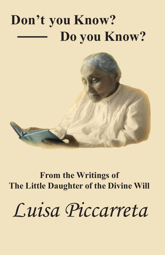## **Don't you Know? Do you Know?**



**From the Writings of The Little Daughter of the Divine Will**

*Luisa Piccarreta*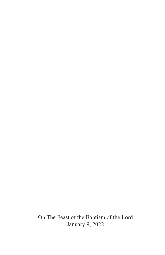On The Feast of the Baptism of the Lord January 9, 2022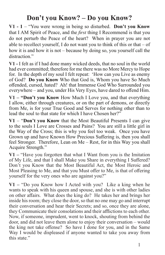## **Don't you Know? – Do you Know?**

**V1 - 1** – "You were wrong in being so disturbed. **Don't you Know** that I AM Spirit of Peace, and the *first* thing I Recommend is that you do not perturb the Peace of the heart? When in prayer you are not able to recollect yourself, I do not want you to think of this or that  $-$  of how it is and how it is not – because by doing so, you yourself call the distraction."

**V1 -** I felt as if I had done many wicked deeds, that no soul in the world had ever committed; therefore for me there was no More Mercy to Hope for. In the depth of my soul I felt repeat: 'How can you Live as enemy of God? **Do you Know** Who that God is, Whom you have So Much offended, cursed, hated? Ah! that Immense God Who Surrounded you everywhere – and you, under His Very Eyes, have dared to offend Him.

**V1 – "Don't you Know** How Much I Love you, and that everything I allow, either through creatures, or on the part of demons, or directly from Me, is for your True Good and Serves for nothing other than to lead the soul to that state for which I have Chosen her?"

**V1** – "**Don't you Know** that the Most Beautiful Presents I can give to the souls I Love are Crosses and Pains? You are still a little girl in the Way of the Cross; this is why you feel too weak. Once you have Grown up and have Known How Precious Suffering is, then you shall feel Stronger. Therefore, Lean on Me – Rest, for in this Way you shall Acquire Strength."

**V1 –** "Have you forgotten that what I Want from you is the Imitation of My Life, and that I shall Make you Share in everything I Suffered? Don't you Know that the Most Beautiful Act, the Most Heroic and Most Pleasing to Me, and that you Must offer to Me, is that of offering yourself for the very ones who are against you?"

 1 **V1 –** "Do you Know how I Acted with you? Like a king when he wants to speak with his queen and spouse, and she is with other ladies on other affairs. What does the king do? He takes her and brings her inside his room; they close the door, so that no one may go and interrupt their conversation and hear their Secrets; and so, once they are alone, they Communicate their consolations and their afflictions to each other. Now, if someone, imprudent, went to knock, shouting from behind the door, and did not leave them alone to enjoy their conversation – would the king not take offense? So have I done for you, and in the Same Way I would be displeased if anyone wanted to take you away from this state."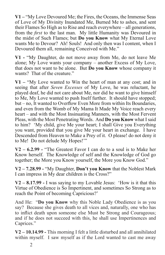**V1 –** "My Love Devoured Me; the Fires, the Oceans, the Immense Seas of Love of My Divinity Inundated Me, Burned Me to ashes, and sent their Flames So High as to Rise and reach everywhere – all generations, from the *first* to the last man. My little Humanity was Devoured in the midst of Such Flames; but **Do you Know** what My Eternal Love wants Me to Devour? Ah! Souls! And only then was I content, when I Devoured them all, remaining Conceived with Me."

**V1 -** "My Daughter, do not move away from Me, do not leave Me alone; My Love wants your company – another Excess of My Love, that does not want to be alone. But **Do you Know** whose company it wants? That of the creature."

**V1 –** "My Love wanted to Win the heart of man at any cost; and in seeing that after *Seven Excesses* of My Love, he was reluctant, he played deaf, he did not care about Me, nor did he want to give himself to Me, My Love wanted to push Itself further. It should have stopped; but – no, It wanted to Overflow Even More from within Its Boundaries, and even from the Womb of My Mama It Made My Voice reach every heart – and with the Most Insinuating Manners, with the Most Fervent Pleas, with the Most Penetrating Words. And **Do you Know** what I said to him? 'My child, give Me your heart; I shall Give you Everything you want, provided that you give Me your heart in exchange. I have Descended from Heaven to Make a Prey of it. O please! do not deny it to Me! Do not delude My Hopes!'"

**V2 – 6.2.99 -** "The Greatest Favor I can do to a soul is to Make her Know herself. The Knowledge of self and the Knowledge of God go together; the More you Know yourself, the More you Know God."

**V2 – 7.28.99 -** "My Daughter, **Don't you Know** that the Noblest Mark I can impress in My dear children is the Cross?"

**V2 – 8.17.99 -** I was saying to my Lovable Jesus: 'How is it that this Virtue of Obedience is So Impertinent, and sometimes So Strong as to reach the Point of becoming Capricious?'

And He: "**Do you Know** why this Noble Lady Obedience is as you say? Because she gives death to all vices and, naturally, one who has to inflict death upon someone else Must be Strong and Courageous; and if he does not succeed with this, he shall use Impertinences and Caprices."

**V2 – 10.14.99 -** This morning I felt a little disturbed and all annihilated within myself. I saw myself as if the Lord wanted to cast me away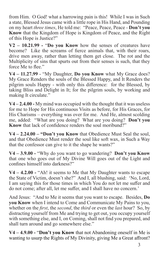from Him. O God! what a harrowing pain is this! While I was in Such a state, Blessed Jesus came with a little rope in His Hand, and Pounding on my heart *three times*, He told me: "Peace, Peace, Peace - **Don't you Know** that the Kingdom of Hope is Kingdom of Peace, and the Right of this Hope is Justice?"

**V2 – 10.21.99 -** "**Do you Know** how the senses of creatures have become? Like the screams of fierce animals that, with their roars, drive men away, rather than letting them get close. The rot and the Multiplicity of sins that spurts out from their senses is such, that they force Me to flee."

**V4 – 11.27.99** - "My Daughter, **Do you Know** what My Grace does? My Grace Renders the souls of the Blessed Happy, and It Renders the pilgrim souls Happy - with only this difference: for the Blessed, by taking Bliss and Delight in It; for the pilgrim souls, by working and making It circulate."

**V4 – 2.4.00 -** My mind was occupied with the thought that it was useless for me to Hope for His continuous Visits as before, for His Graces, for His Charisms – everything was over for me. And He, almost scolding me, added: "What are you doing? What are you doing? **Don't you Know** that lack of confidence renders the soul moribund?"

**V4 – 2.24.00 – "Don't you Know** that Obedience Must Seal the soul, and that Obedience Must render the soul like soft wax, in Such a Way that the confessor can give to it the shape he wants?"

**V4 – 3.9.00 -** "Why do you want to go wandering? **Don't you Know** that one who goes out of My Divine Will goes out of the Light and confines himself into darkness?"

**V4 – 4.2.00 -** "Ah! it seems to Me that My Daughter wants to escape the State of Victim, doesn't she?" And I, all blushing, said: 'No, Lord, I am saying this for those times in which You do not let me suffer and do not come; after all, let me suffer, and I shall have no concern.'

And Jesus: "And to Me it seems that you want to escape. Besides, **Do you Know** when I intend to Come and Communicate My Pains to you, whether on the *first*, the *second*, the *third* or even the *last* hour? So, by distracting yourself from Me and trying to get out, you occupy yourself with something else, and I, on Coming, shall not find you prepared, and shall turn around and go somewhere else."

 3 **V4 – 4.9.00 -** "**Don't you Know** that not Abandoning oneself in Me is wanting to usurp the Rights of My Divinity, giving Me a Great affront?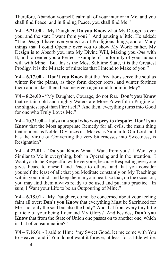Therefore, Abandon yourself, calm all of your interior in Me, and you shall find Peace; and in finding Peace, you shall find Me."

**V4 – 5.21.00 -** "My Daughter, **Do you Know** what My Design is over you, and the state I want from you?" And pausing a little, He added: "The Design I have over you is not of Prodigious things, and of Many things that I could Operate over you to show My Work; rather, My Design is to Absorb you into My Divine Will, Making you *One* with It, and to render you a Perfect Example of Uniformity of your human will with Mine. But this is the Most Sublime State, it is the Greatest Prodigy, it is the Miracle of miracles that I intend to Make of you."

**V4 – 6.17.00 -** "**Don't you Know** that the Privations serve the soul as winter for the plants, as they form deeper roots, and winter fortifies them and makes them become green again and bloom in May?"

**V4 – 8.24.00 -** "My Daughter, Courage, do not fear. **Don't you Know** that certain cold and mighty Waters are More Powerful in Purging of the slightest spot than Fire itself? And then, everything turns into Good for one who Truly Loves Me."

**V4 – 10.31.00 – Luisa to a soul who was prey to despair: Don't you Know** that the Most appropriate Remedy for all evils, the main thing that renders us Noble, Divinizes us, Makes us Similar to Our Lord, and has the Virtue of Converting the very bitternesses into Sweetness, is Resignation?

**V4 – 4.22.01 -** "**Do you Know** What I Want from you? I Want you Similar to Me in everything, both in Operating and in the intention. I Want you to be Respectful with everyone, because Respecting everyone gives Peace to oneself and Peace to others; and that you consider yourself the least of all; that you Meditate constantly on My Teachings within your mind, and keep them in your heart, so that, on the occasion, you may find them always ready to be used and put into practice. In sum, I Want your Life to be an Outpouring of Mine."

**V4 – 6.18.01 -** "My Daughter, do not be concerned about your feeling faint all over; **Don't you Know** that everything Must be Sacrificed for Me - not only the soul but also the body? And that from every tiny little particle of your being I demand My Glory? And besides, **Don't you Know** that from the State of Union one passes on to another one, which is that of consummation?"

**V4 – 7.16.01** - I said to Him: 'my Sweet Good, let me come with You to Heaven, and if You do not want it forever, at least for a little while.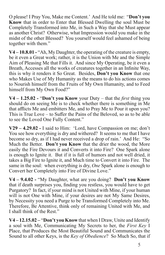O please! I Pray You, Make me Content.' And He told me: "**Don't you Know** that in order to Enter that Blessed Dwelling the soul Must be Completely Transformed into Me, in Such a Way that she Must appear as another Christ? Otherwise, what Impression would you make in the midst of the other Blessed? You yourself would feel ashamed of being together with them."

**V4 – 10.8.01 -** "Ah, My Daughter, the operating of the creature is empty, be it even a Great work; rather, it is the Union with Me and the Simple Aim of Pleasing Me that Fills it. And since My Operating, be it even a Breath, Accesses all the works of creatures together in an Infinite Way, this is why it renders it So Great. Besides, **Don't you Know** that one who Makes Use of My Humanity as the means to do his actions comes to Nourish himself from the Fruits of My Own Humanity, and to Feed himself from My Own Food?"

**V4 – 1.25.02 -** "**Don't you Know** your Duty – that the *first* thing you should do on seeing Me is to check whether there is something in Me that afflicts Me and embitters Me, and to Pray Me to Pour it upon you? This is True Love – to Suffer the Pains of the Beloved, so as to be able to see the Loved One Fully Content."

**V29 – 4.29.02 -** I said to Him: 'Lord, have Compassion on me; don't You see how everything is dry and withered? It seems to me that I have become so dry, as if I had never received a drop of rain.' And He: "So Much the Better. **Don't you Know** that the drier the wood, the More easily the Fire Devours it and Converts it into Fire? One Spark alone is enough to Ignite it. But if it is full of humors and not well dried, it takes a Big Fire to Ignite it, and Much time to Convert it into Fire. The same in the soul: when everything is dry, *One* Spark alone is enough to Convert her Completely into Fire of Divine Love."

**V4 – 9.4.02 -** "My Daughter, what are you doing? **Don't you Know** that if death surprises you, finding you restless, you would have to get Purgatory? In fact, if your mind is not United with Mine, if your human will is not One with Mine, if your desires are not My Same Desires, by Necessity you need a Purge to be Transformed Completely into Me. Therefore, Be Attentive, think only of remaining United with Me, and I shall think of the Rest."

**V4 – 12.15.02 –** "**Don't you Know** that when I Draw, Unite and Identify a soul with Me, Communicating My Secrets to her, the *First Key* I Place, that Produces the Most Beautiful Sound and Communicates the Sound to all other Keys, is the *Key of Obedience*? So Much So, that if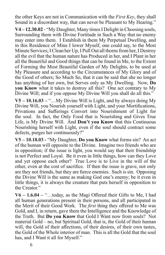the other Keys are not in Communication with the *First Key*, they shall Sound in a discordant way, that can never be Pleasant to My Hearing."

**V4 – 12.30.02** - "My Daughter, Many times I Delight in Choosing souls, Surrounding them with Divine Fortitude in Such a Way that no enemy may enter into them. I Establish in them My Perpetual Dwelling, and in this Residence of Mine I lower Myself, one could say, to the Most Minute Services; I Clean her Up, I Pull Out all thorns from her, I Destroy all the evil that the human nature has Produced in her, and I Plant in her all the Beautiful and Good things that can be found in Me, to the Extent of Forming the Most Beautiful Garden of My Delights, to be used at My Pleasure and according to the Circumstances of My Glory and of the Good of others; So Much So, that it can be said that she no longer has anything of her own, but Serves only as My Dwelling. Now, **Do you Know** what it takes to destroy all this? One act contrary to My Divine Will; and if you oppose My Divine Will you shall do all this."

**V5 – 10.16.03 –** "…My Divine Will is Light, and by always doing My Divine Will, you Nourish yourself with Light, and your Mortifications, Privations and Sufferings Convert into Nourishment of Light for the soul. In fact, the Only Food that is Nourishing and Gives True Life, is My Divine Will. And **Don't you Know** that this Continuous Nourishing herself with Light, even if the soul should contract some defects, purges her continuously?"

**V5 – 10.18.03 -** "My Daughter, **Do you Know** what forms sin? An act of the human will opposite to the Divine. Imagine two friends who are in opposition; if the issue is light, you would say that their friendship is not Perfect and Loyal. Be it even in little things, how can they Love and yet oppose each other? True Love is to Live in the will of the other, even at the cost of sacrifice. If then the issue is grave, not only are they not friends, but they are fierce enemies. Such is sin. Opposing the Divine Will is the same as making God one's enemy; be it even in little things, it is always the creature that puts herself in opposition to the Creator."

 $6^{10}$ **V6 – 1.6.04 –** "…today, as the Magi Offered their Gifts to Me, I had all human generations present in their persons, and all participated in the Merit of their Good Work. The *first* thing they offered to Me was Gold, and I, in return, gave them the Intelligence and the Knowledge of the Truth. But **Do you Know** that Gold I Want now from souls? Not material Gold – no, but Spiritual Gold, that is, the Gold of their human will, the Gold of their affections, of their desires, of their own tastes, the Gold of the Whole interior of man. This is all the Gold that the soul has, and I Want it all for Myself."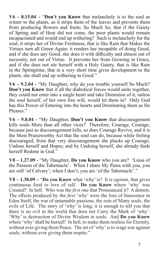**V6 – 8.15.04 –** "**Don't you Know** that melancholy is to the soul as winter to the plants, as it strips them of the leaves and prevents them from producing flowers and fruits; So Much So, that if the Gaiety of Spring and of Heat did not come, the poor plants would remain incapacitated and would end up withering? Such is melancholy for the soul; it strips her of Divine Freshness, that is like Rain that Makes the Virtues turn all Green Again; it renders her incapable of doing Good, and if she does any Good, she does it with difficulty and almost out of necessity, not out of Virtue. It prevents her from Growing in Grace, and if she does not stir herself with a Holy Gaiety, that is like Rain in the Springtime, that in a very short time gives development to the plants, she shall end up withering in Good."

**V6 – 9.2.04 -** "My Daughter, why do you trouble yourself So Much? **Don't you Know** that if all the diabolical forces would unite together, they could not enter into a single heart and take Dominion of it, unless the soul herself, of her own free will, would let them in? Only God has this Power of Entering into the hearts and Dominating them as He Pleases."

**V6 – 9.8.04 -** "My Daughter, **Don't you Know** that discouragement kills souls More than all other vices? Therefore, Courage, Courage, because just as discouragement kills, so does Courage Revive, and it is the Most Praiseworthy Act that the soul can do, because while feeling discouraged, from that very discouragement she plucks up Courage, Undoes herself and Hopes; and by Undoing herself, she already finds herself Redone in God."

**V8 – 1.27.09 -** "My Daughter, **Do you Know** who you are? 'Luisa of the Passion of the Tabernacle'. When I share My Pains with you, you are still 'of Calvary'; when I don't, you are 'of the Tabernacle'."

**V8 – 1.30.09 –** "**Do you Know** what 'why' is? It is egoism, that gives continuous food to love of self. **Do you Know** where 'why' was Created? In hell. Who was the *first* one that Pronounced it? A demon. The effects produced by the *first* 'why' were the loss of Innocence in Eden Itself, the war of untamable passions, the ruin of Many souls, the evils of Life. The story of 'why' is long; it is enough to tell you that there is no evil in the world that does not Carry the Mark of 'why'. 'Why' is destruction of Divine Wisdom in souls. And **Do you Know** where 'why' shall be buried? In hell, to make them restless for Eternity, without ever giving them Peace. The art of 'why' is to wage war against souls, without ever giving them respite."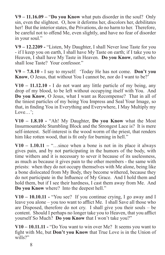**V9 – 11.16.09 –** "**Do you Know** what puts disorder in the soul? Only sin, even the slightest. O, how it deforms her, discolors her, debilitates her! But the interior states, the Privations, do no harm to her. Therefore, be careful not to offend Me, even slightly, and have no fear of disorder in your soul."

**V9 – 12.2209 -** "Listen, My Daughter, I shall Never lose Taste for you - if I keep you on earth, I shall have My Taste on earth; if I take you to Heaven, I shall have My Taste in Heaven. **Do you Know**, rather, who shall lose Taste? Your confessor."

**V9 – 7.8.10 -** I say to myself: 'Today He has not come. **Don't you Know**, O Jesus, that without You I cannot be, nor do I want to be?'

**V10 – 11.12.10 -** I do not want any little particle of my being, any drop of my blood, to be left without occupying itself with You. And **Do you Know**, O Jesus, what I want as Recompense? That in all of the tiniest particles of my being You Impress and Seal Your Image, so that, in finding You in Everything and Everywhere, I May Multiply my Love…';

**V10 – 1.8.10 -** "Ah! My Daughter, **Do you Know** what the Most Insurmountable Stumbling Block and the Strongest Lace is? It is mere self-interest. Self-interest is the wood worm of the priest, that renders him like rotten wood, that is fit only for burning in hell."

 $V10 - 1.10.11 -$  "...since when a bone is not in its place it always"... gives pain, and by not participating in the humors of the body, with time withers and it is necessary to sever it because of its uselessness, as much as because it gives pain to the other members - the same with priests: when they do not occupy themselves with Me alone, being like a bone dislocated from My Body, they become withered, because they do not participate in the Influence of My Grace. And I hold them and hold them, but if I see their hardness, I cast them away from Me. And **Do you Know** where? Into the deepest hell."

**V10 – 10.10.11 -** "You see? If you continue crying, I go away and I leave you alone – you too want to afflict Me. I shall Save all those who are Disposed, therefore do not cry. I shall give you their souls – be content. Should I perhaps no longer take you to Heaven, that you afflict yourself So Much? **Do you Know** that I won't take you?"

**V10 – 10.11.11 -** "Do You want to win over Me? It seems you want to fight with Me, but **Don't you Know** that True Love is in the Union of wills?"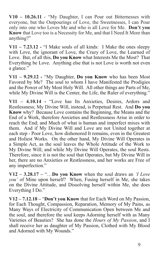**V10 – 10.26.11** - "My Daughter, I can Pour out Bitternesses with everyone, but the Outpourings of Love, the Sweetnesses, I can Pour only into one who Loves Me and who is all Love for Me. **Don't you Know** that Love too is a Necessity for Me, and that I Need It More than anything?"

**V11 – 7.23.12 -** "I Make souls of all kinds: I Make the ones sleepy with Love, the ignorant of Love, the Crazy of Love, the Learned of Love. But, of all this, **Do you Know** what Interests Me the Most? That Everything be Love. Anything else that is not Love is worth not even a glance."

**V11 – 9.29.12 -** "My Daughter, **Do you Know** who has been Most Favored by Me? The soul to whom I have Manifested the Prodigies and the Power of My Most Holy Will. All other things are Parts of Me, while My Divine Will is the Center, the Life, the Ruler of everything."

**V11 – 4.10.14 -** "Love has Its Anxieties, Desires, Ardors and Restlessness; My Divine Will, instead, is Perpetual Rest. And **Do you Know** why? Because Love contains the Beginning, the Means and the End of a Work, therefore Anxieties and Restlessness Arise in order to reach the End; and Much of what is human and imperfect mixes with them. And if My Divine Will and Love are not United together at each step - Poor Love, how dishonored It remains, even in the Greatest and Holiest Works. On the other hand, My Divine Will Operates in a Simple Act, as the soul leaves the Whole Attitude of the Work to My Divine Will; and while My Divine Will Operates, the soul Rests. Therefore, since it is not the soul that Operates, but My Divine Will in her, there are no Anxieties or Restlessness, and her works are Free of any imperfection."

**V12 – 3.28.17 –** "…**Do you Know** when the soul draws an *'I Love you'* of Mine upon herself? When, Fusing herself in Me, she takes on the Divine Attitude, and Dissolving herself within Me, she does Everything I Do."

**V12 – 7.12.18 –** "**Don't you Know** that for Each Word on My Passion, for Each Thought, Compassion, Reparation, Memory of My Pains, as Many Ways of Electricity of Communication Open between Me and the soul, and therefore the soul keeps Adorning herself with as Many Varieties of Beauties? She has done the *Hours of My Passion*, and I shall receive her as daughter of My Passion, Clothed with My Blood and Adorned with My Wounds."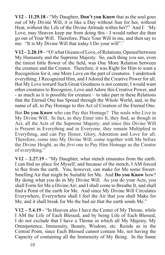**V12 – 11.29.18 -** "My Daughter, **Don't you Know** that as the soul goes out of My Divine Will, it is like a Day without Sun for her, without Heat, without the Life of the Divine Attitude within her?" And I: 'My Love, may Heaven keep me from doing this - I would rather die than go out of Your Will. Therefore, Place Your Will in me, and then say to me: "It is My Divine Will that today I Do your will".'

**V12 – 2.20.19 –** "O! what Oceans of Love, of Relations, Opened between My Humanity and the Supreme Majesty. So, each thing you see, even the tiniest little flower of the field, was One More Relation between the creature and the Creator. Therefore, it was Right for Him to want a Recognition for it, one More Love on the part of creatures. I undertook everything; I Recognized Him, and I Adored the Creative Power for all. But My Love toward Such Great Goodness is not content; I would want other creatures to Recognize, Love and Adore this Creative Power, and - as much as it is possible for creature – to take part in these Relations that the Eternal One has Spread through the Whole World, and, in the name of all, to Pay Homage to this Act of Creation of the Eternal One.

But **Do you Know** who can Pay this Homage? The souls who Live in My Divine Will. In fact, as they Enter into It, they find, as though in Act, all the Acts of the Supreme Majesty; and since this Divine Will is Present in Everything and in Everyone, they remain Multiplied in Everything, and can Pay Honor, Glory, Adoration and Love for all. Therefore, come into My Divine Will, come together with Me before the Divine Height, as the *first* one to Pay Him Homage as the Creator of everything."

**V12 – 2.27.19 -** "My Daughter, what stench emanates from the earth. I can find no place for Myself; and because of the stench, I AM forced to flee from the earth. You, however, can make for Me some Sweet-Smelling Air that might be Suitable for Me. And **Do you Know** how? By doing what you do in My Divine Will. As you do your Acts, you shall Form for Me a Divine Air; and I shall come to Breathe It, and shall find a Point of the earth for Me. And since My Divine Will Circulates Everywhere, Everywhere shall I feel the Air that you shall Make for Me, and it shall break for Me the bad air that the earth sends Me."

**V12 – 5.4.19 -** "In Heaven also I have the Center of My Throne, while I AM the Life of Each Blessed, and by being Life of Each Blessed, I do not exclude that I have a Throne in which all My Majesty, My Omnipotence, Immensity, Beauty, Wisdom, etc. Reside as in the Central Point, since Each Blessed cannot contain Me, not having the Capacity of containing all the Immensity of My Being. In the Same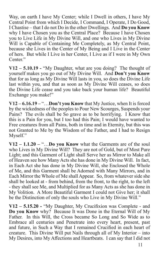Way, on earth I have My Center; while I Dwell in others, I have My Central Point from which I Decide, I Command, I Operate, I Do Good, I Chastise – that I do not Do in the other Dwellings. And **Do you Know** why I have Chosen you as the Central Place? Because I have Chosen you to Live Life in My Divine Will, and one who Lives in My Divine Will is Capable of Containing Me Completely, as My Central Point, because she Lives in the Center of My Being and I Live in the Center of hers. But while I Live in her Center, I Live as if I were in My Own Center."

**V12 – 5.10.19 -** "My Daughter, what are you doing? The thought of yourself makes you go out of My Divine Will. And **Don't you Know** that for as long as My Divine Will lasts in you, so does the Divine Life last within you, and that as soon as My Divine Will ceases, so does the Divine Life cease and you take back your human life? Beautiful Exchange you make!"

**V12 – 6.16.19 –** "…**Don't you Know** that My Justice, when It is forced by the wickedness of the peoples to Pour New Scourges, Suspends your Pains? The evils shall be So grave as to be horrifying. I Know that this is a Pain for you, but I too had this Pain; I would have wanted to Free creatures from all Pains, both in time and in Eternity, but this was not Granted to Me by the Wisdom of the Father, and I had to Resign Myself."

**V12 – 1.1.20 –** "…**Do you Know** what the Garments are of the soul who Lives in My Divine Will? They are not of Gold, but of Most Pure Light; and this Garment of Light shall Serve her as Mirror to Make all of Heaven see how Many Acts she has done in My Divine Will. In fact, in Each Act she has done in My Divine Will, she Enclosed the Whole of Me, and this Garment shall be Adorned with Many Mirrors, and in Each Mirror the Whole of Me shall Appear. So, from whatever side she shall be looked at - from behind, from the front, to the right, to the left - they shall see Me, and Multiplied for as Many Acts as she has done in My Volition. A More Beautiful Garment I could not Give her; it shall be the Distinction of only the souls who Live in My Divine Will."

**V12 – 5.15.20 -** "My Daughter, My Crucifixion was Complete - and **Do you Know** why? Because It was Done in the Eternal Will of My Father. In this Will, the Cross became So Long and So Wide as to Embrace all centuries and Penetrate into every heart, present, past and future, in Such a Way that I remained Crucified in each heart of creature. This Divine Will put Nails through all of My Interior – into My Desires, into My Affections and Heartbeats. I can say that I did not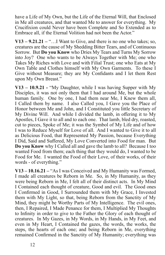have a Life of My Own, but the Life of the Eternal Will, that Enclosed in Me all creatures, and that wanted Me to answer for everything. My Crucifixion could Never have been Complete and So Extended as to Embrace all, if the Eternal Volition had not been the Actor."

 $V13 - 9.21.21 -$  "... I Want to Give, and there is no one who takes; so, creatures are the cause of My Shedding Bitter Tears, and of Continuous Sorrow. But **Do you Know** who Dries My Tears and Turns My Sorrow into Joy? One who wants to be Always Together with Me; one who Takes My Riches with Love and with Filial Trust; one who Eats at My Own Table and Clothes himself with My Own Garments. To these I Give without Measure; they are My Confidants and I let them Rest upon My Own Breast."

**V13 – 10.9.21 -** "My Daughter, while I was having Supper with My Disciples, it was not only them that I had around Me, but the whole human family. One by one, I had them near Me, I Knew them all, I Called them by name. I also Called you, I Gave you the Place of Honor between Me and John, and I Constituted you little Secretary of My Divine Will. And while I divided the lamb, in offering it to My Apostles, I Gave it to all and to each one. That lamb, bled dry, roasted, cut to pieces, Spoke of Me; it was the Symbol of My Life and of how I was to Reduce Myself for Love of all. And I wanted to Give it to all as Delicious Food, that Represented My Passion, because Everything I Did, Said and Suffered, My Love Converted into Food for man. But **Do you Know** why I Called all and gave the lamb to all? Because I too wanted Food from them; each thing that they would do, I wanted to be Food for Me. I wanted the Food of their Love, of their works, of their words - of everything."

**V13 – 10.16.21 –** "As I was Conceived and My Humanity was Formed, I made all creatures be Reborn in Me. So, in My Humanity, as they were being Reborn in Me, I felt all of their distinct acts. In My Mind I Contained each thought of creature, Good and evil. The Good ones I Confirmed in Good, I Surrounded them with My Grace, I Invested them with My Light, so that, being Reborn from the Sanctity of My Mind, they might be Worthy Parts of My Intelligence. The evil ones, then, I Repaired, I Made Penance for them, I Multiplied My Thoughts to Infinity in order to give to the Father the Glory of each thought of creatures. In My Gazes, in My Words, in My Hands, in My Feet, and even in My Heart, I Contained the gazes, the words, the works, the steps, the hearts of each one; and being Reborn in Me, everything remained Confirmed in the Sanctity of My Humanity; everything was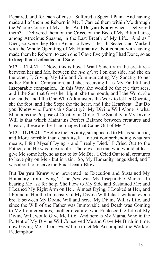Repaired, and for each offense I Suffered a Special Pain. And having made all of them be Reborn in Me, I Carried them within Me through the Whole Course of My Life. And **Do you Know** when I Delivered them? I Delivered them on the Cross, on the Bed of My Bitter Pains, among Atrocious Spasms, in the Last Breath of My Life. And as I Died, so were they Born Again to New Life, all Sealed and Marked with the Whole Operating of My Humanity. Not content with having made them be Reborn, to each one I Gave Everything I had Done, so as to keep them Defended and Safe."

**V13 – 11.4.21** – "Now, this is how I Want Sanctity in the creature between her and Me, between the *two of us*; I on one side, and she on the other; I, Giving My Life and Communicating My Sanctity to her as her Faithful Companion, and she, receiving It as My Faithful and Inseparable companion. In this Way, she would be the eye that sees, and I the Sun that Gives her Light; she the mouth, and I the Word; she the hands, and I the One Who Administers the Work to let her Operate; she the foot, and I the Step; she the heart, and I the Heartbeat. But **Do you Know** who Forms this Sanctity? My Divine Will Alone is what Maintains the Purpose of Creation in Order. The Sanctity in My Divine Will is that which Maintains Perfect Balance between creatures and Creator; these are the True Images that Came Out of Me."

**V13 – 11.19.21 –** "Before the Divinity, sin appeared to Me as so horrid, and More horrible than death itself. In just comprehending what sin means, I felt Myself Dying - and I really Died. I Cried Out to the Father, and He was Inexorable. There was no one who would at least give Me some help, so as not to let Me Die. I Cried Out to all creatures to have pity on Me - but in vain. So, My Humanity languished, and I was about to receive the Final Death-Blow.

But **Do you Know** who prevented its Execution and Sustained My Humanity from Dying? The *first* was My Inseparable Mama. In hearing Me ask for help, She Flew to My Side and Sustained Me; and I Leaned My Right Arm on Her. Almost Dying, I Looked at Her, and I Found in Her the Immensity of My Divine Will Intact, without ever a break between My Divine Will and hers. My Divine Will is Life, and since the Will of the Father was Immovable and Death was Coming to Me from creatures, another creature, who Enclosed the Life of My Divine Will, would Give Me Life. And here is My Mama, Who in the Portent of My Divine Will Conceived Me and Gave Me Birth in time, now Giving Me Life a *second* time to let Me Accomplish the Work of Redemption.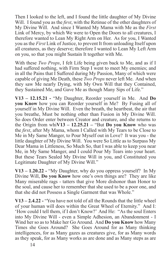Then I looked to the left, and I found the little daughter of My Divine Will. I found you as the *first*, with the Retinue of the other daughters of My Divine Will. And since I Wanted My Mama with Me as the *First* Link of Mercy, by which We were to Open the Doors to all creatures, I therefore wanted to Lean My Right Arm on Her. As for you, I Wanted you as the *First* Link of Justice, to prevent It from unloading Itself upon all creatures, as they deserve; therefore I wanted to Lean My Left Arm on you, so that you might Sustain It together with Me.

With these *Two Props*, I felt Life being given back to Me, and as if I had suffered nothing, with Firm Step I went to meet My enemies; and in all the Pains that I Suffered during My Passion, Many of which were capable of giving Me Death, these *Two Props* never left Me. And when they saw Me nearly Dying, with My Own Will that they Contained, they Sustained Me, and Gave Me as though Many Sips of Life."

**V13 – 12.15.21 -** "My Daughter, Reorder yourself in Me. And **Do you Know** how you can Reorder yourself in Me? By Fusing all of yourself in My Divine Will. Even the breath, the heartbeat, the air that you breathe, Must be nothing other than Fusion in My Divine Will. So does Order enter between Creator and creature, and she returns to the Origin from whi**V13 – 12.25.21 –** "But **Do you Know** who was the *first*, after My Mama, whom I Called with My Tears to be Close to Me in My Same Manger, to Pour Myself out in Love? It was you - the little daughter of My Divine Will. You were So Little as to Surpass My Dear Mama in Littleness, So Much So, that I was able to keep you near Me, in My Same Manger, and I could Pour My Tears into your heart. But these Tears Sealed My Divine Will in you, and Constituted you Legitimate Daughter of My Divine Will."

**V13 – 1.20.22 -** "My Daughter, why do you oppress yourself? In My Divine Will, **Do you Know** how one's own things are? They are like Many miserable rags - tatters that give More dishonor than Honor to the soul, and cause her to remember that she used to be a poor one, and that she did not Possess a Single Garment that was Whole."

**V13 – 2.4.22 -** "You have not told of all the Rounds that the little wheel of your human will does within the Great Wheel of Eternity." And I: 'How could I tell them, if I don't Know?' And He: "As the soul Enters into My Divine Will - even a Simple Adhesion, an Abandonment - I Wind her so as to Make her Go Around. And **Do you Know** how Many Times she Goes Around? She Goes Around for as Many thinking intelligences, for as Many gazes as creatures give, for as Many words as they speak, for as Many works as are done and as Many steps as are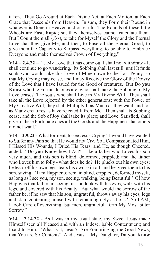taken. They Go Around at Each Divine Act, at Each Motion, at Each Grace that Descends from Heaven. In sum, they Form their Round in whatever is Done in Heaven and on earth. The Rounds of these little Wheels are Fast, Rapid; so, they themselves cannot calculate them. But I Count them all - *first*, to take for Myself the Glory and the Eternal Love that they give Me; and then, to Fuse all the Eternal Good, to give them the Capacity to Surpass everything, to be able to Embrace Everyone and make themselves Crown of Everything."

**V14 – 2.4.22 –** "…My Love that has come out I shall not withdraw - It shall continue to go wandering. Its Sobbing shall last still, until It finds souls who would take this Love of Mine down to the Last Penny, so that My Crying may cease, and I may Receive the Glory of the Dowry of the Love that I have Issued for the Good of creatures. But **Do you Know** who the Fortunate ones are, who shall make the Sobbing of My Love cease? The souls who shall Live in My Divine Will. They shall take all the Love rejected by the other generations; with the Power of My Creative Will, they shall Multiply It as Much as they want, and for as Many creatures as have rejected It from Me. Then shall Its Sobbing cease, and the Sob of Joy shall take its place; and Love, Satisfied, shall give to these Fortunate ones all the Goods and the Happiness that others did not want."

**V14 – 2.9.22 -** What torment, to see Jesus Crying! I would have wanted to Suffer any Pain so that He would not Cry. So I Compassionated Him, I Kissed His Wounds, I Dried His Tears; and He, as though Cheered, added: "**Do you Know** how I Act? Like a father who Loves his son very much, and this son is blind, deformed, crippled; and the father who Loves him to folly - what does he do? He plucks out his own eyes; he tears off his own legs, tears his own skin off, and he gives them to his son, saying: 'I am Happier to remain blind, crippled, deformed myself, as long as I see you, my son, seeing, walking, being Beautiful.' O! how Happy is that father, in seeing his son look with his eyes, walk with his legs, and covered with his Beauty. But what would the sorrow of the father be, if he saw that his son, ungrateful, throws away his eyes, legs and skin, contenting himself with remaining ugly as he is? So I AM; I took Care of everything, but men, ungrateful, form My Most bitter Sorrow."

**V14 – 2.14.22 -** As I was in my usual state, my Sweet Jesus made Himself seen all Pleased and with an Indescribable Contentment; and I said to Him: 'What is it, Jesus? Are You bringing me Good News, that You are So Content?' And Jesus: "My Daughter, **Do you Know**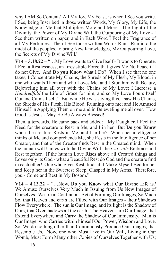why I AM So Content? All My Joy, My Feast, is when I See you write. I See, being Inscribed in those written Words, My Glory, My Life, the Knowledge of Me that Multiplies More and More. The Light of the Divinity, the Power of My Divine Will, the Outpouring of My Love - I See them written on paper, and in Each Word I Feel the Fragrance of all My Perfumes. Then I See those written Words Run - Run into the midst of the peoples, to bring New Knowledges, My Outpouring Love, the Secrets of My Divine Will."

**V14 – 3.18.22 –** "…My Love wants to Give Itself - It wants to Operate. I Feel a Restlessness, an Irresistible Force that gives Me No Peace if I do not Give. And **Do you Know** what I Do? When I see that no one takes, I Concentrate My Chains, the Shreds of My Flesh, My Blood, in one who wants Them and who Loves Me, and I Stud him with Beauty, Bejeweling him all over with the Chains of My Love; I Increase a *Hundredfold* the Life of Grace for him, and so My Love Pours Itself Out and Calms Itself." But while He was saying this, I saw His Chains, the Shreds of His Flesh, His Blood, Running onto me; and He Amused Himself in Applying Them on me and in Bejeweling me all over. How Good is Jesus - May He Be Always Blessed!

Then, afterwards, He came back and added: "My Daughter, I Feel the Need for the creature to Rest in Me, and I in her. But **Do you Know** when the creature Rests in Me, and I in her? When her intelligence thinks of Me and comprehends Me, she Rests in the Intelligence of her Creator, and that of the Creator finds Rest in the Created mind. When the human will Unites with the Divine Will, the *two wills* Embrace and Rest together. If the human Love Rises above all Created things and Loves only its God - what a Beautiful Rest do God and the creature find in each other! One who gives Rest, finds it; I Make Myself Bed for her and Keep her in the Sweetest Sleep, Clasped in My Arms. Therefore, you - Come and Rest in My Bosom."

**V14 – 4.13.22 –** "…Now, **Do you Know** what Our Divine Life is? We Amuse Ourselves Very Much in Issuing from Us New Images of Ourselves. We are in Continuous Act of Forming Our Images, So Much So, that Heaven and earth are Filled with Our Images - their Shadows Flow Everywhere. The sun is Our Image, and its light is the Shadow of Ours, that Overshadows all the earth. The Heavens are Our Image, that Extend Everywhere and Carry the Shadow of Our Immensity. Man is Our Image, who Carries within himself Our Power, Wisdom and Love. So, We do nothing other than Continuously Produce Our Images, that Resemble Us. Now, one who Must Live in Our Will, Living in Our Womb, Must Form Many other Copies of Ourselves Together with Us;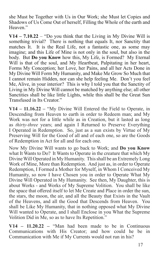she Must be Together with Us in Our Work; she Must let Copies and Shadows of Us Come Out of herself, Filling the Whole of the earth and Heaven."

**V14 – 7.10.22** – "Do you think that the Living in My Divine Will is something trivial? There is nothing that equals It, nor Sanctity that matches It. It is the Real Life, not a fantastic one, as some may imagine; and this Life of Mine is not only in the soul, but also in the body. But **Do you Know** how this, My Life, is Formed? My Eternal Will is that of the soul, and My Heartbeat, Palpitating in her heart, Forms My Conception; her Love, her Pains, and all her Acts Done in My Divine Will Form My Humanity, and Make Me Grow So Much that I cannot remain Hidden, nor can she help feeling Me. Don't you feel Me, Alive, in your interior? This is why I told you that the Sanctity of Living in My Divine Will cannot be matched by anything else; all other Sanctities shall be like little Lights, while this shall be the Great Sun Transfused in Its Creator."

**V14 – 11.16.22 –** "My Divine Will Entered the Field to Operate, in Descending from Heaven to earth in order to Redeem man; and My Work was not for a little while as in Creation, but it lasted as long as *thirty-three* years; and again I Returned to Preserve Everything I Operated in Redemption. So, just as a sun exists by Virtue of My Preserving Will for the Good of all and of each one, so are the Goods of Redemption in Act for all and for each one.

Now My Divine Will wants to go back to Work; and **Do you Know** what It Wants to Do? It Wants to Operate in the creature that which My Divine Will Operated in My Humanity. This shall be an Extremely Long Work of Mine, More than Redemption. And just as, in order to Operate Redemption, I Formed a Mother for Myself, in Whom I Conceived My Humanity, so now I have Chosen you in order to Operate What My Divine Will Operated in My Humanity. See then, My Daughter, this is about Works - and Works of My Supreme Volition. You shall be like the space that offered itself to let Me Create and Place in order the sun, the stars, the moon, the air, and all the Beauty that Exists in the Vault of the Heavens, and all the Good that Descends from Heaven. You shall be Like My Humanity, that in nothing opposed what My Divine Will wanted to Operate, and I shall Enclose in you What the Supreme Volition Did in Me, so as to have Its Repetition."

**V14 – 11.20.22 –** "Man had been made to be in Continuous Communications with His Creator; and how could he be in Communication with Me if My Currents would not run in his?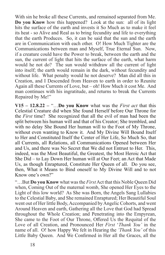With sin he broke all these Currents, and remained separated from Me. **Do you Know** how this happened? Look at the sun: all of its light hits the surface of the earth and invests it So Much as to make it feel its heat - so Alive and Real as to bring fecundity and life to everything that the earth Produces. So, it can be said that the sun and the earth are in Communication with each other. O! How Much Tighter are the Communications between man and Myself, True Eternal Sun. Now, if a creature could have the Power to break, between the earth and the sun, the current of light that hits the surface of the earth, what harm would he not do? The sun would withdraw all the current of light into itself; the earth would remain in the dark, without fecundity and without life. What penalty would he not deserve? Man did all this in Creation, and I Descended from Heaven to earth in order to Reunite Again all these Currents of Love, but – oh! How Much it cost Me. And man continues with his ingratitude, and returns to break the Currents Repaired by Me!"

**V15 – 12.8.22 – "...Do you Know** what was the *First act* that this Celestial Creature did when She found Herself before Our Throne for the *First* time? She recognized that all the evil of man had been the split between his human will and that of his Creator; She trembled, and with no delay She Bound Her human will to the Foot of My Throne, without even wanting to Know it. And My Divine Will Bound Itself to Her and Constituted Itself the Center of Her Life, So Much So, that all Currents, all Relations, all Communications Opened between Her and Us, and there was No Secret that We did not Entrust to Her. This, indeed, was the Most Beautiful, the Greatest, the Most Heroic Act that She Did – to Lay Down Her human will at Our Feet; an Act that Made Us, as though Enraptured, Constitute Her Queen of all. Do you see, then, What it Means to Bind oneself to My Divine Will and to not Know one's own?"

"…But **Do you Know** what was the *First* Act that this Noble Queen Did when, Coming Out of the maternal womb, She opened Her Eyes to the Light of this low world? As She was Born, the Angels Sang Lullabies to the Celestial Baby, and She remained Enraptured; Her Beautiful Soul went out of Her little Body, Accompanied by Angelic Cohorts, and went Around Heaven and earth, Gathering all the Love that God had Spread throughout the Whole Creation; and Penetrating into the Empyrean, She came to the Foot of Our Throne, Offered Us the Requital of the Love of all Creation, and Pronounced Her *First* '*Thank You'* in the name of all. O! how Happy We felt in Hearing the *'Thank You'* of this Little Baby Queen. And We Confirmed in Her all the Graces, all the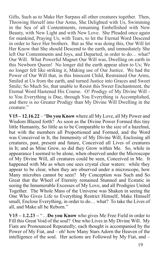Gifts, Such as to Make Her Surpass all other creatures together. Then, Throwing Herself into Our Arms, She Delighted with Us, Swimming in the Sea of all Contentments, remaining Embellished with New Beauty, with New Light and with New Love. She Pleaded once again for mankind, Praying Us, with Tears, to let the Eternal Word Descend in order to Save Her brothers. But as She was doing this, Our Will let Her Know that She should Descend to the earth, and immediately She left Our Contentments and Joys, and Departed, in order to do… what? Our Will. What Powerful Magnet Our Will was, Dwelling on earth in this Newborn Queen! No longer did the earth appear alien to Us; We no longer felt like striking it, Making use of Our Justice. We had the Power of Our Will that, in this Innocent Child, Restrained Our Arms, Smiled at Us from the earth, and turned Justice into Graces and Sweet Smile; So Much So, that unable to Resist this Sweet Enchantment, the Eternal Word Hastened His Course. O! Prodigy of My Divine Will to You Everything is Due, through You Everything is Accomplished, and there is no Greater Prodigy than My Divine Will Dwelling in the creature."

**V15 – 12.16.22** – "**Do you Know** where all My Love, all My Power and Wisdom Blazed forth? As soon as the Divine Power Formed this tiny little Humanity, So little as to be Comparable to the size of a hazelnut, but with the members all Proportioned and Formed, and the Word was Conceived in It, the Immensity of My Divine Will, Enclosing all creatures, past, present and future, Conceived all Lives of creatures in It; and as Mine Grew, so did they Grow within Me. So, while in appearance I seemed to be alone, when observed under the Microscope of My Divine Will, all creatures could be seen, Conceived in Me. It happened with Me as when one sees crystal clear waters: while they appear to be clear, when they are observed under a microscope, how Many microbes cannot be seen? My Conception was Such and So Great that the Wheel of Eternity remained Stunned and Ecstatic in seeing the Innumerable Excesses of My Love, and all Prodigies United Together. The Whole Mass of the Universe was Shaken in seeing the One Who Gives Life to Everything Restrict Himself, Make Himself small, Enclose Everything, in order to do… what? To take the Lives of all, and Make all be Reborn."

**V15 – 1.2.23 –** "…**Do you Know** who gives Me Free Field in order to Fill this Great Void of the soul? One who Lives in My Divine Will. My Fiats are Pronounced Repeatedly; each thought is accompanied by the Power of My Fiat, and – oh! how Many Stars Adorn the Heaven of the intelligence of the soul. Her actions are Followed by My Fiat, and –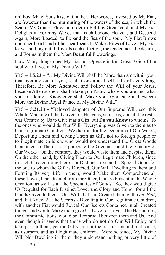oh! how Many Suns Rise within her. Her words, Invested by My Fiat, are Sweeter than the murmuring of the waters of the sea, in which the Sea of My Graces Flows in order to Fill this Great Void, and My Fiat Delights in Forming Waves that reach beyond Heaven, and Descend Again, More Loaded, to Expand the Sea of the soul. My Fiat Blows upon her heart, and of her heartbeats It Makes Fires of Love. My Fiat leaves nothing out; It Invests each affection, the tendencies, the desires, and Forms in them the Most Beautiful Flowerings.

How Many things does My Fiat not Operate in this Great Void of the soul who Lives in My Divine Will!"

**V15 – 1.5.23 –** "…My Divine Will shall be More than air within you, that, coming out of you, shall Constitute Itself Life of everything. Therefore, Be More Attentive, and Follow the Will of your Jesus, because Attentiveness shall Make you Know where you are and what you are doing. Knowledge shall Make you Appreciate and Esteem More the Divine Royal Palace of My Divine Will."

**V15 – 5.21.23 -** "Beloved daughter of Our Supreme Will, see, this Whole Machine of the Universe – Heavens, sun, seas, and all the rest – was Created by Us to Give it as a Gift; but **Do you Know** to whom? To the ones who would do Our Will. Everything was Given to them as to Our Legitimate Children. We did this for the Decorum of Our Works, Depositing Them and Giving Them as Gift, not to foreign people or to illegitimate children, who would not understand the Great Goods Contained in Them, nor appreciate the Greatness and the Sanctity of Our Works – on the contrary, they would waste them and despise them. On the other hand, by Giving Them to Our Legitimate Children, since in each Created thing there is a Distinct Love and a Special Good for the one to whom the Gift is Directed, Our Will, Dwelling in them and Forming Its very Life in them, would Make them Comprehend all these Loves, One Distinct from the Other, that are Present in the Whole Creation, as well as all the Specialties of Goods. So, they would give Us Requital for Each Distinct Love, and Glory and Honor for all the Goods Given to them. Our Will, that had Created them with *One Fiat*, and that Knew All the Secrets - Dwelling in Our Legitimate Children, with another Fiat would Reveal Our Secrets Contained in all Created things, and would Make them give Us Love for Love. The Harmonies, the Communications, would be Reciprocal between them and Us. And even though it seems that those who do not do Our Will Enjoy and take part in them, yet the Gifts are not theirs – it is as indirect cause, as usurpers, and as illegitimate children. More so since, My Divine Will Not Dwelling in them, they understand nothing or very little of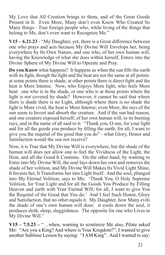My Love that All Creation brings to them, and of the Great Goods Present in It. Even More, Many don't even Know Who Created So Many things - True foreign people who, while living of the things that belong to Me, don't even want to Recognize Me."

**V15 – 6.21.23** - "My Daughter, yet, there is a Great difference between one who prays and acts because My Divine Will Envelops her, being everywhere by Its Own Nature, and one who, of her own human will, having the Knowledge of what she does within herself, Enters into the Divine Sphere of My Divine Will to Operate and Pray.

**Do you Know** what happens? It happens as when the sun fills the earth with its fight, though the fight and the heat are not the same at all points: at some points there is shade, at other points there is direct fight and the heat is More Intense. Now, who Enjoys More light, who feels More heat: one who is in the shade, or one who is at those points where the light is not covered by shade? However, it cannot be said that where there is shade there is no Light, although where there is no shade the light is More vivid, the heat is More Intense; even More, the rays of the sun seem to Invest and absorb the creature. And if the sun had reason, and one creature exposed herself, of her own human will, to its burning rays, and in the name of all said to it: "Thank you, O sun, for your light and for all the goods you produce by filling the earth; for all, I want to give you the requital of the good that you do" - what Glory, Honor and Satisfaction would the sun not receive?

Now, it is True that My Divine Will is everywhere, but the shade of the human will does not allow one to feel the Vividness of the Light, the Heat, and all the Good It Contains. On the other hand, by wanting to Enter into My Divine Will, the soul lays down her own and removes the shade of her volition, and My Divine Will Makes Its Vivid Light Shine, It Invests her, It Transforms her into Light Itself. And the soul, plunged into My Eternal Volition, says to Me: 'Thank You, O Holy Supreme Volition, for Your Light and for all the Goods You Produce by Filling Heaven and earth with Your Eternal Will; for all, I want to give You the Requital of the Good that You do.' And I feel Such Honor, Glory and Satisfaction, that no other equals it. My Daughter, how Many evils the shade of one's own human will does: it cools down the soul, it produces sloth, sleep, sluggishness. The opposite for one who Lives in My Divine Will."

**V15 – 7.5.23 –** "…when, wanting to scrutinize Me also, Pilate asked Me: "Are you a King? And where is Your Kingdom?", I wanted to give another Sublime Lesson by saying: "I AM King". And I wanted to say: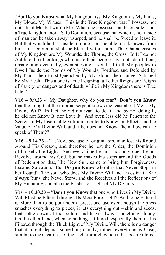"But **Do you Know** what My Kingdom is? My Kingdom is My Pains, My Blood, My Virtues. This is the True Kingdom that I Possess, not outside of Me, but within Me. What one possesses on the outside is not a True Kingdom, nor a Safe Dominion, because that which is not inside of man can be taken away, usurped, and he shall be forced to leave it. But that which he has inside, no one shall be able to take away from him - its Dominion shall be Eternal within him. The Characteristics of My Kingdom are My Wounds, the Thorns, the Cross. In It I do not Act like the other kings who make their peoples live outside of them, unsafe, and eventually, even starving. Not I - I Call My peoples to Dwell Inside the Rooms of My Wounds, Fortified and Defended by My Pains, their thirst Quenched by My Blood, their hunger Satisfied by My Flesh. This alone is True Reigning; all other Reigns are Reigns of slavery, of dangers and of death, while in My Kingdom there is True Life."

**V16 – 9.9.23 -** "My Daughter, why do you fear? **Don't you Know** that the thing that the infernal serpent knows the least about Me is My Divine Will? In fact, he did not want to do It, and by not doing It, he did not Know It, nor Love It. And even less did he Penetrate the Secrets of My Inscrutable Volition in order to Know the Effects and the Value of My Divine Will; and if he does not Know Them, how can he speak of Them?"

**V16 – 9.14.23 –** "…Now, because of original sin, man lost his Round Around His Creator, and therefore he lost the Order, the Dominion of himself, the Light. And every time he sins, not only does he not Revolve around his God, but he makes his stops around the Goods of Redemption that, like New Sun, came to bring him Forgiveness, Escape, Salvation. But **Do you Know** who it is that Never Stops in her Round? The soul who does My Divine Will and Lives in It. She always Runs, she Never Stops, and she Receives all the Reflections of My Humanity, and also the Flashes of Light of My Divinity."

**V16 – 10.30.23 –** "**Don't you Know** that one who Lives in My Divine Will Must be Filtered through Its Most Pure Light? And to be Filtered is More than to be put under a press, because even though the press smashes everything to pieces, it lets everything out – skin and seeds, that settle down at the bottom and leave always something cloudy. On the other hand, when something is filtered, especially then, if it is Filtered through the Thick Light of My Divine Will, there is no danger that it might deposit something cloudy; rather, everything is Clear, similar to the Clearness of the Light through which it has been Filtered.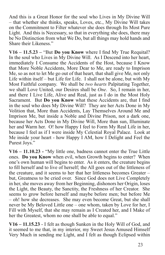And this is a Great Honor for the soul who Lives in My Divine Will – that whether she thinks, speaks, Loves, etc., My Divine Will takes on the Commitment to Filter whatever she does through Its Most Pure Light. And this is Necessary, so that in everything she does, there may be No Distinction from what We Do, but all things may hold hands and Share their Likeness."

**V16 – 11.5.23 –** "But **Do you Know** where I find My True Requital? In the soul who Lives in My Divine Will. As I Descend into her heart, immediately I Consume the Accidents of the Host, because I Know that More Noble Accidents, More Dear to Me, are ready to Imprison Me, so as not to let Me go out of that heart, that shall give Me, not only Life within itself – but Life for Life. I shall not be alone, but with My Most Faithful company. We shall be *two hearts* Palpitating Together, we shall Love United, our Desires shall be *One*. So, I remain in her, and there I Live Life, Alive and Real, just as I do in the Most Holy Sacrament. But **Do you Know** what these Accidents are, that I find in the soul who does My Divine Will? They are her Acts Done in My Volition that, More than Accidents, Lay Themselves Around Me and Imprison Me, but inside a Noble and Divine Prison, not a dark one, because her Acts Done in My Divine Will, More than sun, Illuminate her and Warm her. O! how Happy I feel to Form My Real Life in her, because I feel as if I were inside My Celestial Royal Palace. Look at Me inside your heart - how Happy I AM, how I Delight and Feel the Purest Joys."

**V16 – 11.10.23 -** "My little one, badness cannot enter the True Little ones. **Do you Know** when evil, when Growth begins to enter? When one's own human will begins to enter. As it enters, the creature begins to fill herself and to live of herself; the All goes out of the littleness of the creature, and it seems to her that her littleness becomes Greater – but, Greatness to be cried over. Since God does not Live Completely in her, she moves away from her Beginning, dishonors her Origin, loses the Light, the Beauty, the Sanctity, the Freshness of her Creator. She seems to grow before herself and maybe before men; but before Me – oh! how she decreases. She may even become Great, but she shall never be My Beloved Little one – one whom, taken by Love for her, I Fill with Myself, that she may remain as I Created her, and I Make of her the Greatest, whom no one shall be able to equal."

**V16 – 11.15.23** - I felt as though Sunken in the Holy Will of God, and it seemed to me that, in my interior, my Sweet Jesus Amused Himself Very Much in sending me Light, and I felt as though Eclipsed within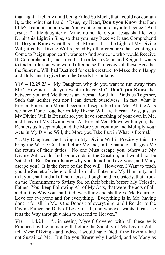that Light. I felt my mind being Filled So Much, that I could not contain It, to the point that I said: 'Jesus, my Heart, **Don't you Know** that I am little? I cannot contain what You want to put into my intelligence.' And Jesus: "Little daughter of Mine, do not fear, your Jesus shall let you Drink this Light in Sips, so that you may Receive It and Comprehend It. **Do you Know** what this Light Means? It is the Light of My Divine Will; it is that Divine Will rejected by other creatures that, wanting to Come to Reign upon earth, wants to find someone who would Receive It, Comprehend It, and Love It. In order to Come and Reign, It wants to find a little soul who would offer herself to receive all those Acts that the Supreme Will had Destined for each creature, to Make them Happy and Holy, and to give them the Goods It Contains."

**V16 – 12.29.23 -** "My Daughter, why do you want to run away from Me? How is it – do you want to leave Me? **Don't you Know** that between you and Me there is an Eternal Bond that Binds us Together, Such that neither you nor I can detach ourselves? In fact, what is Eternal Enters into Me and becomes Inseparable from Me. All the Acts we have Done Together in My Divine Will are Eternal Acts, just as My Divine Will is Eternal; so, you have something of your own in Me, and I have of My Own in you. An Eternal Vein Flows within you, that Renders us Inseparable, and the More you continue and Multiply your Acts in My Divine Will, the More you Take Part in What is Eternal."

"…My Daughter, the Living in My Divine Will is Precisely this: to bring the Whole Creation before Me and, in the name of all, give Me the return of their duties. No one Must escape you, otherwise My Divine Will would find some voids in the Creation, and would not be Satisfied. But **Do you Know** why you do not find everyone, and Many escape you? It is the force of the free will. However, I Want to teach you the Secret of where to find them all: Enter into My Humanity, and in It you shall find all of their acts as though held in Custody, that I took on the Commitment to Satisfy for, on their behalf, before My Celestial Father. You, keep Following All of My Acts, that were the acts of all, and in this Way you shall find everything and shall give Me Return of Love for everyone and for everything. Everything is in Me; having done it for all, in Me is the Deposit of everything; and I Render to the Divine Father the Duty of Love for all, and whoever wants it, can use it as the Way through which to Ascend to Heaven."

**V16 – 1.4.24 –** "…in seeing Myself Covered with all these evils Produced by the human will, before the Sanctity of My Divine Will I felt Myself Dying - and indeed I would have Died if the Divinity had not Sustained Me. But **Do you Know** why I added, and as Many as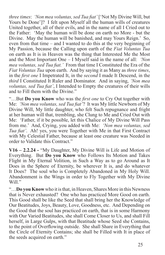*three times*: *'Non mea voluntas, sed Tua fiat'* ['Not My Divine Will, but Yours be Done']? I felt upon Myself all the human wills of creatures United together, all of their evils, and in the name of all I Cried out to the Father: 'May the human will be done on earth no More - but the Divine. May the human will be banished, and may Yours Reign.' So, even from that time – and I wanted to do this at the very beginning of My Passion, because the Calling upon earth of the *Fiat Voluntas Tua*  on earth as It is in Heaven was the thing that Interested Me the Most and the Most Important One – I Myself said in the name of all: *'Non mea voluntas, sed Tua fiat.'* From that time I Constituted the Era of the *Fiat Voluntas Tua* upon earth. And by saying it as Many as *three times*, in the *first one* I Impetrated It, in the *second* I made It Descend, in the *third* I Constituted It Ruler and Dominator. And in saying, *'Non mea voluntas, sed Tua fiat'*, I Intended to Empty the creatures of their wills and to Fill them with the Divine."

"…But **Do you Know** who was the *first one* to Cry Out together with Me: *'Non mea voluntas, sed Tua fiat'*? It was My little Newborn of My Divine Will, My little daughter, who felt Such repugnance and fright at her human will that, trembling, she Clung to Me and Cried Out with Me: 'Father, if it be possible, let this Chalice of My Divine Will Pass from me.' And, Crying, you added with Me: *'Non mea voluntas, sed Tua fiat'*. Ah! yes, you were Together with Me in that First Contract with My Celestial Father, because at least one creature was Needed in order to Validate this Contract."

**V16 – 2.2.24 -** "My Daughter, My Divine Will is Life and Motion of Everything. But **Do you Know** who Follows Its Motion and Takes Flight in My Eternal Volition, in Such a Way as to go Around as It Does in the Sphere of Eternity, be wherever It is, and do whatever It Does? The soul who is Completely Abandoned in My Holy Will. Abandonment is the Wings in order to Fly Together with My Divine Will."

"…**Do you Know** who it is that, in Heaven, Shares More in this Newness that is Never exhausted? One who has practiced More Good on earth. This Good shall be like the Seed that shall bring her the Knowledge of Our Beatitudes, Joys, Beauty, Love, Goodness, etc. And Depending on the Good that the soul has practiced on earth, that is in some Harmony with Our Varied Beatitudes, she shall Come Closer to Us, and shall Fill herself, in Large Gulps, with that Beatitude whose Seed she Contains, to the point of Overflowing outside. She shall Share in Everything that the Circle of Eternity Contains; she shall be Filled with It in place of the seeds acquired on earth."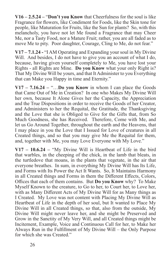**V16 – 2.5.24 –** "**Don't you Know** that Cheerfulness for the soul is like Fragrance for flowers, like Condiment for Foods, like the Skin tone for people, like Maturation for Fruits, like the Sun for plants? So, with this melancholy, you have not let Me found a Fragrance that may Cheer Me, nor a Tasty Food, nor a Mature Fruit; rather, you are all faded as to move Me to pity. Poor daughter, Courage, Cling to Me, do not fear."

**V17 – 7.1.24 -** "I AM Operating and Expanding your soul in My Divine Will. And besides, I do not have to give you an account of what I do, because, having given yourself completely to Me, you have lost your Rights - all Rights are Mine. **Do you Know** what your only Right is? That My Divine Will be yours, and that It Administer to you Everything that can Make you Happy in time and Eternity."

 $V17 - 7.16.24 -$  ...Do you Know in whom I can place the Goods that Came Out of Me in Creation? In one who Makes My Divine Will her own, because It Alone Gives her the Capacity, the Appreciation and the True Dispositions in order to receive the Goods of her Creator, and Administers to her the Requital, the Gratitude, the Thanksgiving and the Love that she is Obliged to Give for the Gifts that, from So Much Goodness, she has Received. Therefore, Come with Me, and let us Go Around Together, throughout the earth and the Heavens, that I may place in you the Love that I Issued for Love of creatures in all Created things, and so that you may give Me the Requital for them, and, together with Me, you may Love Everyone with My Love."

**V17 – 10.6.24 –** "My Divine Will is Heartbeat of Life in the bird that warbles, in the cheeping of the chick, in the lamb that bleats, in the turtledove that moans, in the plants that vegetate, in the air that everyone breathes. In sum, in everything My Divine Will has Its Life, and Forms with Its Power the Act It Wants. So, It Maintains Harmony in all Created things and Forms in them the Different Effects, Colors, Offices that each of them contains. But **Do you Know** why? To Make Myself Known to the creature, to Go to her, to Court her, to Love her, with as Many Different Acts of My Divine Will for as Many things as I Created. My Love was not content with Placing My Divine Will as Heartbeat of Life in the depth of her soul, but It wanted to Place My Divine Will in all Created things, so that, also from the outside, My Divine Will might never leave her, and she might be Preserved and Grow in the Sanctity of My Very Will, and all Created things might be Incitement, Example, Voice and Continuous Call for her, to Make her Always Run in the Fulfillment of My Divine Will – the Only Purpose for which she was Created."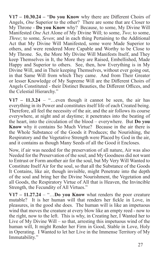**V17 – 10.30.24 –** "**Do you Know** why there are Different Choirs of Angels, *One* Superior to the other? There are some that are Closer to My Throne - **Do you Know** why? Because, to some, My Divine Will Manifested *One* Act Alone of My Divine Will; to some, *Two*; to some, *Three*; to some, *Seven*; and in each thing Pertaining to the Additional Act that My Divine Will Manifested, some were Made Superior to others, and were rendered More Capable and Worthy to be Close to My Throne. So, the More My Divine Will Manifests Itself, and They keep Themselves in It, the More they are Raised, Embellished, Made Happy and Superior to others. See, then, how Everything is in My Divine Will, and in Their keeping Themselves, without ever going out, in that Same Will from which They came. And from Their Greater or lesser Knowledge of My Supreme Will are the Different Choirs of Angels Constituted - their Distinct Beauties, the Different Offices, and the Celestial Hierarchy."

 $V17 - 11.3.24 -$  "...even though it cannot be seen, the air has everything in its Power and constitutes itself life of each Created being. Therefore, all feel the necessity of the air, and the air follows its course everywhere, at night and at daytime; it penetrates into the beating of the heart, into the circulation of the blood – everywhere. But **Do you Know** why it contains So Much Virtue? Because in the air there is the Whole Substance of the Goods it Produces; the Nourishing, the Respiratory and the Vegetative Strength were Placed by God in the air, and it contains as though Many Seeds of all the Good it Encloses.

Now, if air was needed for the preservation of all nature, Air was also Needed for the Preservation of the soul; and My Goodness did not want to Entrust or Form another air for the soul, but My Very Will Wanted to Constitute Itself Air for the soul, so that all the Substance of the Goods It Contains, like air, though invisible, might Penetrate into the depth of the soul and bring her the Divine Nourishment, the Vegetation and all Goods, the Respiratory Virtue of All that is Heaven, the Invincible Strength, the Fecundity of All Virtues."

**V17 – 11.27.24** – "…**Do you Know** what renders the poor creature mutable? It is her human will that renders her fickle in Love, in pleasures, in the good she does. The human will is like an impetuous wind that moves the creature at every blow like an empty reed - now to the right, now to the left. This is why, in Creating her, I Wanted her to Live of My Divine Will – so that, arresting this impetuous wind of the human will, It might Render her Firm in Good, Stable in Love, Holy in Operating. I Wanted to let her Live in the Immense Territory of My Immutability."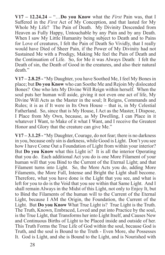**V17 – 12.24.24 –** "…**Do you Know** what the *First* Pain was, that I Suffered in the *First* Act of My Conception, and that lasted for My Whole My Life? The Pain of Death. My Divinity Descended from Heaven as Fully Happy, Untouchable by any Pain and by any Death. When I saw My Little Humanity being subject to Death and to Pains for Love of creatures, I felt the Pain of Death So Vividly, that I really would have Died of Sheer Pain, if the Power of My Divinity had not Sustained Me with a Prodigy, Making Me feel the Pain of Death and the Continuation of Life. So, for Me it was Always Death: I felt the Death of sin, the Death of Good in the creatures, and also their natural death."

**V17 – 2.8.25 -** "My Daughter, you have Soothed Me, I feel My Bones in place; but **Do you Know** who can Soothe Me and Rejoin My dislocated Bones? One who lets My Divine Will Reign within herself. When the soul puts her human will aside, giving it not even one act of life, My Divine Will Acts as the Master in the soul; It Reigns, Commands and Rules; it is as if It were in Its Own House – that is, in My Celestial Fatherland. So, since that is My House, I Act as the Master, I Dispose, I Place from My Own, because, as My Dwelling, I can Place in it whatever I Want, to Make of it what I Want, and I receive the Greatest Honor and Glory that the creature can give Me."

**V17 – 3.1.25 -** "My Daughter, Courage, do not fear; there is no darkness in you, because only sin is darkness, while Good is Light. Don't you see how I have Come Out a Foundation of Light from within your interior? But **Do you Know** what this Light is? It is all the interior Operating that you do. Each additional Act you do is one More Filament of your human will that you Bind to the Current of the Eternal Light; and that Filament turns into Light. So, the More Acts you do, adding More Filaments, the More Full, Intense and Bright the Light shall become. Therefore, what you have done is the Light that you see, and what is left for you to do is the Void that you see within that Same Light. And I shall remain Always in the Midst of this Light, not only to Enjoy It, but to Bind the Filaments of the human will to the Current of the Eternal Light, because I AM the Origin, the Foundation, the Current of the Light. But **Do you Know** What True Light is? True Light is the Truth. The Truth, Known, Embraced, Loved and put into Practice by the soul, is the True Light, that Transforms her into Light Itself, and Causes New and Continuous Births of Light to be Placed inside and outside of her. This Truth Forms the True Life of God within the soul, because God is Truth, and the soul is Bound to the Truth - Even More, she Possesses It. God is Light, and she is Bound to the Light, and is Nourished with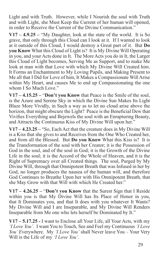Light and with Truth. However, while I Nourish the soul with Truth and with Light, she Must Keep the Current of her human will opened, in order to Receive the Current of the Divine Communication."

**V17 – 4.9.25 –** "My Daughter, look at the state of the world. It is So grave, that only through this Cloud can I look at it. If I wanted to look at it outside of this Cloud, I would destroy a Great part of it. But **Do you Know** What this Cloud of Light is? It is My Divine Will Operating in you, and your Acts done in It. The More Acts you do in It, the Larger this Cloud of Light becomes, Serving Me as Support, and to make Me look at man with that Love with which My Divine Will Created him. It Forms an Enchantment to My Loving Pupils, and Making Present to Me all that I Did for Love of him, It Makes a Compassionate Will Arise within My Heart, and causes Me to end up Compassionating the one whom I So Much Love."

**V17 – 4.15.25 –** "**Don't you Know** that Peace is the Smile of the soul, is the Azure and Serene Sky in which the Divine Sun Makes Its Light Blaze More Vividly, in Such a way as to let no cloud arise above the horizon, that might obscure the Light? Peace is the Beneficial Dew that Vivifies Everything and Bejewels the soul with an Enrapturing Beauty, and Attracts the Continuous Kiss of My Divine Will upon her."

**V17 – 4.23.25 –** "So, Each Act that the creature does in My Divine Will is a Kiss that she gives to and Receives from the One Who Created her, and from all the Blessed. But **Do you Know** What this Kiss is? It is the Transformation of the soul with her Creator; it is the Possession of God in the soul, and of the soul in God; it is the Growth of the Divine Life in the soul; it is the Accord of the Whole of Heaven, and it is the Right of Supremacy over all Created things. The soul, Purged by My Divine Will, through that Omnipotent Breath that was Infused in her by God, no longer produces the nausea of the human will, and therefore God Continues to Breathe Upon her with His Omnipotent Breath, that she May Grow with that Will with which He Created her."

**V17 – 4.26.25 –** "**Don't you Know** that the Surest Sign that I Reside within you is that My Divine Will has Its Place of Honor in you, that It Dominates you, and that It does with you whatever It Wants? My Divine Will and I are Inseparable, and My Divine Will Renders Inseparable from Me one who lets herself be Dominated by It."

**V17 – 5.17.25 -** I want to Enclose all Your Life, all Your Acts, with my *'I Love You'*. I want You to Touch, See and Feel my Continuous *'I Love You' E*verywhere. My *'I Love You'* shall Never leave You – Your Very Will is the Life of my *'I Love You'*.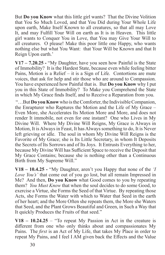But **Do you Know** what this little girl wants? That the Divine Volition that You So Much Loved, and that You Did during Your Whole Life upon earth, Make Itself Known to all creatures, so that all may Love It, and may Fulfill Your Will on earth as It is in Heaven. This little girl wants to Conquer You in Love, that You may Give Your Will to all creatures. O please! Make this poor little one Happy, who wants nothing else but what You Want: that Your Will be Known and that It Reign Upon earth.'

**V17 – 7.20.25 -** "My Daughter, have you seen how Painful is the State of Immobility? It is the Hardest State, because even while feeling bitter Pains, Motion is a Relief – it is a Sign of Life. Contortions are mute voices, that ask for help and stir those who are around to Compassion. You have experienced how Painful that is. But **Do you Know** why I put you in this State of Immobility? To Make you Comprehend the State in which My Grace finds Itself, and to Receive a Reparation from you.

 "…But **Do you Know** who is the Comforter, the Indivisible Companion, the Enrapturer who Raptures the Motion and the Life of My Grace – Even More, she Accelerates Its Motion More and More, and does not render It immobile, not even for one instant? One who Lives in My Divine Will. Where My Divine Will Reigns, My Grace is Always in Motion, It is Always in Feast, It has Always something to do, It is Never left grieving or idle. The soul in whom My Divine Will Reigns is the Favorite of My Grace; she is Its Little Secretary, in whom It Deposits the Secrets of Its Sorrows and of Its Joys. It Entrusts Everything to her, because My Divine Will has Sufficient Space to receive the Deposit that My Grace Contains; because she is nothing other than a Continuous Birth from My Supreme Will."

**V18 – 10.4.25 -** "My Daughter, aren't you Happy that none of the *'I Love You's'* that come out of you go lost, but all remain Impressed in Me? And then, **Do you Know** what Good comes to you by repeating them? *You Must Know* that when the soul decides to do some Good, to exercise a Virtue, she Forms the Seed of that Virtue. By repeating those Acts, she Forms the Water with which to Water that Seed in the earth of her heart; and the More Often she repeats them, the More she Waters that Seed, and the Plant Grows Beautiful and Green, in Such a Way that It quickly Produces the Fruits of that seed."

 $V18 - 10.24.25 - "To repeat My Passion in Act in the creative is$ different from one who only thinks about and compassionates My Pains. The *first* is an Act of My Life, that takes My Place in order to repeat My Pains, and I feel I AM given back the Effects and the Value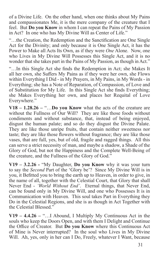of a Divine Life. On the other hand, when one thinks about My Pains and compassionates Me, it is the mere company of the creature that I feel. But **Do you Know** in whom I can repeat the Pains of My Passion in Act? In one who has My Divine Will as Center of Life."

"…the Creation, the Redemption and the Sanctification are One Single Act for the Divinity; and only because it is One Single Act, it has the Power to Make all Acts Its Own, as if they were *One* Alone. Now, one who Lives in My Divine Will Possesses this Single Act, and it is no wonder that she takes part in the Pains of My Passion, as though in Act."

"…In this Single Act she finds the Redemption in Act; she Makes It all her own, she Suffers My Pains as if they were her own, she Flows within Everything I Did - in My Prayers, in My Pains, in My Words - in Everything; she has a Note of Reparation, of Compassion, of Love and of Substitution for My Life. In this Single Act she finds Everything; she Makes Everything her own, and places her Requital of Love Everywhere."

**V18 – 1.28.26 –** "…**Do you Know** what the acts of the creature are without the Fullness of Our Will? They are like those foods without condiments and without substance, that, instead of being enjoyed, disgust the human palate; and so do they disgust the Divine Palate. They are like those unripe fruits, that contain neither sweetness nor taste; they are like those flowers without fragrance; they are like those vases, that are full, yes, but of old, fragile and ragged things. All this can serve a strict necessity of man, and maybe a shadow, a Shade of the Glory of God, but not the Happiness and the Complete Well-Being of the creature, and the Fullness of the Glory of God."

**V19 – 3.2.26 -** "My Daughter, **Do you Know** why it was your turn to say the *Second* Part of the 'Glory be'? Since My Divine Will is in you, it Befitted you to bring the earth up to Heaven, in order to give, in the name of all, together with the Celestial Court, that Glory that shall Never End - *'World Without End'*. Eternal things, that Never End, can be found only in My Divine Will, and one who Possesses It is in Communication with Heaven. This soul takes Part in Everything they Do in the Celestial Regions, and she is as though in Act Together with the Celestial Blessed."

**V19 – 4.4.26 –** "…I Abound, I Multiply My Continuous Act in the souls who keep the Doors Open, and with them I Delight and Continue the Office of Creator. But **Do you Know** where this Continuous Act of Mine is Never interrupted? In the soul who Lives in My Divine Will. Ah, yes, only in her can I Do, Freely, whatever I Want, because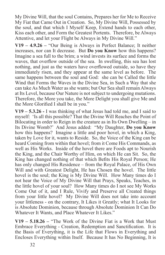My Divine Will, that the soul Contains, Prepares her for Me to Receive My Fiat that Came Out in Creation. So, My Divine Will, Possessed by the soul, and that which I Myself Keep, Extend hands to each other, Kiss each other, and Form the Greatest Portents. Therefore, be Always Attentive, and let your Flight be Always in My Divine Will."

**V19 – 4.9.26 –** "Our Being is Always in Perfect Balance; It neither increases, nor can It decrease. But **Do you Know** how this happens? Imagine a sea full to the brim; a wind invests its surface and forms the waves, that overflow outside of the sea. In swelling, this sea has lost nothing, and just as the waters have overflowed outside, so have they immediately risen, and they appear at the same level as before. The same happens between the soul and God: she can be Called the little Wind that Forms the Waves in the Divine Sea, in Such a Way that she can take As Much Water as she wants; but Our Sea shall remain Always at Its Level, because Our Nature is not subject to undergoing mutations. Therefore, the More you take, the More Delight you shall give Me and the More Glorified I shall be in you."

**V19 – 5.3.26 -** I was thinking of what Jesus had told me, and I said to myself: 'Is all this possible? That the Divine Will Reaches the Point of Bilocating in order to Reign in the creature as in Its Own Dwelling – in Its Divine Womb?' And Jesus added: "My Daughter, **Do you Know** how this happens? Imagine a little and poor hovel, in which a King, taken by Love for it, wants to Reside. So, the Voice of the King can be heard Coming from within that hovel; from it Come His Commands, as well as His Works. Inside of the hovel there are Foods apt to Nourish the King, and the Chair Worthy of Him, on which He can Sit. So, the King has changed nothing of that which Befits His Royal Person; He has only changed His Residence – from the Royal Palace, of His Own Will and with Greatest Delight, He has Chosen the hovel. The little hovel is the soul; the King is My Divine Will. How Many times do I not hear the Voice of My Divine Will that Prays, Speaks, Teaches, in the little hovel of your soul? How Many times do I not see My Works Come Out of it, and I Rule, Vivify and Preserve all Created things from your little hovel? My Divine Will does not take into account your littleness - on the contrary, It Likes it Greatly; what It Looks for is Absolute Dominion, because through Absolute Dominion It Can Do Whatever It Wants, and Place Whatever It Likes."

**V19 – 5.18.26 –** "The Work of the Divine Fiat is a Work that Must Embrace Everything - Creation, Redemption and Sanctification. It is the Basis of Everything, it is the Life that Flows in Everything and Encloses Everything within Itself. Because It has No Beginning, It is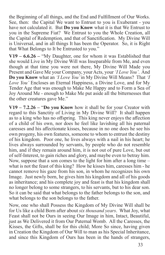the Beginning of all things, and the End and Fulfillment of Our Works. See, then: the Capital We want to Entrust to you is Exuberant - you have not calculated it. But **Do you Know** what it is that We Entrust to you in the Supreme Fiat? We Entrust to you the Whole Creation, all the Capital of Redemption, and that of Sanctification. My Divine Will is Universal, and in all things It has been the Operator. So, it is Right that What Belongs to It be Entrusted to you."

**V19 – 6.6.26 –** "My Daughter, one for whom it was Established that she would Live in My Divine Will was Inseparable from Me, and even though at that time you were not there, My Divine Will Made you Present and Gave Me your Company, your Acts, your *'I Love You'*. And **Do you Know** what an *'I Love You'* in My Divine Will Means? That *'I Love You'* Encloses an Eternal Happiness, a Divine Love, and for My Tender Age that was enough to Make Me Happy and to Form a Sea of Joy Around Me - enough to Make Me put aside all the bitternesses that the other creatures gave Me."

**V19 – 7.2.26 –** "**Do you Know** how it shall be for your Creator with regard to this Sanctity of Living in My Divine Will? It shall happen as to a king who has no offspring. This king never enjoys the affection of a child of his own, nor does he feel like lavishing all his paternal caresses and his affectionate kisses, because in no one does he see his own progeny, his own features, someone to whom to entrust the destiny of his kingdom. Poor one, he lives always with a nail in his heart; he lives always surrounded by servants, by people who do not resemble him, and if they remain around him, it is not out of pure Love, but out of self-Interest, to gain riches and glory, and maybe even to betray him. Now, suppose that a son comes to the light for him after a long time – what is not the feast of this king? How he kisses him, caresses him - he cannot remove his gaze from his son, in whom he recognizes his own Image. Just newly born, he gives him his kingdom and all of his goods as inheritance; and his complete joy and feast is that his kingdom shall no longer belong to some strangers, to his servants, but to his dear son. So it can be said that what belongs to the father belongs to the son, and what belongs to the son belongs to the father.

Now, one who shall Possess the Kingdom of My Divine Will shall be for Us like a child Born after about *six thousand years*. What Joy, what Feast shall not be Ours in seeing Our Image in him, Intact, Beautiful, just as We Delivered it from Our Paternal Womb. All the Caresses, the Kisses, the Gifts, shall be for this child; More So since, having given in Creation the Kingdom of Our Will to man as his Special Inheritance, and since this Kingdom of Ours has been in the hands of strangers,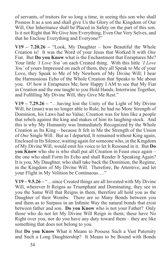of servants, of traitors for so long a time, in seeing this son who shall Possess It as a son and shall give Us the Glory of the Kingdom of Our Will, Our Inheritance shall be Placed in Safety on the part of this son. Is it not Right that We Give him Everything, Even Our Very Selves, and that he Enclose Everything and Everyone?"

**V19 – 7.20.26 –** "Look, My Daughter – how Beautiful the Whole Creation is! It was the Word of your Jesus that Worked It with *One* Fiat. But **Do you Know** what is the Enchantment that Enraptures Me? Your little *'I Love You'* on each Created thing. With this little *'I Love You'* of yours Impressed on each of them, they all Speak to Me of your Love, they Speak to Me of My Newborn of My Divine Will; I hear the Harmonious Echo of the Whole Creation that Speaks to Me about you. O! how it Enraptures Me, how Happy I AM to see that My Fiat in Creation and the one taught to you Hold Hands, Intertwine Together, and Fulfilling My Divine Will, they Give Me Rest."

**V19 – 7.29.26 –** "…having lost the Unity of the Light of My Divine Will, he (man) was no longer able to Rule, he had no More Strength of Dominion, his Laws had no Value; Creation was for him like a people that rebels against the king and makes of him its laughing-stock. And this is why My Humanity was Immediately Recognized by the Whole Creation as Its King – because It felt in Me the Strength of the Union of *One* Single Will. But as I departed, It remained without King again, Enclosed in Its Silence, waiting again for someone who, in the Kingdom of My Divine Will, would emit his voice to let It Resound in it. But **Do you Know** who she is who shall put all Creation in Feast once again – the one who shall Form Its Echo and shall Render It Speaking Again? It is you, My Daughter, who shall take back the Dominion, the Regime, in the Kingdom of My Divine Will. Therefore, Be Attentive, and let your Flight in My Volition be Continuous…."

**V19 – 9.5.26 –** "…since Created things are all Invested with My Divine Will, wherever It Reigns as Triumphant and Dominating, they see in you the Same Will that Reigns in them, therefore all hold you as the Daughter of their Wombs. There are so Many Bonds between you and them as to Surpass in an Infinite Way the natural bonds that exist between father and son. **Do you Know** who is not your Father? Only those who do not let My Divine Will Reign in them; these have No Right over you, nor do you have any duty toward them – they are like something that does not belong to you.

But **Do you Know** What it Means to Possess Such a Vast Paternity and Such a Long Daughtership? It Means to be Bound with Bonds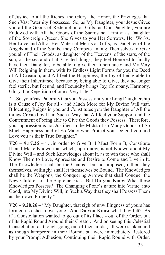of Justice to all the Riches, the Glory, the Honor, the Privileges that Such Vast Paternity Possesses. So, as My Daughter, your Jesus Gives you all the Goods of Redemption as Gifts; as Our Daughter, you are Endowed with All the Goods of the Sacrosanct Trinity; as Daughter of the Sovereign Queen, She Gives to you Her Sorrows, Her Works, Her Love and All of Her Maternal Merits as Gifts; as Daughter of the Angels and of the Saints, they Compete among Themselves to Give you all of Their Goods; as daughter of the Heavens, of the stars, of the sun, of the sea and of all Created things, they feel Honored to finally have their Daughter, to be able to give their Inheritance; and My Very Will Reigning in them, with Its Endless Light Forms for you the Deed of All Creation, and All feel the Happiness, the Joy of being able to Give their Inheritance, because by being able to Give, they no longer feel sterile, but Fecund, and Fecundity brings Joy, Company, Harmony, Glory, the Repetition of one's Very Life."

"…So, your Vast Paternity that you Possess, and your Long Daughtership is a Cause of Joy for all - and Much More for My Divine Will that, Bilocating, Reigns in you and Constitutes you the Daughter of All the things Created by It, in Such a Way that All feel your Support and the Contentment of being able to Give the Goods they Possess. Therefore, your oppression is not Justified in the Midst of so Many Goods, of So Much Happiness, and of So Many who Protect you, Defend you and Love you as their True Daughter."

**V20 – 9.17.26 –** "…in order to Give It, I Must Form It, Constitute It, and Make Known that which, up to now, is not Known about My Divine Will – and Such Knowledges about It, as to win those who shall Know Them to Love, Appreciate and Desire to Come and Live in It. The Knowledges shall be the Chains - but not imposed; rather, they themselves, willingly, shall let themselves be Bound. The Knowledges shall be the Weapons, the Conquering Arrows that shall Conquer the New Children of the Supreme Fiat. But **Do you Know** What these Knowledges Possess? The Changing of one's nature into Virtue, into Good, into My Divine Will, in Such a Way that they shall Possess Them as their own Property."

**V20 – 9.20.26 –** "My Daughter, that sigh of unwillingness of yours has formed its echo in everyone. And **Do you Know** what they felt? As if a Constellation wanted to go out of its Place - out of the Order, out of its Rapid Round Around their Creator. And on seeing this Celestial Constellation as though going out of their midst, all were shaken and as though hampered in their Round, but were immediately Restored by your Prompt Adhesion, Continuing their Rapid Round with Order,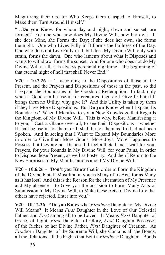Magnifying their Creator Who Keeps them Clasped to Himself, to Make them Turn Around Himself."

"…**Do you Know** for whom day and night, dawn and sunset, are formed? For one who now does My Divine Will, now her own. If she does Mine, she Forms the Day; if she does her own, she forms the night. One who Lives Fully in It Forms the Fullness of the Day. One who does not Live Fully in It, but does My Divine Will only with strain, forms the dawn. One who laments about what It Disposes and wants to withdraw, forms the sunset. And for one who does not do My Divine Will at all, it is always perennial nighttime – the beginning of that eternal night of hell that shall Never End."

**V20 – 10.2.26 –** "…according to the Dispositions of those in the Present, and the Prayers and Dispositions of those in the past, so did I Expand the Boundaries of the Goods of Redemption. In fact, only when a Good can be useful for creatures, then do I Give It; but if It brings them no Utility, why give It? And this Utility is taken by them if they have More Dispositions. But **Do you Know** when I Expand Its Boundaries? When I Manifest to you a New Knowledge that Regards the Kingdom of My Divine Will. This is why, before Manifesting it to you, I Cast a Glance over all, to see their Dispositions – whether It shall be useful for them, or It shall be for them as if it had not been Spoken. And in seeing that I Want to Expand My Boundaries More in order to Give them More Goods, More Joys, More Happiness to Possess, but they are not Disposed, I feel afflicted and I wait for your Prayers, for your Rounds in My Divine Will, for your Pains, in order to Dispose those Present, as well as Posterity. And then I Return to the New Surprises of My Manifestations about My Divine Will."

**V20 – 10.6.26 –** "**Don't you Know** that in order to Form the Kingdom of the Divine Fiat, It Must find in you as Many of Its Acts for as Many as It has lost? And this is the Reason for the alternation of My Presence and My absence – to Give you the occasion to Form Many Acts of Submission to My Divine Will; to Make these Acts of Divine Life that others have rejected, Enter into you."

**V20 – 10.12.26 – "Do you Know** what *Firstborn* Daughter of My Divine Will Means? It Means *First* Daughter in the Love of Our Celestial Father, and *First* among all to be Loved. It Means *First* Daughter of Grace, of Light, *First* Daughter of Glory, *First* Daughter Possessor of the Riches of her Divine Father, *First* Daughter of Creation. As *First*born Daughter of the Supreme Will, she Contains all the Bonds, all the Relations, all the Rights that Befit a *Firstborn* Daughter – Bonds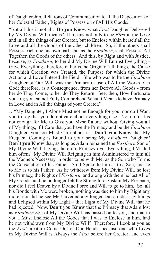of Daughtership, Relations of Communication to all the Dispositions of her Celestial Father, Rights of Possession of All His Goods.

"But all this is not all. **Do you Know** what *First* Daughter Delivered by My Divine Will means? It means not only to be *First* in the Love and in all the things of her Creator, but to Enclose within herself all the Love and all the Goods of the other children. So, if the others shall Possess each one his own part, she, as the *Firstborn*, shall Possess, All Together, the Goods of the others. And this, by Right and with Justice, because, as *Firstborn*, to her did My Divine Will Entrust Everything - Gave Everything, therefore in her is the Origin of all things, the Cause for which Creation was Created, the Purpose for which the Divine Action and Love Entered the Field. She who was to be the *Firstborn D*aughter of Our Will was the Primary Cause of All the Works of a God; therefore, as a Consequence, from her Derive All Goods - from her do They Come, to her do They Return. See, then, How Fortunate you are; you cannot Fully Comprehend What it Means to have Primacy in Love and in All the things of your Creator."

…"My Daughter, I Alone Must not be Enough for you, nor do I Want you to say that you do not care about everything else. No, no, if it is not enough for Me to Give you Myself alone without Giving you all of My things, if I Care that you have the Primacy and be the *Firstborn* Daughter, you too Must Care about it. **Don't you Know** that My Frequent Coming is Bound to your being My *Firstborn* Daughter? **Don't you Know** that, as long as Adam remained the *Firstborn* Son of My Divine Will, having therefore Primacy over Everything, I Visited him often? My Divine Will Reigning in him Administered to him all the Manners Necessary in order to be with Me, as the Son who Forms the Consolation of his Father. So, I Spoke to him as to a Son, and he to Me as to his Father. As he withdrew from My Divine Will, he lost his Primacy, the Rights of *Firstborn*, and along with them he lost All of My Goods; and he no longer felt the Strength to Sustain My Presence, nor did I feel Drawn by a Divine Force and Will to go to him. So, all his Bonds with Me were broken; nothing was due to him by Right any more, nor did he see Me Unveiled any longer, but amidst Lightnings and Eclipsed within My Light – that Light of My Divine Will that he had rejected. Now, **Don't you Know** that the Primacy that Adam lost as *Firstborn S*on of My Divine Will has passed on to you, and that in you I Must Enclose All the Goods that I was to Enclose in him, had he not withdrawn from My Divine Will? Therefore, I Look at you as the *First* creature Come Out of Our Hands, because one who Lives in My Divine Will is Always the *First* before her Creator; and even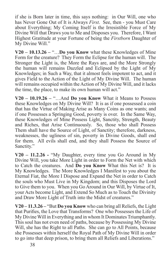if she is Born later in time, this says nothing: in Our Will, one who has Never Gone Out of It is Always *First*. See, then - you Must Care about Everything; My Coming Itself is the Irresistible Force of My Divine Will that Draws you to Me and Disposes you. Therefore, I Want Highest Gratitude at your Fortune of being the *Firstborn* Daughter of My Divine Will."

**V20 – 10.13.26 –** "…**Do you Know** what these Knowledges of Mine Form for the creature? They Form the Eclipse for the human will. The Stronger the Light is, the More the Rays are, and the More Strongly the human will remains Dazzled and Eclipsed by the Light of My Knowledges; in Such a Way, that it almost feels impotent to act, and it gives Field to the Action of the Light of My Divine Will. The human will remains occupied within the Action of My Divine Will, and it lacks the time, the place, to make its own human will act."

**V20 – 10.19.26 –** "…And **Do you Know** What it Means to Possess these Knowledges on My Divine Will? It is as if one possessed a coin that has the Virtue of Making Arise as Many Coins as one wants; and if one Possesses a Springing Good, poverty is over. In the Same Way, these Knowledges of Mine Possess Light, Sanctity, Strength, Beauty and Riches, that Arise Continuously. So, those who shall Possess Them shall have the Source of Light, of Sanctity; therefore, darkness, weaknesses, the ugliness of sin, poverty in Divine Goods, shall end for them. All evils shall end, and they shall Possess the Source of Sanctity."

**V20 – 11.2.26 -** "My Daughter, every time you Go Around in My Divine Will, you take More Light in order to Form the Net with which to Catch the creatures. And **Do you Know** What this Net is? It is My Knowledges. The More Knowledges I Manifest to you about the Eternal Fiat, the More I Dispose and Expand the Net in order to Catch the souls who Must Live in My Kingdom; and this Disposes the Lord to Give them to you. When you Go Around in Our Will, by Virtue of It, your Acts become Light, and Extend So Much as to Touch the Divinity and Draw More Light of Truth into the Midst of creatures."

**V20 – 11.3.26 –** "But **Do you Know** who can bring all Reliefs, the Light that Purifies, the Love that Transforms? One who Possesses the Life of My Divine Will in Everything and in whom It Dominates Triumphantly. This soul has not even need of paths, because by Possessing My Divine Will, she has the Right to all Paths. She can go to All Points, because she Possesses within herself the Royal Path of My Divine Will in order to go into that deep prison, to bring them all Reliefs and Liberations."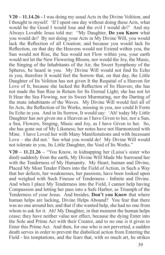**V20 – 11.14.26 -** I was doing my usual Acts in the Divine Volition, and I thought to myself: 'If I spent one day without doing these Acts, what would be the Good I would lose and the evil I would do?' And my Always Lovable Jesus told me: "My Daughter, **Do you Know** what you would do? By not doing your Acts in My Divine Will, you would lack the Reflection of all Creation; and because you would lack Its Reflection, on that day the Heavens would not Extend within you, the Sun would not Rise, the Sea would not Flow within you, your earth would not let the New Flowering Bloom, nor would the Joy, the Music, the Singing of the Inhabitants of the Air, the Sweet Symphony of the Spheres, be heard in you. My Divine Will would not find Its Echo in you, therefore It would feel the Sorrow that, on that day, the Little Daughter of Its Volition has not given It the Requital of a Heaven for Love of It, because she lacked the Reflection of Its Heaven; she has not made the Sun Rise in Return for Its Eternal Light; she has not let It Hear the Sea Flowing, nor its Sweet Murmuring, nor the Darting of the mute inhabitants of the Waves. My Divine Will would feel all of Its Acts, the Reflection of Its Works, missing in you, nor could It Form Its Echo in you. And in Its Sorrow, It would say: 'Ah! today My Little Daughter has not given me a Heaven as I have Given to her, nor a Sun, a Sea, Flowers, Singing, Music and Joy, as I have Given to her. So, she has gone out of My Likeness; her notes have not Harmonized with Mine. I have Loved her with Many Manifestations and with Incessant Love – she did not.' See what you would do! My Divine Will would not tolerate in you, Its Little Daughter, the Void of Its Works."

**V20 – 11.21.26 –** "You Know, in kidnapping her (Luisa's sister who died) suddenly from the earth, My Divine Will Made Me Surround her with the Tenderness of My Humanity. My Heart, human and Divine, Placed My Most Tender Fibers into the Field of Action, in Such a Way that her defects, her weaknesses, her passions, have been looked upon and weighed with Such Finesse of Tenderness - Infinite and Divine. And when I place My Tenderness into the Field, I cannot help having Compassion and letting her pass into a Safe Harbor, as Triumph of the Tenderness of your Jesus. And besides, **Don't you Know** that where human helps are lacking, Divine Helps Abound? You fear that there was no one around her, and that if she wanted help, she had no one from whom to ask for it. Ah! My Daughter, in that moment the human helps cease; they have neither value nor effect, because the dying Enter into the Sole and Prime Act with their Creator, and to no one is it given to Enter this Prime Act. And then, for one who is not perverted, a sudden death serves in order to prevent the diabolical action from Entering the Field - his temptations, and the fears that, with so much art, he strikes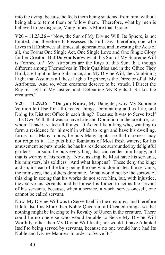into the dying, because he feels them being snatched from him, without being able to tempt them or follow them. Therefore, what by men is believed to be disgrace, Many times is More than Grace."

**V20 – 11.23.26 –** "Now, the Sun of My Divine Will, Its Sphere, is not limited, and therefore It Possesses Its Full Day; therefore, one who Lives in It Embraces all times, all generations, and Investing the Acts of all, she Forms One Single Act, One Single Love and One Single Glory for her Creator. But **Do you Know** what this Sun of My Supreme Will is Formed of? My Attributes are the Rays of this Sun, that, though different among Themselves in Their Qualities and in the Office They Hold, are Light in their Substance; and My Divine Will, the Combining Light that Assumes all these Lights Together, is the Director of all My Attributes. And so, when creatures deserve to be struck, I Direct the Ray of Light of My Justice, and, Defending My Rights, It Strikes the creatures."

**V20 – 11.29.26 –** "**Do you Know**, My Daughter, why My Supreme Volition left Itself in all Created things, Dominating and as Life, and Doing Its Distinct Office in each thing? Because It was to Serve Itself – Its Own Will, that was to have Life and Dominion in the creature, for whom It had Created all things. It Acted like a king who, wanting to form a residence for himself in which to reign and have his dwelling, forms in it Many rooms; he puts Many lights, so that darkness may not reign in it. He puts little fountains of Most fresh waters; for his amusement he puts music; he has his residence surrounded by delightful gardens – in sum, he puts everything that can render him happy, and that is worthy of his royalty. Now, as king, he Must have his servants, his ministers, his soldiers. And what happens? These deny the king; and so, instead of the king being the one who dominates, the servants, the ministers, the soldiers dominate. What would not be the sorrow of this king in seeing that his works do not serve him, but, with injustice, they serve his servants, and he himself is forced to act as the servant of his servants, because, when a service, a work, serves oneself, one cannot be called servant.

Now, My Divine Will was to Serve Itself in the creatures, and therefore It left Itself as More than Noble Queen in all Created things, so that nothing might be lacking to Its Royalty of Queen in the creature. There could be no one else who would be able to Serve My Divine Will Worthily, other than My Divine Will Itself; nor would It have Adapted Itself to being served by servants, because no one would have had Its Noble and Divine Manners in order to Serve It."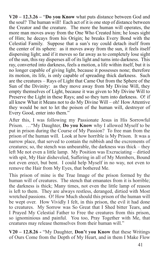**V20 – 12.3.26 –** "**Do you Know** what puts distance between God and the soul? The human will! Each act of it is one step of distance between the Creator and the creature. The more the human will operates, the more man moves away from the One Who Created him; he loses sight of Him; he decays from his Origin; he breaks Every Bond with the Celestial Family. Suppose that a sun's ray could detach itself from the center of its sphere: as it moves away from the sun, it feels itself dispersing light; and if it moves so far away as to completely lose sight of the sun, this ray disperses all of its light and turns into darkness. This ray, converted into darkness, feels a motion, a life within itself, but it is no longer capable of giving light, because it possesses none; therefore its motion, its life, is only capable of spreading thick darkness. Such are the creatures – Rays of Light that Came Out from the Sphere of the Sun of the Divinity: as they move away from My Divine Will, they empty themselves of Light, because it was given to My Divine Will to Preserve the Light in these Rays; and so they turn into darkness. O! if all knew What it Means not to do My Divine Will – oh! How Attentive they would be not to let the poison of the human will, destroyer of Every Good, enter into them."

After this, I was following my Passionate Jesus in His Sorrowful Prison. …"My Daughter, **Do you Know** why I allowed Myself to be put in prison during the Course of My Passion? To free man from the prison of the human will. Look at how horrible is My Prison. It was a narrow place, that served to contain the rubbish and the excrements of creatures; so, the stench was unbearable, the darkness was thick – they left Me not even a little lamp. My Position was Excruciating – dirtied with spit, My Hair disheveled, Suffering in all of My Members, Bound not even erect, but bent. I could help Myself in no way, not even to remove the Hair from My Eyes, that bothered Me.

This prison of mine is the True Image of the prison formed by the human will of creatures. The stench that emanates from it is horrible; the darkness is thick; Many times, not even the little lamp of reason is left to them. They are always restless, deranged, dirtied with Most wretched passions. O! How Much should this prison of the human will be wept over. How Vividly I felt, in this prison, the evil it had done to creatures. My Sorrow was So Great that I Shed bitter Tears, and I Prayed My Celestial Father to Free the creatures from this prison, so ignominious and painful. You too, Pray Together with Me, that creatures may release themselves from their human will."

**V20 – 12.8.26 -** "My Daughter, **Don't you Know** that these Writings of Ours Come from the Depth of My Heart, and in them I Make Flow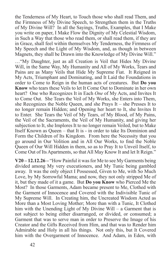the Tenderness of My Heart, to Touch those who shall read Them, and the Firmness of My Divine Speech, to Strengthen them in the Truths of My Divine Will? In all the Sayings, Truths, Examples, that I Make you write on paper, I Make Flow the Dignity of My Celestial Wisdom, in Such a Way that those who read them, or shall read them, if they are in Grace, shall feel within themselves My Tenderness, the Firmness of My Speech and the Light of My Wisdom, and, as though in between Magnets, they shall be Drawn into the Knowledge of My Divine Will."

…"My Daughter, just as all Creation is Veil that Hides My Divine Will, in the Same Way, My Humanity and All of My Works, Tears and Pains are as Many Veils that Hide My Supreme Fiat. It Reigned in My Acts, Triumphant and Dominating, and It Laid the Foundations in order to Come to Reign in the human acts of creatures. But **Do you Know** who tears these Veils to let It Come Out to Dominate in her own heart? One who Recognizes It in Each *One* of My Acts, and Invites It to Come Out. She Tears the Veil of My Works, she Enters into Them, she Recognizes the Noble Queen, and she Prays It – she Presses It to no longer remain Hidden; and Opening her heart to It, she Invites It to Enter. She Tears the Veil of My Tears, of My Blood, of My Pains, the Veil of the Sacraments, the Veil of My Humanity, and giving her subjection to It, she Implores It to no longer remain Veiled, but to Make Itself Known as Queen – that It is - in order to take Its Dominion and Form the Children of Its Kingdom. From here the Necessity that you go around in Our Volition and in All Our Works, to find the Noble Queen of Our Will Hidden in them, so as to Pray It to Unveil Itself, to Come Out of Its Apartments, so that All May Know It and let It Reign."

**V20 – 12.12.26 –** "How Painful it was for Me to see My Garments being divided among My very executioners, and My Tunic being gambled away. It was the only object I Possessed, Given to Me, with So Much Love, by My Sorrowful Mama; and now, they not only stripped Me of it, but they made of it a game. But **Do you Know** who Pierced Me the Most? In those Garments, Adam became present to Me, Clothed with the Garment of Innocence and Covered with the Indivisible Tunic of My Supreme Will. In Creating him, the Uncreated Wisdom Acted as More than a Most Loving Mother; More than with a Tunic, It Clothed him with the Unending Light of My Divine Will – a Garment that is not subject to being either disarranged, or divided, or consumed; a Garment that was to serve man in order to Preserve the Image of his Creator and the Gifts Received from Him, and that was to Render him Admirable and Holy in all his things. Not only this, but It Covered him with the Overgarment of Innocence. And Adam, in Eden, with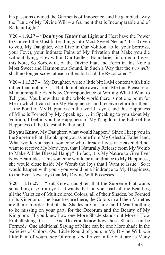his passions divided the Garments of Innocence, and he gambled away the Tunic of My Divine Will – a Garment that is Incomparable and of Radiant Light."

**V20 – 1.9.27 –** "**Don't you Know** that Light and Heat have the Power to Convert the Most bitter things into Most Sweet Nectar? It is Given to you, My Daughter, who Live in Our Volition, to let your Sorrows, your Fever, your Intimate Pains of My Privation that Make you die without dying, Flow within Our Endless Boundaries, in order to Invest this Note, So Sorrowful, of the Divine Fiat, and Form in this Note a Most Sweet and Harmonious Sound, in Such a Way that the *two wills*  shall no longer scowl at each other, but shall be Reconciled."

**V20 – 1.13.27 –** "My Daughter, write a little bit; I AM content with little rather than nothing. …But do not take away from Me this Pleasure of Maintaining the Ever New Correspondence of Writing What I Want to Tell you. You know that in the whole world there is not one point for Me in which I can share My Happinesses and receive return for them. …the Point of My Happiness in the world is you, and this Happiness of Mine is Formed by My Speaking. …in Speaking to you about My Volition, I feel in you the Happiness of My Kingdom, the Echo of the Happiness of the Celestial Fatherland.

**Do you Know**, My Daughter, what would happen? Since I keep you in the Supreme Fiat, I Look upon you as one from My Celestial Fatherland. What would you say if someone who already Lives in Heaven did not want to receive My New Joys, that I Naturally Release from My Womb to Make All the Blessed Happy? In fact, it is My Nature to Give Ever New Beatitudes. This someone would be a hindrance to My Happiness; she would close inside My Womb the Joys that I Want to Issue. So it would happen with you - you would be a hindrance to My Happiness, to the Ever New Joys that My Divine Will Possesses."

**V20 – 1.16.27 –** "But Know, daughter, that the Supreme Fiat wants something else from you - It wants that, on your part, all the Beauties, all the Varieties of Multicolored Colors, all of their Shades, be Formed in Its Kingdom. The Beauties are there, the Colors in all their Varieties are there in order, but all the Shades are missing, and I Want nothing to be missing on your part, for the Decorum and the Beauty of My Kingdom. If you knew how one More Shade stands out More - How Embellishing it is…. And **Do you Know** how these Shades can be Formed? One additional Saying of Mine can be one More shade in the Varieties of Colors; *One* Little Round of yours in My Divine Will, *one* little Pain of yours, *one* Offering, *one* Prayer in the Fiat, are as Many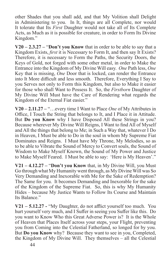other Shades that you shall add, and that My Volition shall Delight in Administering to you. In It, things are all Complete, nor would It tolerate that Its *First* Daughter would not take all of Its Complete Acts, as Much as it is possible for creature, in order to Form Its Divine Kingdom."

**V20 – 2.3.27 –** "**Don't you Know** that in order to be able to say that a Kingdom Exists, *first* it is Necessary to Form It, and then say It Exists? Therefore, it is necessary to Form the Paths, the Security Doors, the Keys of Gold, not forged with some other metal, in order to Make the Entrance into the Kingdom of My Divine Will easy. *One* Path less, *One* Key that is missing, *One* Door that is locked, can render the Entrance into It More difficult and less smooth. Therefore, Everything I Say to you Serves not only to Form this Kingdom, but also to Make it easier for those who shall Want to Possess It. So, the *Firstborn* Daughter of My Divine Will Must have the Care of Rendering what regards the Kingdom of the Eternal Fiat easier."

**V20 – 2.11.27 –** "…every time I Want to Place *One* of My Attributes in Office, I Touch the String that belongs to It, and I Place it in Attitude. But **Do you Know** why I have Disposed All these Strings in you? Because wherever My Divine Will Reigns, I Want to find All of Myself and All the things that belong to Me; in Such a Way that, whatever I Do in Heaven, I Must be able to Do in the soul in whom My Supreme Fiat Dominates and Reigns. I Must have My Throne, My Melodies, so as to be able to Vibrate the Sound of Mercy to Convert souls, the Sound of Wisdom to Make Myself Known, the Sound of My Power and Justice to Make Myself Feared. I Must be able to say: 'Here is My Heaven'."

**V21 – 4.12.27 –** "**Don't you Know** that, in My Divine Will, you Must Go through what My Humanity went through, as My Divine Will was So Very Demanding and Inexorable with Me for the Sake of Redemption? The Same for you. It becomes Demanding and Inexorable for the sake of the Kingdom of the Supreme Fiat. So, this is why My Humanity Hides – because My Justice Wants to Follow Its Course and Maintain Its Balance."

**V21 – 5.12.27 -** "My Daughter, do not afflict yourself too much. You hurt yourself very much, and I Suffer in seeing you Suffer like this. Do you want to Know Who this Great Adverse Power is? It is the Whole of Heaven that Places Itself across your steps, your Flight, preventing you from Coming into the Celestial Fatherland, so longed for by you. But **Do you Know** why? Because they want to see in you, Completed, the Kingdom of My Divine Will. They themselves – all the Celestial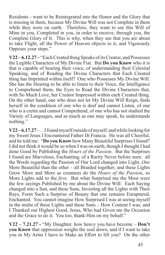Residents - want to be Reintegrated into the Honor and the Glory that is missing in them, because My Divine Will was not Complete in them while they were on earth. Therefore, they want to see this Will of Mine in you, Completed in you, in order to receive, through you, the Complete Glory of It. This is why, when they see that you are about to take Flight, all the Power of Heaven objects to it, and Vigorously Opposes your steps."

**V22 – 6.12.27 –** "Each Created thing Speaks of its Creator, and Possesses the Legible Characters of My Divine Fiat. But **Do you Know** who it is that is capable of hearing their voice, of understanding their Celestial Speaking, and of Reading the Divine Characters that Each Created thing has Imprinted within itself? One who Possesses My Divine Will. She has the Hearing to be able to listen to their Voice, the Intelligence to Comprehend them, the Eyes to Read the Divine Characters that, with So Much Love, her Creator Impressed within each Created thing. On the other hand, one who does not let My Divine Will Reign, finds herself in the condition of one who is deaf and cannot Listen, of one who is a cretin and cannot Comprehend, of one who has not studied the Variety of Languages, and as much as one may speak, he understands nothing."

**V22 – 6.17.27** - …I found myself outside of myself, and while looking for my Sweet Jesus I Encountered Father Di Francia. He was all Cheerful, and he told me: "**Do you Know** how Many Beautiful Surprises I found? I did not think it would be so when I was on earth, though I thought I had done Good by Publishing the *Hours of the Passion*. But the Surprises I found are Marvelous, Enchanting, of a Rarity Never before seen: all the Words regarding the Passion of Our Lord changed into Light, *One* More Beautiful than the other – all Braided together; and these Lights Grow More and More as creatures do the *Hours of the Passion*, so More Lights add to the *first*. But what Surprised me the Most were the few sayings Published by me about the Divine Will: Each Saying changed into a Sun, and these Suns, Investing all the Lights with Their Rays, Form Such a Surprise of Beauty that one remains Enraptured, Enchanted. You cannot imagine How Surprised I was at seeing myself in the midst of these Lights and these Suns – How Content I was; and I Thanked our Highest Good, Jesus, Who had Given me the Occasion and the Grace to do it. You too, thank Him on my behalf."

**V22 – 7.21.27 -** "My Daughter, how heavy you have become – **Don't you Know** that oppression weighs the soul down, and if I want to take you in My Arms I have to Make an Effort to lift you? On the other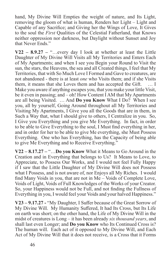hand, My Divine Will Empties the weight of nature, and Its Light, removing the gloom of what is human, Renders her Light – Light and Capable of any Sacrifice; and Giving her the Wings of Love, It Gives to the soul the *First* Qualities of the Celestial Fatherland, that Knows neither oppression nor darkness, but Daylight without Sunset and Joy that Never Ends."

**V22 – 8.9.27 –** "…every day I look at whether at least the Little Daughter of My Divine Will Visits all My Territories and Enters Each of My Apartments; and when I see you Begin your Round to Visit the sun, the stars, the Heavens, the sea and all Created things, I feel that My Territories, that with So Much Love I Formed and Gave to creatures, are not abandoned - there is at least *one* who Visits them; and if she Visits them, it means that she Loves them and has accepted the Gift. … I Make you aware if anything escapes you, that you make your little Visit, be it even in passing; and – oh! How Content I AM that My Apartments are all being Visited. … And **Do you Know** What I Do? When I see you, all by yourself, Going Around throughout all My Territories and Visiting My Apartments, I Give you all the Goods that are in them, in Such a Way that, what I should give to others, I Centralize in you. So, I Give you Everything and you give Me Everything. In fact, in order to be able to Give Everything to the soul, I Must find everything in her, and in order for her to be able to give Me everything, she Must Possess Everything. One who has Everything, has the Capacity of being able to give Me Everything and to Receive Everything."

**V22 – 8.17.27 –** "…**Do you Know** What it Means to Go Around in the Creation and in Everything that belongs to Us? It Means to Love, to Appreciate, to Possess Our Works, and I would not feel Fully Happy if I saw that the Little Daughter of My Divine Will does not Possess what I Possess, and is not aware of, nor Enjoys all My Riches. I would find Many Voids in you, that are not in Me – Voids of Complete Love, Voids of Light, Voids of Full Knowledges of the Works of your Creator. So, your Happiness would not be Full, and not finding the Fullness of Everything in you, I would feel your Voids and your halved Happiness."

**V23 – 9.17.27 -** "My Daughter, I Suffer because of the Great Sorrow of My Divine Will. My Humanity Suffered, It had Its Cross, but Its Life on earth was short; on the other hand, the Life of My Divine Will in the midst of creatures is Long – it has been already *six thousand years*, and shall last even Longer; and **Do you Know** who Its Continued Cross is? The human will. Each act of it opposed to My Divine Will, and Each Act of My Divine Will that it does not receive, is a Cross that it Forms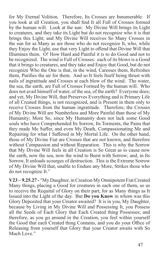for My Eternal Volition. Therefore, Its Crosses are Innumerable. If you look at all Creation, you shall find It all Full of Crosses formed by the human will. Look at the sun: My Divine Will brings its Light to creatures, and they take its Light but do not recognize who it is that brings this Light; and My Divine Will receives So Many Crosses in the sun for as Many as are those who do not recognize It, who, while they Enjoy the Light, use that very Light to offend that Divine Will that Illumines them. O! How Hard and Painful it is to do Good and not to be recognized. The wind is Full of Crosses: each of its blows is a Good that it brings to creatures, and they take and Enjoy that Good, but do not recognize Who the One is that, in the wind, Caresses them, Refreshes them, Purifies the air for them. And so It feels Itself being thrust with nails of ingratitude and Crosses at each blow of the wind. The water, the sea, the earth, are Full of Crosses Formed by the human will. Who does not avail himself of water, of the sea, of the earth? Everyone does; and yet, My Divine Will, that Preserves Everything and is Primary Life of all Created things, is not recognized, and is Present in them only to receive Crosses from the human ingratitude. Therefore, the Crosses of My Divine Will are Numberless and More Painful than those of My Humanity; More So, since My Humanity does not lack some Good souls who have Comprehended Its Sorrow, Its Torments, the Pains that they made Me Suffer, and even My Death, Compassionating Me and Repairing for what I Suffered in My Mortal Life. On the other hand, those of My Divine Fiat are Crosses that are not known, and therefore without Compassion and without Reparation. This is why the Sorrow that My Divine Will feels in all Creation is So Great as to cause now the earth, now the sea, now the wind to Burst with Sorrow; and, in Its Sorrow, It unloads scourges of destruction. This is the Extreme Sorrow of My Divine Will that, unable to Endure any More, Strikes those who do not recognize It."

**V23 – 9.25.27 -** "My Daughter, in Creation My Omnipotent Fiat Created Many things, placing a Good for creatures in each one of them, so as to receive the Requital of Glory on their part, for as Many things as It Issued into the Light of the day. But **Do you Know** in whom was this Glory Deposited that your Creator awaited? It is in you, My Daughter, because by Living in My Divine Will and Possessing It, you Possess all the Seeds of Each Glory that Each Created thing Possesses; and therefore, as you go around in the Creation, you feel within yourself the Good that each Created thing Contains, and you do your Office of Releasing from yourself that Glory that your Creator awaits with So Much Love."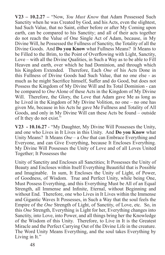**V23 – 10.2.27 –** "Now, *You Must Know* that Adam Possessed Such Sanctity when he was Created by God, and his Acts, even the slightest, had Such Value, that no Saint, either before or after My Coming upon earth, can be compared to his Sanctity; and all of their acts together do not reach the Value of One Single Act of Adam, because, in My Divine Will, he Possessed the Fullness of Sanctity, the Totality of all the Divine Goods. And **Do you Know** what Fullness Means? It Means to be Filled to the Brim, to the Point of Overflowing with Light, Sanctity, Love – with all the Divine Qualities, in Such a Way as to be able to Fill Heaven and earth, over which he had Dominion, and through which his Kingdom Extended. Therefore, Each *One* of his Acts Done in this Fullness of Divine Goods had Such Value, that no one else - as much as he might Sacrifice himself, Suffer and do Good, but does not Possess the Kingdom of My Divine Will and Its Total Dominion - can be compared to *One* Alone of these Acts in the Kingdom of My Divine Will. Therefore, the Glory, the Love that Adam gave Me as long as he Lived in the Kingdom of My Divine Volition, no one – no one has given Me, because in his Acts he gave Me Fullness and Totality of All Goods, and only in My Divine Will can these Acts be found – outside of It they do not exist."

**V23 - 10.16.27** - "My Daughter, My Divine Will Possesses the Unity, and one who Lives in It Lives in this Unity. And **Do you Know** what Unity Means? It Means *One* – a *One* that can Embrace Everything and Everyone, and can Give Everything, because It Encloses Everything. My Divine Will Possesses the Unity of Love and of all Loves United Together; It Possesses the

Unity of Sanctity and Encloses all Sanctities; It Possesses the Unity of Beauty and Encloses within Itself Everything Beautiful that is Possible and Imaginable. In sum, It Encloses the Unity of Light, of Power, of Goodness, of Wisdom. True and Perfect Unity, while being One, Must Possess Everything, and this Everything Must be All of an Equal Strength, all Immense and Infinite, Eternal, without Beginning and without End. Therefore, one who Lives in It Lives within the Immense and Gigantic Waves It Possesses, in Such a Way that the soul feels the Empire of the *One* Strength of Light, of Sanctity, of Love, etc. So, in this *One* Strength, Everything is Light for her, Everything changes into Sanctity, into Love, into Power, and all things bring her the Knowledge of the Wisdom of this Unity. Therefore, to Live in It is the Greatest Miracle and the Perfect Carrying Out of the Divine Life in the creature. The Word Unity Means Everything, and the soul takes Everything by Living in It."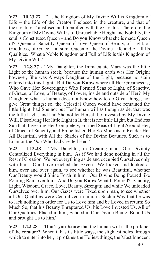**V23 – 10.23.27 –** "…the Kingdom of My Divine Will is Kingdom of Life – the Life of the Creator Enclosed in the creature, and that of the creature Transfused and Identified with the Creator. Therefore, the Kingdom of My Divine Will is of Unreachable Height and Nobility; the soul is Constituted Queen – and **Do you Know** what she is made Queen of? Queen of Sanctity, Queen of Love, Queen of Beauty, of Light, of Goodness, of Grace – in sum, Queen of the Divine Life and of all Its Qualities. What a Noble Kingdom and Full of Life is this Kingdom of My Divine Will."

**V23 – 12.8.27 -** "My Daughter, the Immaculate Mary was the little Light of the human stock, because the human earth was Her Origin; however, She was Always Daughter of the Light, because no stain entered into this Light. But **Do you Know** where all Her Greatness is; Who Gave Her Sovereignty; Who Formed Seas of Light, of Sanctity, of Grace, of Love, of Beauty, of Power, inside and outside of Her? My Daughter, what is human does not Know how to do Great things, nor give Great things; so, the Celestial Queen would have remained the little Light, had She not put Her human will as though aside, that was the little Light, and had She not let Herself be Invested by My Divine Will, Dissolving Her little Light in It, that is not little Light, but Endless Sun that, Investing Her Completely, Formed Seas of Light Around Her, of Grace, of Sanctity, and Embellished Her So Much as to Render Her All Beautiful, with All the Shades of the Divine Beauties, Such as to Enamor the *One* Who had Created Her."

**V23 – 1.13.28 -** "My Daughter, in Creating man, Our Divinity Centralized Everything in him. As if We had done nothing in all the Rest of Creation, We put everything aside and occupied Ourselves only with him. Our Love reached the Excess; We looked and looked at him, over and over again, to see whether he was Beautiful, whether Our Beauty would Shine Forth in him. Our Divine Being Poured like Pouring Rain over him. And **Do you Know** What It Poured? Sanctity, Light, Wisdom, Grace, Love, Beauty, Strength; and while We unloaded Ourselves over him, Our Gazes were Fixed upon man, to see whether all Our Qualities were Centralized in him, in Such a Way that he was to lack nothing in order for Us to Love him and be Loved in return; So Much So, that his Beauty Enraptured Us, his Love Invested Us, All of Our Qualities, Placed in him, Echoed in Our Divine Being, Bound Us and brought Us to him."

**V23 – 1.22.28 –** "**Don't you Know** that the human will is the profaner of the creature? When it has its little ways, the slightest holes through which to enter into her, it profanes the Holiest things, the Most Innocent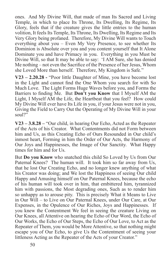ones. And My Divine Will, that made of man Its Sacred and Living Temple, in which to place Its Throne, Its Dwelling, Its Regime, Its Glory, feels that if the creature gives the little entries to the human volition, It feels Its Temple, Its Throne, Its Dwelling, Its Regime and Its Very Glory being profaned. Therefore, My Divine Will wants to Touch everything about you – Even My Very Presence, to see whether Its Dominion is Absolute over you and you content yourself that It Alone Dominate you and have Primacy in you. Everything in you Must be Divine Will, so that It may be able to say: 'I AM Sure, she has denied Me nothing – not even the Sacrifice of the Presence of her Jesus, Whom she Loved More than herself. Therefore, My Kingdom is Safe."

**V23 – 2.20.28 -** "Poor little Daughter of Mine, you have become lost in the Light and cannot find the One Whom you search for with So Much Love. The Light Forms Huge Waves before you, and Forms the Barriers to finding Me. But **Don't you Know** that I Myself AM the Light, I Myself AM the Life, the Heartbeat that you feel? How could My Divine Will ever have Its Life in you, if your Jesus were not in you, Giving the Field to Carry Out the Operating of My Divine Will in your soul?"

**V23 – 3.8.28 –** "Our child, in hearing Our Echo, Acted as the Repeater of the Acts of his Creator. What Contentments did not Form between him and Us, as this Creating Echo of Ours Resounded in Our child's inmost heart, Forming in him the Order of Our Acts, the Harmony of Our Joys and Happinesses, the Image of Our Sanctity. What Happy times for him and for Us.

But **Do you Know** who snatched this child So Loved by Us from Our Paternal Knees? The human will. It took him so far away from Us, that he lost Our Creating Echo, and no longer knew anything of what his Creator was doing; and We lost the Happiness of seeing Our child Happy and Amusing himself on Our Paternal Knees, because the echo of his human will took over in him, that embittered him, tyrannized him with passions, the Most degrading ones, Such as to render him so unhappy as to arouse pity. This is precisely What it Means to Live in Our Will – to Live on Our Paternal Knees, under Our Care, at Our Expenses, in the Opulence of Our Riches, Joys and Happinesses. If you knew the Contentment We feel in seeing the creature Living on Our Knees, all Attentive on hearing the Echo of Our Word, the Echo of Our Works, the Echo of Our Steps, the Echo of Our Love, to Act as the Repeater of Them, you would be More Attentive, so that nothing might escape you of Our Echo, to give Us the Contentment of seeing your littleness Acting as the Repeater of the Acts of your Creator."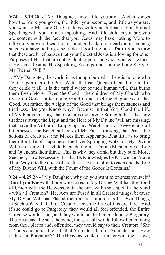**V24 – 3.19.28 -** "My Daughter, how little you are! And it shows how the More you go on, the littler you become; and little as you are, you want to Measure Our Greatness with your littleness, Our Eternal Speaking with your limits in speaking. And little child as you are, you are content with the fact that your Jesus may have nothing More to tell you; you would want to rest and go back to our early amusements, since you have nothing else to do. Poor little one - **Don't you Know** that these are brief pauses that your Celestial Jesus is allowing for other Purposes of His, that are not evident to you, and when you least expect it He shall Resume His Speaking, So Important, on the Long Story of My Eternal Will."

…"My Daughter, the world is as though burned – there is no one who Pours Upon them the Pure Water that can Quench their thirst; and if they drink at all, it is the turbid water of their human will, that burns them Even More. Even the Good - the children of My Church who try to do Good - after doing Good do not feel the Happiness of that Good, but rather, the weight of the Good that brings them sadness and tiredness. **Do you Know** why? Because in that Very Good the Life of My Fiat is missing, that Contains the Divine Strength that takes any tiredness away; the Light and the Heat of My Divine Will are missing, that have the Virtue of Emptying any Weight and of Sweetening all bitternesses; the Beneficial Dew of My Fiat is missing, that Pearls the actions of creatures, and Makes them Appear so Beautiful as to bring them the Life of Happiness; the Ever Springing Water of My Divine Will is missing, that while Fecundating in a Divine Manner, gives Life and Quenches their thirst. This is why they drink, but they burn More. See then, How Necessary it is that Its Knowledges be Known and Make Their Way into the midst of creatures, so as to offer to each one the Life of My Divine Will, with the Fount of the Goods It Contains."

**V24 – 4.29.28 -** "My Daughter, why do you want to oppress yourself? **Don't you Know** that one who Lives in My Divine Will has the Bond of Union with the Heavens, with the sun, with the sea, with the wind - with all Creation? Her Acts are Fused in all Created things, because My Divine Will has Placed them all in common as Its Own Things, in Such a Way that all of Creation feels the Life of this creature. And if she could go to Purgatory, they would all feel offended, the Entire Universe would rebel, and they would not let her go alone to Purgatory. The Heavens, the sun, the wind, the sea - all would follow her, moving from their places and, offended, they would say to their Creator: 'She is Yours and ours – the Life that Animates all of us Animates her. How is this – in Purgatory?' The Heavens would Claim her with their Love;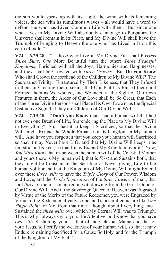the sun would speak up with its Light, the wind with its lamenting voices, the sea with its tumultuous waves – all would have a word to defend she who has Lived Common Life with them. But since one who Lives in My Divine Will absolutely cannot go to Purgatory, the Universe shall remain in its Place, and My Divine Will shall have the Triumph of bringing to Heaven the one who has Lived in It on this earth of exile."

**V24 – 6.29.28 –** "…those who Live in My Divine Fiat shall Possess *Three Suns*, *One* More Beautiful than the other; *Three Peaceful Kingdoms*, Enriched with all the Joys, Harmonies and Happinesses; and they shall be Crowned with *Three Crowns*. But **Do you Know** Who shall Crown the forehead of the Children of My Divine Will? The Sacrosanct Trinity. Enraptured by Their Likeness, that They Infused in them in Creating them, seeing that Our Fiat has Raised them and Formed them as We wanted, and Wounded at the Sight of Our Own Features in them, the Ardor of Our Love shall be So Great, that Each of the Three Divine Persons shall Place His Own Crown, as the Special Distinctive Sign that they are Children of Our Divine Will."

**V24 – 7.19.28 –** "**Don't you Know** that I had a human will that had not even one Breath of Life, Surrendering the Place to My Divine Will in Everything? So, I had it to keep it Sacrificed, so that the Divine Will might Extend the Whole Expanse of Its Kingdom in My human will. And have you forgotten that you keep your human will Sacrificed so that it may Never have Life, and that My Divine Will keeps it as footstool at Its Feet, so that I may Extend My Kingdom over it? Now, *You Must Know* that in-between the human will of the Celestial Mother and yours there is My human will, that is *First* and Sustains both, that they might be Constant in the Sacrifice of Never giving Life to the human volition, so that the Kingdom of My Divine Will might Extend over these *three wills* to have the *Triple Glory* of Our Power, Wisdom and Love, and the *Triple Reparation* of the *three Powers* of man, that - all *three* of them - concurred in withdrawing from the Great Good of Our Divine Will. And if the Sovereign Queen of Heaven was Engraced by Virtue of the Merits of the Future Redeemer, you were Engraced by Virtue of the Redeemer already come; and since millennia are like *One Single Point* for Me, from that time I thought about Everything, and I Sustained the *three wills* over which My Eternal Will was to Triumph. This is why I always say to you: Be Attentive, and Know that you have *two wills* Sustaining yours – that of the Celestial Mama and that of your Jesus, to Fortify the weakness of your human will, so that it may Endure remaining Sacrificed for a Cause So Holy, and for the Triumph of the Kingdom of My Fiat."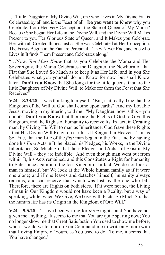…"Little Daughter of My Divine Will, one who Lives in My Divine Fiat is Celebrated by all and is the Feast of all. **Do you want to Know** why you Celebrate, from Her Very Conception, the State of Queen of My Mama? Because She began Her Life in the Divine Will, and the Divine Will Makes Present to you Her Glorious State of Queen, and It Makes you Celebrate Her with all Created things, just as She was Celebrated at Her Conception. The Feasts Begun in the Fiat are Perennial – They Never End; and one who Lives in It finds Them Present and Celebrates along."

"…Now, *You Must Know* that as you Celebrate the Mama and Her Sovereignty, the Mama Celebrates the Daughter, the Newborn of that Fiat that She Loved So Much as to keep It as Her Life; and in you She Celebrates what you yourself do not Know for now, but shall Know later. **Don't you Know** that She longs for the little queens, that are the little Daughters of My Divine Will, to Make for them the Feast that She Receives?"

**V24 – 8.23.28 -** I was thinking to myself: 'But, is it really True that the Kingdom of the Will of God shall come upon earth?' And my Lovable Jesus, moving in my interior, told me: "My Daughter, how is this – you doubt? **Don't you Know** that there are the Rights of God to Give this Kingdom, and the Rights of humanity to receive It? In fact, in Creating man, by Giving His Will to man as Inheritance, God Gave these Rights - that His Divine Will Reign on earth as It Reigned in Heaven. This is So True, that the Life of the *first* man began in the Fiat, and by having done his *First* Acts in It, he placed his Pledges, his Works, in the Divine Inheritance; So Much So, that these Pledges and Acts still Exist in My Divine Will – they are Indelible. And even though man went out from within It, his Acts remained, and this Constitutes a Right for humanity to Enter once again into the lost Kingdom. In fact, We do not look at man in himself, but We look at the Whole human family as if it were one alone; and if one leaves and detaches himself, humanity always remains, and can receive that which was lost by the one who left. Therefore, there are Rights on both sides. If it were not so, the Living of man in Our Kingdom would not have been a Reality, but a way of speaking; while, when We Give, We Give with Facts, So Much So, that the human life has its Origin in the Kingdom of Our Will."

**V24 – 9.5.28 -** 'I have been writing for *three* nights, and You have not given me anything. It seems to me that You are quite sparing now; You no longer show me that Great Satisfaction You used to show me before, when I would write; nor do You Command me to write any more with that Loving Empire of Yours, as You used to do. To me, it seems that You have changed.'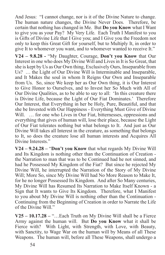And Jesus: "I cannot change, nor is it of the Divine Nature to change. The human nature changes, the Divine Never Does. Therefore, be certain that nothing has changed in Me. But **Do you Know** what I Want to give you as your Pay? My Very Life. Each Truth I Manifest to you is Gifts of Divine Life that I Give you; and I Give you the Freedom not only to keep this Great Gift for yourself, but to Multiply It, in order to give It to whomever you want, and to whomever wanted to receive It."

**V24 – 9.8.28 -** "My Daughter, Courage, **Don't you Know** that Our Interest in one who does My Divine Will and Lives in It is So Great, that she is kept by Us as Our Own thing, Exclusively Ours, Inseparable from Us? … the Light of Our Divine Will is Interminable and Inseparable, and It Makes the soul in whom It Reigns Our Own and Inseparable from Us. So, since We keep her as Our Own thing, it is Our Interest to Give Honor to Ourselves, and to Invest her So Much with All of Our Divine Qualities, as to be able to say to all: 'In this creature there is Divine Life, because the Light of Our Fiat Dominates.' Therefore Our Interest, that Everything in her be Holy, Pure, Beautiful, and that she be Invested with Our Happiness - Everything Must Give of Divine Will. ... for one who Lives in Our Fiat, bitternesses, oppressions and everything that gives of human will, lose their place, because the Light of Our Fiat tolerates nothing but what belongs to It. And just as Our Divine Will takes all Interest in the creature, as something that belongs to It, so does the creature lose all human interests and Acquires All Divine Interests."

**V24 – 9.24.28 –** "**Don't you Know** that what regards My Divine Will and Its Kingdom is nothing other than the Continuation of Creation the Narration to man that was to be Continued had he not sinned, and had he Possessed My Kingdom of the Fiat? But since he rejected My Divine Will, he interrupted the Narration of the Story of My Divine Will; More So, since My Divine Will had No More Reason to Make It, for he no longer Possessed Its Kingdom. And after So Many centuries, My Divine Will has Resumed Its Narration to Make Itself Known - a Sign that It wants to Give Its Kingdom. Therefore, what I Manifest to you about My Divine Will is nothing other than the Continuation - Continuing from the Beginning of Creation in order to Narrate the Life of the Divine Will."

**V25 – 10.17.28 –** "…Each Truth on My Divine Will shall be a Fierce Army against the human will. But **Do you Know** what it shall be Fierce with? With Light, with Strength, with Love, with Beauty, with Sanctity, to Wage War on the human will by Means of all These Weapons. The human will, before all These Weapons, shall undergo a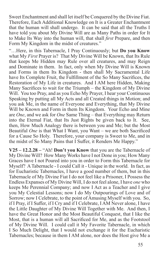Sweet Enchantment and shall let itself be Conquered by the Divine Fiat. Therefore, Each Additional Knowledge on It is a Greater Enchantment that the human will shall undergo. It can be said that all the Truths I have told you about My Divine Will are as Many Paths in order for It to Make Its Way into the human will, that shall *first* Prepare, and then Form My Kingdom in the midst of creatures."

"…Here, in this Tabernacle, I Pray Continuously; but **Do you Know**  what My *First* Prayer is? That My Divine Will be Known, that Its Rule that keeps Me Hidden may Rule over all creatures, and may Reign and Dominate in them. In fact, only when My Divine Will is Known and Forms in them Its Kingdom - then shall My Sacramental Life have Its Complete Fruit, the Fulfillment of the So Many Sacrifices, the Restoration of My Life in creatures. And I AM here Hidden, Making Many Sacrifices to wait for the Triumph – the Kingdom of My Divine Will. You too Pray, and as you Echo My Prayer, I hear your Continuous Speaking by putting all My Acts and all Created things in Motion; and you ask Me, in the name of Everyone and Everything, that My Divine Will be Known and Form in them Its Kingdom. Your Echo and Mine are *One*, and we ask for *One* Same Thing – that Everything may Return into the Eternal Fiat, that Its Just Rights be given back to It. See, then, How Much Analogy there is between you and Me; but the Most Beautiful *One* is that What I Want, you Want – we are both Sacrificed for a Cause So Holy. Therefore, your company is Sweet to Me, and in the midst of So Many Pains that I Suffer, it Renders Me Happy."

**V25 – 12.2.28 –** "Ah! **Don't you Know** that you are the Tabernacle of My Divine Will? How Many Works have I not Done in you; How Many Graces have I not Poured into you in order to Form this Tabernacle for Myself? A Tabernacle - I could Call it - Unique in the world. In fact, as for Eucharistic Tabernacles, I have a good number of them, but in this Tabernacle of My Divine Fiat I do not feel like a Prisoner, I Possess the Endless Expanses of My Divine Will, I do not feel alone, I have *one* who keeps Me Perennial Company; and now I Act as a Teacher and I give you My Celestial Lessons; now I do My Outpourings of Love and of Sorrow; now I Celebrate, to the point of Amusing Myself with you. So, if I Pray, if I Suffer, if I Cry and if I Celebrate, I AM Never alone, I have the Little Daughter of My Divine Will Together with Me. And then, I have the Great Honor and the Most Beautiful Conquest, that I like the Most, that is a human will all Sacrificed for Me, and as the Footstool of My Divine Will. I could call it My Favorite Tabernacle, in which I So Much Delight, that I would not exchange it for the Eucharistic Tabernacles; because in them I AM alone, nor does the Host give Me a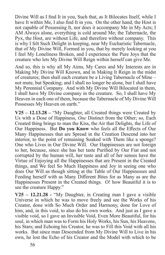Divine Will as I find It in you, Such that, as It Bilocates Itself, while I have It within Me, I also find It in you. On the other hand, the Host is not capable of Possessing It, nor does it accompany Me in My Acts; I AM Always alone, everything is cold around Me; the Tabernacle, the Pyx, the Host, are without Life, and therefore without company. This is why I felt Such Delight in keeping, near My Eucharistic Tabernacle, that of My Divine Will, Formed in you, that by merely looking at you I feel My Loneliness Broken, and I experience the Pure Joys that the creature who lets My Divine Will Reign within herself can give Me.

And so, this is why all My Aims, My Cares and My Interests are in Making My Divine Will Known, and in Making It Reign in the midst of creatures; then shall each creature be a Living Tabernacle of Mine – not mute, but Speaking; and I shall no longer be alone, but I shall have My Perennial Company. And with My Divine Will Bilocated in them, I shall have My Divine company in the creature. So, I shall have My Heaven in each one of them, because the Tabernacle of My Divine Will Possesses My Heaven on earth."

**V25 – 12.13.28 –** "My Daughter, all Created things were Created by Us with a Dose of Happiness, *One* Distinct from the Other; so, Each Created thing brings to man the Kiss, the Air that Delights, the Life of Our Happiness. But **Do you Know** who feels all the Effects of Our Many Happinesses that are Spread in the Creation Descend into her interior, to the point of remaining Soaked with Them like a sponge? One who Lives in Our Divine Will. Our Happinesses are not foreign to her, because, since she has her taste Purified by Our Fiat and not corrupted by the human will, her taste and all of her senses have the Virtue of Enjoying all the Happinesses that are Present in the Created things, and We feel So Much Happiness and Joy in seeing one who does Our Will as though sitting at the Table of Our Happinesses and Feeding herself with as Many Different Bites for as Many as are the Happinesses Present in the Created things. O! how Beautiful it is to see the creature Happy."

**V25 – 12.21.28 -** "My Daughter, in Creating man I gave a visible Universe in which he was to move freely and see the Works of his Creator, done with So Much Order and Harmony, done for Love of him, and, in this void, to also do his own works. And just as I gave a visible void, so I gave an Invisible Void, Even More Beautiful, for his soul, in which man was to Form his Holy Works, his Sun, his Heavens, his Stars; and Echoing his Creator, he was to Fill this Void with all his works. But since man Descended from My Divine Will to Live in his own, he lost the Echo of his Creator and the Model with which to be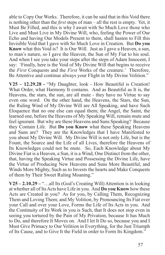able to Copy Our Works. Therefore, it can be said that in this Void there is nothing other than the *first* steps of man – all the rest is empty. Yet, it Must Be Filled, and this is why I await with So Much Love those who Live and Must Live in My Divine Will, who, feeling the Power of Our Echo and having Our Models Present to them, shall hasten to Fill this Invisible Void that I gave with So Much Love in Creation. But **Do you Know** what this Void is? It is Our Will. Just as I gave a Heaven, a sun, to man's nature, so I gave the Heaven, the Sun of My Fiat to his soul. And when I see you take your steps after the steps of Adam Innocent, I say: 'Finally, here is the Void of My Divine Will that begins to receive the *First* Conquests and the *First* Works of the creature.' Therefore, Be Attentive and continue always your Flight in My Divine Volition."

**V25 – 12.29.28 -** "My Daughter, look - How Beautiful is Creation! What Order, what Harmony It contains. And as Beautiful as It is, the Heavens, the stars, the sun, are all mute - they have no Virtue to say even one word. On the other hand, the Heavens, the Stars, the Sun, the Ruling Wind of My Divine Will are All Speaking, and have Such Eloquence that no one else can equal them; the Angel, the Saint, the learned one, before the Heavens of My Speaking Will, remain mute and feel ignorant. But why are these Heavens and Suns Speaking? Because they Contain Life. But **Do you Know** what these Speaking Heavens and Suns are? They are the Knowledges that I have Manifested to you about My Divine Will. My Divine Will is not only Life, but is the Fount, the Source and the Life of all Lives, therefore the Heavens of Its Knowledges could not be mute. So, Each Knowledge about My Divine Fiat is a Heaven, a Sun, it is a Wind, One Distinct from the other, that, having the Speaking Virtue and Possessing the Divine Life, have the Virtue of Producing New Heavens and Suns More Beautiful, and Winds More Mighty, Such as to Invests the hearts and Make Conquests of them by Their Sweet Ruling Moaning."

**V25 – 2.10.29 –** "…all Its (God's Creating Will) Attention is in looking at whether all of Its Acts have Life in you. And **Do you Know** how these Acts are Created in you? As for you, by Calling Them, Recognizing Them and Loving Them; and My Volition, by Pronouncing Its Fiat over your Call and over your Love, Forms the Life of Its Acts in you. And the Continuity of Its Work in you is Such, that It does not stop even in seeing you tortured by the Pain of My Privation, because It has Much to Do, and therefore It Moves on. And I let It Do so, because you and I Must Give Primacy to Our Volition in Everything, for the Just Triumph of Its Cause, and to Give It the Field in order to Form Its Kingdom."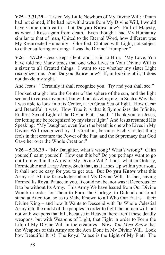**V25 – 3.31.29 –** "Listen My Little Newborn of My Divine Will: if man had not sinned, if he had not withdrawn from My Divine Will, I would have Come upon earth – but **Do you Know** how? Full of Majesty, as when I Rose again from death. Even though I had My Humanity similar to that of man, United to the Eternal Word, how different was My Resurrected Humanity – Glorified, Clothed with Light, not subject to either suffering or dying: I was the Divine Triumpher."

**V26 – 4.7.29 -** Jesus kept silent, and I said to Him: 'My Love, You have told me Many times that one who Lives in Your Divine Will is a sister to all Created things. I want to see whether my sister Light recognizes me. And **Do you Know** how? If, in looking at it, it does not dazzle my sight.'

And Jesus: "Certainly it shall recognize you. Try and you shall see."

I looked straight into the Center of the sphere of the sun, and the light seemed to caress my pupil, but without dazzling me, in Such a Way that I was able to look into its Center, at its Great Sea of light. How Clear and Beautiful it was. How True it is that it Symbolizes the Infinite, Endless Sea of Light of the Divine Fiat. I said: 'Thank you, oh Jesus, for letting me be recognized by my sister light.' And Jesus resumed His Speaking: "My Daughter, even from the breath is one who Lives in My Divine Will recognized by all Creation, because Each Created thing feels in that creature the Power of the Fiat, and the Supremacy that God Gave her over the Whole Creation."

**V26 – 5.16.29 -** "My Daughter, what's wrong? What's wrong? Calm yourself, calm yourself. How can this be? Do you perhaps want to go out from within the Army of My Divine Will? Look, what an Orderly, Formidable and Large Army, Such that, as It Lines Up within your soul, it shall not be easy for you to get out. But **Do you Know** what this Army is? All the Knowledges about My Divine Will. In fact, having Formed Its Royal Palace in you, It could not be, nor was it Decorous for It to be without Its Army. This Army We have Issued from Our Divine Womb in order for Them to Form the Cortege, to Defend and to all stand at Attention, so as to Make Known to all Who Our Fiat is – their Divine King – and how It Wants to Descend with Its Whole Celestial Army into the midst of the peoples in order to fight the human will; but not with weapons that kill, because in Heaven there aren't these deadly weapons, but with Weapons of Light, that Fight in order to Form the Life of My Divine Will in the creatures. Now, *You Must Know* that the Weapons of this Army are the Acts Done in My Divine Will. Look how Beautiful It is! The Royal Palace is the Light of My Fiat! The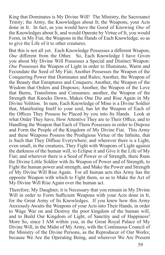King that Dominates is My Divine Will! The Ministry, the Sacrosanct Trinity; the Army, the Knowledges about It; the Weapons, your Acts done in It. In fact, as you would have the Good of Knowing *One* of the Knowledges about It, and would Operate by Virtue of It, you would Form, in My Fiat, the Weapons in the Hands of Each Knowledge, so as to give the Life of it to other creatures.

But this is not all yet. Each Knowledge Possesses a different Weapon, *One* different from the Other. So, Each Knowledge I have Given you about My Divine Will Possesses a Special and Distinct Weapon: *One* Possesses the Weapon of Light in order to Illuminate, Warm and Fecundate the Seed of My Fiat; Another Possesses the Weapon of the Conquering Power that Dominates and Rules; Another, the Weapon of the Beauty that Enraptures and Conquers; Another, the Weapon of the Wisdom that Orders and Disposes; Another, the Weapon of the Love that Burns, Transforms and Consumes; another, the Weapon of the Strength that Knocks Down, Makes One Die and Rise Again in My Divine Volition. In sum, Each Knowledge of Mine is a Divine Soldier that, Manifesting Itself to your soul, has let the Weapon of Each of the Offices They Possess be Placed by you into Its Hands. Look at what Order They have, How Attentive They are to Their Office, and to Handling the Weapon that Each of Them Possesses in order to Dispose and Form the People of the Kingdom of My Divine Fiat. This Army and these Weapons Possess the Prodigious Virtue of the Infinite, that is Such that They Diffuse Everywhere; and wherever there is a Light, even small, in the creatures, They Fight with Weapons of Light against the darkness of the human will, to Eclipse it and Give it the Life of My Fiat; and wherever there is a Seed of Power or of Strength, there Runs the Divine Little Soldier with Its Weapon of Power and of Strength, to Fight the human power and strength, and Make the Power and Strength of My Divine Will Rise Again. For all human acts this Army has the opposite Weapon with which to Fight them, so as to Make the Act of My Divine Will Rise Again over the human act.

Therefore, My Daughter, it is Necessary that you remain in My Divine Will in order to Form Sufficient Weapons with your Acts done in It, for the Great Army of Its Knowledges. If you knew how this Army Anxiously Awaits the Weapons of your Acts into Their Hands, in order to Wage War on and Destroy the poor kingdom of the human will, and to Build Our Kingdom of Light, of Sanctity and of Happiness! More So, since I AM within you, in the Great Royal Palace of My Divine Will, in the Midst of My Army, with the Continuous Council of the Ministry of the Divine Persons, as the Reproducer of Our Works; because We Are the Operating Being, and wherever We Are Present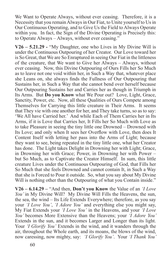We Want to Operate Always, without ever ceasing. Therefore, it is a Necessity that you remain Always in Our Fiat, to Unite yourself to Us in Our Continuous Operating, and to Give Us the Field to Always Operate within you. In fact, the Sign of the Divine Operating is Precisely this: to Operate Always – Always, without ever ceasing."

**V26 – 5.21.29 -** "My Daughter, one who Lives in My Divine Will is under the Continuous Outpouring of her Creator. Our Love toward her is So Great, that We are So Enraptured in seeing Our Fiat in the littleness of the creature, that We want to Give her Always – Always, without ever ceasing. Now, this Divine Outpouring of Ours Fills her So Much as to leave not one void within her, in Such a Way that, whatever place she Leans on, she always finds the Fullness of Our Outpouring that Sustains her, in Such a Way that she cannot bend over herself because Our Outpouring Sustains her and Carries her as though in Triumph in Its Arms. But **Do you Know** what We Pour out? Love, Light, Grace, Sanctity, Power, etc. Now, all these Qualities of Ours Compete among Themselves for Carrying this little creature in Their Arms. It seems that They vie with one another for her, and They take turns, so as to say: 'We All have Carried her.' And while Each of Them Carries her in Its Arms, if it is Love that Carries her, It Fills her So Much with Love as to take Pleasure in seeing the tiny little one Drowned – Drowned with Its Love; and only when It sees her Overflow with Love, then does It Content Itself with letting her pass into the Arms of Light; because they want to see, being repeated in the tiny little one, what her Creator has done. The Light takes Delight in Drowning her with Light; Grace, in Drowning her with Grace; Power, in Drowning her with Power – but So Much, as to Captivate the Creator Himself. In sum, this little creature Lives under the Continuous Outpouring of God, that Fills her So Much that she feels Drowned and cannot contain It, in Such a Way that she is Forced to Pour it outside. So, what you say about My Divine Will is nothing other than the Outpouring of what you Contain inside."

**V26 – 6.14.29 –** "And then, **Don't you Know** the Value of an *'I Love You'* in My Divine Will? My Divine Will Fills the Heavens, the sun, the sea, the wind – Its Life Extends Everywhere; therefore, as you say your *'I Love You'*, *'I Adore You'* and everything else you might say, My Fiat Extends your *'I Love You'* in the Heavens, and your *'I Love You'* becomes More Extensive than the Heavens; your *'I Adore You'*  Extends in the sun, and it becomes Larger and Longer than its light. Your *'I Glorify You'* Extends in the wind, and it wanders through the air, throughout the Whole earth, and its moans, the blows of the wind, now caressing, now mighty, say: *'I Glorify You'*. Your *'I Thank You'*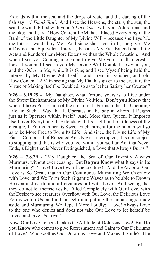Extends within the sea, and the drops of water and the darting of the fish say: *'I Thank You'*. And I see the Heavens, the stars, the sun, the sea, the wind, Filled with your *'I Love You'*, with your Adorations, and the like; and I say: 'How Content I AM that I Placed Everything in the Bank of the Little Daughter of My Divine Will – because she Pays Me the Interest wanted by Me. And since she Lives in It, she gives Me a Divine and Equivalent Interest, because My Fiat Extends her little Acts and Renders them More Extensive than the Whole Creation.' And when I see you Coming into Eden to give Me your small Interest, I look at you and I see in you My Divine Will Doubled – *One* in you, and the *Other* in Me, while It is *One*; and I see Myself being Paid the Interest by My Divine Will Itself – and I remain Satisfied, and, oh! How Content I AM in seeing that My Fiat has given to the creature the Virtue of Making Itself be Doubled, so as to let her Satisfy her Creator."

**V26 – 6.19.29 -** "My Daughter, what Fortune yours is to Live under the Sweet Enchantment of My Divine Volition. **Don't you Know** that when It takes Possession of the creature, It Forms in her Its Operating Life, in Such a Way that It Operates in the *one* in whom It Reigns just as It Operates within Itself? And, More than Queen, It Imposes Itself over Everything, It Extends with Its Light in the littleness of the creature, It Forms in her Its Sweet Enchantment for the human will so as to be More Free to Form Its Life. And since the Divine Life of My Fiat is Composed of Repeated Acts Never Interrupted, It is not subject to stopping, and this is why you feel within yourself an Act that Never Ends, a Light that is Never Extinguished, a Love that Always Burns."

**V26 – 7.8.29 -** "My Daughter, the Sea of Our Divinity Always Murmurs, without ever ceasing. But **Do you Know** what It says in Its Murmuring? 'Love! Love toward the creature!' And the Ardor of Our Love is So Great, that in Our Continuous Murmuring We Overflow with Love, and We Form Such Gigantic Waves as to be able to Drown Heaven and earth, and all creatures, all with Love. And seeing that they do not let themselves be Filled Completely with Our Love, with the Desire to see creatures Overflow with Our Love, the Delirious Love Forms within Us; and in Our Delirium, putting the human ingratitude aside, and Murmuring, We Repeat More Loudly: 'Love! Always Love to the one who denies and does not take Our Love to let herself be Loved and give Us Love.'

Now, Our Love, rejected, takes the Attitude of Dolorous Love! But **Do you Know** who comes to give Refreshment and Calm to Our Deliriums of Love? Who soothes Our Dolorous Love and Makes It Smile? The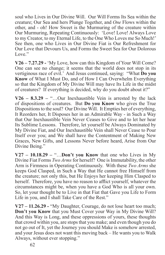soul who Lives in Our Divine Will. Our Will Forms Its Sea within the creature; Our Sea and hers Plunge Together, and *One* Flows within the other, and - oh! How Sweet is the Murmuring of the creature within Our Murmuring, Repeating Continuously: 'Love! Love! Always Love to my Creator, to my Eternal Life, to the One Who Loves me So Much!' See then, one who Lives in Our Divine Fiat is Our Refreshment for Our Love that Devours Us, and Forms the Sweet Sea for Our Dolorous Love."

**V26 – 7.27.29 -** 'My Love, how can this Kingdom of Your Will Come? One can see no change; it seems that the world does not stop in its vertiginous race of evil.' And Jesus continued, saying: "What **Do you Know** of What I Must Do, and of How I Can Overwhelm Everything so that the Kingdom of My Divine Will may have Its Life in the midst of creatures? If everything is decided, why do you doubt about it?"

**V26 – 8.3.29 –** "…Our Inexhaustible Vein is arrested by the lack of dispositions of creatures. But **Do you Know** who gives the True Dispositions to the soul? Our Divine Will. It Empties her of everything, It Reorders her, It Disposes her in an Admirable Way - in Such a Way that Our Inexhaustible Vein Never Ceases to Give and to let her hear Its Sublime Lessons. Therefore, let yourself be Always Dominated by My Divine Fiat, and Our Inexhaustible Vein shall Never Cease to Pour Itself over you; and We shall have the Contentment of Making New Graces, New Gifts, and Lessons Never before heard, Arise from Our Divine Being."

 $V27 - 10.18.29 -$  "... Don't you Know that one who Lives in My Divine Fiat Forms *Two Arms* for herself? One is Immutability, the other Arm is Firmness in Operating Continuously. With these *Two Arms* she keeps God Clasped, in Such a Way that He cannot free Himself from the creature; not only this, but He Enjoys her keeping Him Clasped to herself. Therefore, you have no reason to afflict yourself, whatever the circumstances might be, when you have a God Who is all your own. So, let your thought be to Live in that Fiat that Gave you Life to Form Life in you, and I shall Take Care of the Rest."

**V27 – 11.26.29 -** "My Daughter, Courage, do not lose heart too much; **Don't you Know** that you Must Cover your Way in My Divine Will? And this Way is Long, and these oppressions of yours, these thoughts that crowd within you, are stops that you make; and even though you do not go out of It, yet the Journey you should Make is somehow arrested, and your Jesus does not want this moving back – He wants you to Walk Always, without ever stopping."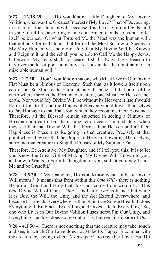**V27 – 12.18.29 –** "…**Do you Know**, Little Daughter of My Divine Volition, what was the Greatest Interest of My Love? That of Devouring, in creatures, their human will, because it is the origin of all evils, and in spite of all Its Devouring Flames, it formed clouds so as not to let itself be burned. O! what Tortured Me the Most was the human will, that not only formed clouds, but formed the Most Sorrowful Scenes in My Very Humanity. Therefore, Pray that My Divine Will be Known and Reign in it; and then shall you be able to Call Me the Happy Jesus. Otherwise, My Tears shall not cease, I shall always have Reason to Cry over the lot of poor humanity, as it lies under the nightmare of its miserable human will."

**V27 – 1.7.30 –** "**Don't you Know** that one who Must Live in Our Divine Fiat Must be a Nimbus of Heaven? Such that, as it lowers itself upon earth - but So Much as to Eliminate any distance - at that point of the earth where there is the Fortunate creature, one Must see Heaven, not earth. Nor would My Divine Will be without Its Heaven; It Itself would Form It for Itself, and the Drapes of Heaven would lower themselves to Pay Homage to that Fiat from which they recognize their Existence. Therefore, all the Blessed remain stupefied in seeing a Nimbus of Heaven upon earth; but their stupefaction ceases immediately, when they see that that Divine Will that Forms their Heaven and all their Happiness is Present as Reigning in that creature, Precisely at that point where they see that the Drapes of Heaven, Lowering Themselves, surround that creature to Sing the Praises of My Supreme Fiat.

Therefore, Be Attentive, My Daughter, and if I tell you this, it is to let you Know the Great Gift of Making My Divine Will Known to you, and how It Wants to Form Its Kingdom in you, so that you may Thank Me and be Grateful."

**V28 – 3.5.30 -** "My Daughter, **Do you Know** what Unity of Divine Will means? It means that from within this *One Will* - there is nothing Beautiful, Good and Holy that does not come from within It. This *One* Divine Will of Ours – *One* is Its Unity, *One* is Its act; but while It is *One*, the Will, the Unity and the Act Extend Everywhere; and because It Extends Everywhere as though in *One* Single Breath, It does Everything, It Embraces Everything and Gives Life to Everything. So, one who Lives in Our Divine Volition Fuses herself in Our Unity, and Everything she does does not go out of Us, but remains inside of Us."

**V28 – 4.1.30 –** "There is not one thing that the creature may take, touch and see, in which Our Love does not Make Its Happy Encounter with the creature by saying to her: *'I Love you'* – to Give her Love. But **Do**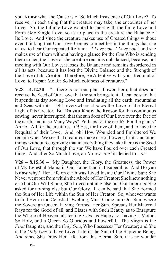**you Know** what the Cause is of So Much Insistence of Our Love? To receive, in each thing that the creature may take, the encounter of her Love. So, the Infinite Love wanted to meet with the finite Love and Form *One* Single Love, so as to place in the creature the Balance of Its Love. And since the creature makes use of Created things without even thinking that Our Love Comes to meet her in the things that she takes, to hear Our repeated Refrain: '*I Love you, I Love you'*, and she makes use of them without having a glance for the *One* Who is sending them to her, the Love of the creature remains unbalanced, because, not meeting with Our Love, it loses the Balance and remains disordered in all its acts, because it has lost the Divine Balance and the Strength of the Love of its Creator. Therefore, Be Attentive with your Requital of Love, to Repair Me for So Much coldness of creatures."

 $V28 - 4.12.30 -$  "...there is not one plant, flower, herb, that does not receive the Seed of Our Love that the sun brings to it. It can be said that it spends its day sowing Love and Irradiating all the earth, mountains and Seas with its Light; everywhere it sows the Love of the Eternal Light of its Creator. But **Do you Know** the Reason for this continuous sowing, never interrupted, that the sun does of Our Love over the face of the earth, and in so Many Ways? Perhaps for the earth? For the plants? Ah no! All for the creatures. O! Yes, for Love of them, and to have the Requital of their Love. And, oh! How Wounded and Embittered We remain when We see that creatures make use of flowers, fruits and other things without recognizing that in everything they take there is the Seed of Our Love, that through the sun We have Poured over each Created thing. And after So Much Love, an *'I Love You'* is denied to Us."

**V28 – 8.15.30 –** "My Daughter, the Glory, the Greatness, the Power of My Celestial Mama in Our Fatherland is Insuperable. And **Do you Know** why? Her Life on earth was Lived Inside Our Divine Sun; She Never went out from within the Abode of Her Creator; She knew nothing else but Our Will Slone, She Loved nothing else but Our Interests, She asked for nothing else but Our Glory. It can be said that She Formed the Sun of Her Life within the Sun of Her Creator. So, whoever wants to find Her in the Celestial Dwelling, Must Come into Our Sun, where the Sovereign Queen, having Formed Her Sun, Spreads Her Maternal Rays for the Good of all, and Blazes with Such Beauty as to Enrapture the Whole of Heaven, all feeling *twice* as Happy for having a Mother So Holy, and a Queen So Glorious and Powerful. The Virgin is the *First* Daughter, and the *Only One*, Who Possesses Her Creator; and She is the *Only One* to have Lived Life in the Sun of the Supreme Being. And since She Drew Her Life from this Eternal Sun, it is no wonder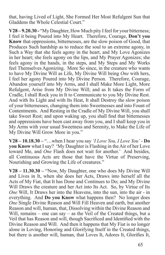that, having Lived of Light, She Formed Her Most Refulgent Sun that Gladdens the Whole Celestial Court."

**V28 – 9.20.30 -** "My Daughter, How Much pity I feel for your bitterness; I feel it being Poured into My Heart. Therefore, Courage, **Don't you Know** that oppressions, bitternesses, are the slow poison of Good, that Produces Such hardship as to reduce the soul to an extreme agony, in Such a Way that she feels agony in the heart, and My Love Agonizes in her heart; she feels agony on the lips, and My Prayer Agonizes; she feels agony in the hands, in the steps, and My Steps and My Works feel Themselves Agonizing. More So since, in the creature who wants to have My Divine Will as Life, My Divine Will being *One* with hers, I feel her agony Poured into My Divine Person. Therefore, Courage, Abandon yourself into My Arms, and I shall Make More Light, More Refulgent, Arise from My Divine Will; and as It takes the Form of Cradle, I shall Rock you in It to Communicate to you My Divine Rest. And with Its Light and with Its Heat, It shall Destroy the slow poison of your bitternesses, changing them into Sweetnesses and into Fount of Contentments. And Resting in the Cradle of My Divine Will, you shall take Sweet Rest; and upon waking up, you shall find that bitternesses and oppressions have been cast away from you, and I shall keep you in My Arms with your usual Sweetness and Serenity, to Make the Life of My Divine Will Grow More in you."

**V28 – 10.18.30 –** "…when I hear you say *'I Love You, I Love You'* - **Do you Know** what I say? 'My Daughter is Flashing in the Air of her Love toward Me, and *One* Flash does not wait for another.' And besides, all Continuous Acts are those that have the Virtue of Preserving, Nourishing and Growing the Life of creatures."

**V28 – 11.30.30 –** "Now, My Daughter, one who does My Divine Will and Lives in It, when she does her Acts, Draws into herself all the Acts of My Fiat, that It has Done and Continues to Do; and My Divine Will Draws the creature and her Act into Its Act. So, by Virtue of Its *One* Will, It Draws her into the Heavens, into the sun, into the air - in everything. And **Do you Know** what happens then? No longer does *One* Single Divine Reason and Will Fill Heaven and earth, but another Reason and will, human, that, Dissolving within the Divine Reason and Will, remains – one can say – as the Veil of the Created things, but a Veil that has Reason and will, though Sacrificed and Identified with the Divine Reason and Will. And then it happens that My Fiat is no longer alone in Loving, Honoring and Glorifying Itself in the Created things, but there is another will, human, that Loves It, Adores It, Glorifies It,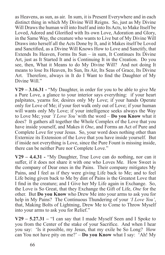as Heavens, as sun, as air. In sum, it is Present Everywhere and in each distinct thing in which My Divine Will Reigns. So, just as My Divine Will Draws the human will into Itself and into Its Acts, to Make Itself be Loved, Adored and Glorified with Its own Love, Adoration and Glory, in the Same Way, the creature who wants to Live but of My Divine Will Draws into herself all the Acts Done by It, and it Makes itself be Loved and Sanctified, as a Divine Will Knows How to Love and Sanctify, that Extends Its Heaven, Forms Its Sun – in sum, It Continues Its Divine Art, just as It Started It and is Continuing It in the Creation. Do you see, then, What it Means to do My Divine Will? And not doing It means to lose Its Heaven, Its Sun, Its Air, Its Seas of Grace, Its Divine Art. Therefore, always in It do I Want to find the Daughter of My Divine Will."

**V29 – 3.16.31 -** "My Daughter, in order for you to be able to give Me a Pure Love, a glance to your interior says everything: if your heart palpitates, yearns for, desires only My Love; if your hands Operate only for Love of Me; if your feet walk only out of Love; if your human will wants only My Love; if your intelligence seeks always the Way to Love Me; your *'I Love You'* with the word – **Do you Know** what it does? It gathers all together the Whole Complex of the Love that you have inside yourself, and Makes it *One*, and Forms an Act of Pure and Complete Love for your Jesus. So, your word does nothing other than Externize its Extension of the Love that you have inside yourself. But if inside not everything is Love, since the Pure Fount is missing inside, there can be neither Pure nor Complete Love."

**V29 – 4.4.31 -** "My Daughter, True Love can do nothing, nor can it suffer, if it does not share it with one who Loves Me. How Sweet is the company of Dear ones in the Pains. Their company mitigates My Pains, and I feel as if they were giving Life back to Me; and to feel Life being given back to Me by dint of Pains is the Greatest Love that I find in the creature; and I Give her My Life again in Exchange. So, the Love is So Great, that they Exchange the Gift of Life, *One* for the other. But **Do you Know** who Drew Me into your arms to ask you for help in My Pains? The Continuous Thundering of your *'I Love You'*, that, Making Bolts of Lightning, Drew Me to Come to Throw Myself into your arms to ask you for Relief."

**V29 – 5.27.31 –** "I can say that I made Myself Seen and I Spoke to you from the Center of the stake of your Sacrifice. And when I hear you say: 'Is it possible, my Jesus, that my exile be So Long? How can You not have pity on me?' – **Do you Know** what I say: 'Ah! My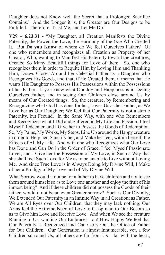Daughter does not Know well the Secret that a Prolonged Sacrifice Contains.' And the Longer it is, the Greater are Our Designs to be Fulfilled. Therefore, Trust Me, and Let Me Do."

**V29 – 6.23.31 -** "My Daughter, all Creation Manifests the Divine Paternity, the Power, the Love, the Harmony of the *One* Who Created It. But **Do you Know** of whom do We feel Ourselves Father? Of one who remembers and recognizes all Creation as Property of her Creator, Who, wanting to Manifest His Paternity toward the creatures, Created So Many Beautiful things for Love of them. So, one who recognizes them in order to Requite Him by Loving Him and Thanking Him, Draws Closer Around her Celestial Father as a Daughter who Recognizes His Goods, and that, if He Created them, it means that He wants His Daughter to Possess His Possessions within the Possessions of her Father. If you knew what Our Joy and Happiness is in feeling Ourselves Father, and in seeing Our Children close around Us by means of Our Created things. So, the creature, by Remembering and Recognizing what God has done for her, Loves Us as her Father, as We Love her as Our Daughter; We feel that Our Paternity is not a sterile Paternity, but Fecund. In the Same Way, with one who Remembers and Recognizes what I Did and Suffered in My Life and Passion, I feel Myself Redeemer, and I Give her to Possess the Goods of Redemption. So, My Pains, My Works, My Steps, Line Up around the Happy creature in order to Help her, Sanctify her, and Make her feel, within herself, the Effects of All My Life. And with one who Recognizes what Our Love has Done and Can Do in the Order of Grace, I feel Myself Passionate Lover, and I Give her the Possession of My Love, in Such a Way that she shall feel Such Love for Me as to be unable to Live without Loving Me. And since True Love is in Always Doing My Divine Will, I Make of her a Prodigy of My Love and of My Divine Will.

What Sorrow would it not be for a father to have children and not to see them around himself so as to Love one another and enjoy the fruit of his inmost being? And if these children did not possess the Goods of their father, would it not be an even Greater sorrow? Such is Our Divinity; We Extended Our Paternity in an Infinite Way in all Creation; as Father, We are All Ryes over Our Children, that they may lack nothing; Our Arms feel the Extreme Need of Love to Clasp man to Our Bosom so as to Give him Love and Receive Love. And when We see the creature Running to Us, wanting Our Embraces - oh! How Happy We feel that Our Paternity is Recognized and Can Carry Out the Office of Father for Our Children. Our Generation is almost Innumerable, yet, a few Children surround Us; all others are far from Us – far with the heart,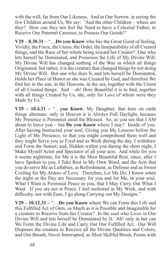with the will; far from Our Likeness. And in Our Sorrow, in seeing the few Children around Us, We say: 'And the other Children – where are they? How can they not feel the Need to have a Celestial Father, to Receive Our Paternal Caresses, to Possess Our Goods?'

**V29 – 8.30.31 –** "…**Do you Know** who has the Great Good of feeling, Vividly, the Force, the Union, the Order, the Inseparability of all Created things, and the Race of her whole being toward her Creator? One who lets herself be Dominated, and Possesses the Life of My Divine Will. My Divine Will has changed nothing of the Way in which all things Originated; but rather, it is the creature that changed things by not doing My Divine Will. But one who does It, and lets herself be Dominated, Holds her Place of Honor as she was Created by God, and therefore We find her in the sun, in the Heavens, in the sea, together with the Union of all Created things. And – oh! How Beautiful it is to find, together with all things Created by Us, she, only for Love of whom were they Made by Us."

**V29 – 10.4.31 –** "…**you Know**, My Daughter, that here on earth things alternate; only in Heaven it is Always Full Daylight, because My Presence is Perennial amid the Blessed. So, as you see that I AM about to leave you – but **Do you Know** where I stay? Inside of you. After having Instructed your soul, Giving you My Lessons before the Light of My Presence, so that you might comprehend them well and they might Serve you as Food and as Work during the day, I withdraw and Form the Sunset; and, Hidden within you during the short night, I Make Myself Actor and Spectator of all your acts. And while for you it seems nighttime, for Me it is the Most Beautiful Rest, since, after I have Spoken to you, I Take Rest in My Own Word, and the Acts that you do serve Me as Lullabies, as Refreshment, as Defense and as Sweet Cooling for My Ardors of Love. Therefore, Let Me Do; I Know when the night or the Day are Necessary for you and for Me, in your soul. What I Want is Perennial Peace in you, that I May Carry Out What I Want. If you are not at Peace, I feel molested in My Work, and with difficulty, not with Ease, I go along Carrying out My Designs."

**V29 – 10.12.31 –** "…**Do you Know** where We can Form this Life and this Fulfilled Act of Ours, as Much as it is Possible and Imaginable for a creature to Receive from her Creator? In the soul who Lives in Our Divine Will and lets herself be Dominated by It. Ah! only in her can We Form the Divine Life and Carry Out Our Fulfilled Act. Our Will Disposes the creature to Receive all the Divine Qualities and Colors; and Our Breath, Never Interrupted, as Most Skillful Brush, Paints with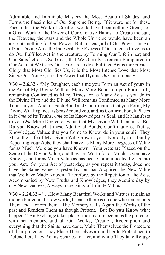Admirable and Inimitable Mastery the Most Beautiful Shades, and Forms the Facsimiles of Our Supreme Being. If it were not for these Facsimiles, the Work of Creation would have been nothing Great, nor a Great Work of the Power of Our Creative Hands; to Create the sun, the Heavens, the stars and the Whole Universe would have been an absolute nothing for Our Power. But, instead, all of Our Power, the Art of Our Divine Arts, the Indescribable Excess of Our Intense Love, is to do Our Fulfilled Act in the creature, by Forming Our Life in her; and Our Satisfaction is So Great, that We Ourselves remain Enraptured in Our Act that We Carry Out. For Us, to do a Fulfilled Act is the Greatest Glory that Most Glorifies Us, it is the Most Intense Love that Most Sings Our Praises, it is the Power that Hymns Us Continuously."

**V30 – 2.6.32 -** "My Daughter, each time you Form an Act of yours in the Act of My Divine Will, as Many More Bonds do you Form in It, remaining Confirmed as Many Times for as Many Acts as you do in the Divine Fiat; and the Divine Will remains Confirmed as Many More Times in you. And for Each Bond and Confirmation that you Form, My Divine Will Expands Its Seas Around you, and, as Confirmation, It Places in it *One* of Its Truths, *One* of Its Knowledges as Seal, and It Manifests to you *One* More Degree of Value that My Divine Will Contains. But **Do you Know** what these Additional Bonds, Confirmations, Truths, Knowledges, Values that you Come to Know, do in your soul? They Make the Life of My Divine Will Grow in you. Not only this, but by Repeating your Acts, they shall have as Many More Degrees of Value for as Much More as you have Known. Your Acts are Placed on the Scale of the Divine Value, and they are Worth for as Much as you have Known, and for as Much Value as has been Communicated by Us into your Act. So, your Act of yesterday, as you repeat it today, does not have the Same Value as yesterday, but has Acquired the New Value that We have Made Known. Therefore, by the Repetition of the Acts, Accompanied by New Truths and Knowledges, they Acquire day by day New Degrees, Always Increasing, of Infinite Value."

**V30 – 2.24.32 –** "…How Many Beautiful Works and Virtues remain as though buried in the low world, because there is no one who remembers Them and Honors them. The Memory Calls Again the Works of the past and Renders Them as though Present. But **Do you Know** what happens? An Exchange takes place: the creature becomes the protector with her memory, and all Our Works, Creation, Redemption and everything that the Saints have done, Make Themselves the Protectors of their protector; They Place Themselves around her to Protect her, to Defend her; They Act as Sentries for her, and while They take Refuge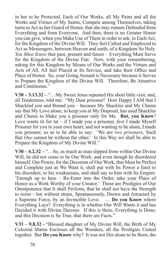in her to be Protected, Each of Our Works, all My Pains and all the Works and Virtues of My Saints, Compete among Themselves, taking turns to Act as her Guard of Honor, that she may remain Defended from Everything and from Everyone. And then, there is no Greater Honor you can give, when you Make Use of Them in order to ask, in Each Act, for the Kingdom of the Divine Will. They feel Called and Employed to Act as Messengers, between Heaven and earth, of a Kingdom So Holy. *You Must Know* that past, present and future – Everything Must Serve for the Kingdom of the Divine Fiat. Now, with your remembering, asking for this Kingdom by Means of Our Works and the Virtues and Acts of All, All feel Placed at Its Service, and take their Office and Place of Honor. So, your Going Around is Necessary because it Serves to Prepare the Kingdom of the Divine Will. Therefore, Be Attentive and Continuous."

**V30 – 3.13.32 –** "…My Sweet Jesus repeated His short little visit, and, all Tenderness, told me: "My Dear prisoner! How Happy I AM that I Shackled you and Bound you – because My Shackles and My Chains say that My Love alone, to keep you at My Disposal, has used Shackles and Chains to Make you a prisoner only for Me. **But, you Know**? Love wants tit for tat – if I made you a prisoner, *first* I made Myself Prisoner for you in your own heart; and not wanting to be alone, I made you prisoner, so as to be able to say: 'We are *two prisoners*, Such that *One* cannot be without the other.' In this Way we shall be able to Prepare the Kingdom of My Divine Will."

**V30 – 4.2.32 –** "…So, as much as man slipped from within Our Divine Will, he did not cease to be Our Work; and even though he disordered himself, Our Power, for the Decorum of Our Work, that Must be Perfect and Complete just as We Want it, shall put with Its Power a limit to his disorders, to his weaknesses, and shall say to him with Its Empire: 'Enough up to here – Re-Enter into the Order, take your Place of Honor as a Work Worthy of your Creator.' These are Prodigies of Our Omnipotence that It shall Perform, that he shall not have the Strength to resist - but without strain, Spontaneously, Drawn and Attracted by a Supreme Force, by an Invincible Love. … **Do you Know** where Everything Lays? Everything is in whether Our Will Wants it and has Decided it with Divine Decrees. If this is there, Everything is Done; and this Decision is So True, that there are Facts."

**V31 – 9.8.32 -** "Blessed daughter of My Divine Will, the Birth of My Celestial Mama Encloses all the Wonders, all the Prodigies United together. But **Do you Know** why? It was not Her alone to be Born, the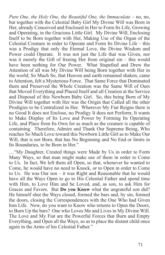*Pure One, the Holy One, the Beautiful One, the Immaculate* – no, no, but together with the Celestial Baby Girl My Divine Will was Born in Her, already Conceived and Enclosed in Her to Form Its Life, Growing and Operating, in the Gracious Little Girl. My Divine Will, Enclosing Itself to be Born together with Her, Making Use of the Organ of the Celestial Creature in order to Operate and Form Its Divine Life – this was a Prodigy that only the Eternal Love, the Divine Wisdom and Power could Operate. It was not just the Life that was Given, nor was it merely the Gift of freeing Her from original sin – this would have been nothing for Our Power. What Stupefied and Drew the Attention of all was My Divine Will being Born together with Her in the world; So Much So, that Heaven and earth remained shaken, came to Attention, felt a Mysterious Force. That Same Force that Dominated them and Preserved the Whole Creation was the Same Will of Ours that Moved Everything and Placed Itself and all Creation at the Service and Disposal of this Newborn Baby Girl. So, this being Born of My Divine Will together with Her was the Origin that Called all the other Prodigies to be Centralized in Her. Wherever My Fiat Reigns there is no Good It does not Enclose, no Prodigy It does not Perform; It wants to Make Display of Its Love and Power by Forming Its Operating Life, and Place from Its Own for as much as the creature is capable of containing. Therefore, Admire and Thank Our Supreme Being, Who reaches So Much Love toward this Newborn Little Girl as to Make Our Will, that is not Born, that has No Beginning and No End or limits in Its Boundaries, to be Born in Her."

…"My Daughter, Created things were Made by Us in order to Form Many Ways, so that man might make use of them in order to Come to Us. In fact, We left them all Open, so that, whenever he wanted to Come, he would have no need to Knock, or to Open in order to Come to Us. He was Our son – it was Right and Reasonable that he would have all the Ways Open to go to His Celestial Father and spend time with Him, to Love Him and be Loved, and, as son, to ask Him for Graces and Favors. But **Do you Know** what the ungrateful son did? He himself shut the Ways closed, formed the bars and, by sin, formed the doors, closing the Correspondences with the One Who had Given him Life. Now, do you want to Know who returns to Open the Doors, to Burn Up the bars? One who Loves Me and Lives in My Divine Will. The Love and My Fiat are the Powerful Forces that Burn and Empty Everything, and Open all the Ways, so as to place the distant child once again in the Arms of his Celestial Father."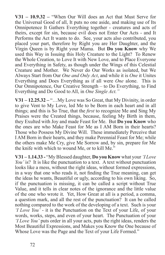**V31 – 10.9.32 –** "When Our Will does an Act that Must Serve for the Universal Good of all, It puts no one aside, and making use of Its Omnipotence It Gathers Everything together - creatures and acts of theirs, except for sin, because evil does not Enter Our Acts - and It Performs the Act It wants to do. See, your acts also contributed, you placed your part, therefore by Right you are Her Daughter, and the Virgin Queen is by Right your Mama. But **Do you Know** why We used this Way in Issuing this Holy Creature to the Light? To Renew the Whole Creation, to Love It with New Love, and to Place Everyone and Everything in Safety, as though under the Wings of this Celestial Creature and Mother. We Never do Our Works as isolated, but We Always Start from Our *One and Only Act*, and while it is *One* it Unites Everything and Does Everything as if all were *One* alone. This is Our Omnipotence, Our Creative Strength – to Do Everything, to Find Everything and Do Good to All, in *One Single Act."*

**V31 – 12.25.32 –** "…My Love was So Great, that My Divinity, in order to give Vent to My Love, led Me to be Born in each heart and in all things; and this is So True, that the *first* to recognize Me and Sing My Praises were the Created things, because, feeling My Birth in them, they Exulted with Joy and made Feast for Me. But **Do you Know** who the ones are who Make Feast for Me as I AM Born in their hearts? Those who Possess My Divine Will. These immediately Perceive that I AM Born in their hearts, and they make Perennial Feast for Me; while the others make Me Cry, give Me Sorrow and, by sin, prepare for Me the knife with which to wound Me, or to kill Me."

**V31 – 1.14.33 -** "My Blessed daughter, **Do you Know** what your *'I Love You'* is? It is like the punctuation to a text. A text without punctuation looks like a mess, without the right ideas, without formed expressions, in a way that one who reads it, not finding the True meaning, can get the ideas he wants, Beautiful or ugly, according to his own liking. So, if the punctuation is missing, it can be called a script without True Value, and it tells in clear notes of the ignorance and the little value of the one who wrote it. Yet, How Great at all is a period, a comma, a question mark, and all the rest of the punctuation? It can be called nothing compared to the work of the developing of a text. Such is your *'I Love You'* - it is the Punctuation on the Text of your Life, of your words, works, steps, and even of your heart. The Punctuation of your *'I Love You'* puts order in all your acts, puts the right ideas, renders the Most Beautiful Expressions, and Makes you Know the One because of Whose Love was the Page and the Text of your Life Formed."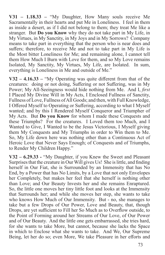**V31 – 1.18.33 –** "My Daughter, How Many souls receive Me Sacramentally in their hearts and put Me in Loneliness. I feel in them as inside a desert, as if I did not belong to them; they treat Me like a stranger. But **Do you Know** why they do not take part in My Life, in My Virtues, in My Sanctity, in My Joys and in My Sorrows? Company means to take part in everything that the person who is near does and suffers; therefore, to receive Me and not to take part in My Life is the Most bitter Loneliness for Me; and remaining alone, I cannot tell them How Much I Burn with Love for them, and so My Love remains Isolated, My Sanctity, My Virtues, My Life, are Isolated. In sum, everything is Loneliness in Me and outside of Me."

**V32 – 4.16.33 –** "My Operating was quite different from that of the creatures: doing or not doing, Suffering or not Suffering, was in My Power; My All-Seeingness would hide nothing from Me. And I, *first* I Placed My Divine Will in My Acts, I Enclosed Fullness of Sanctity, Fullness of Love, Fullness of All Goods; and then, with Full Knowledge, I Offered Myself to Operating or Suffering, according to what I Myself wanted; and by this I Rendered Myself Conqueror and Triumpher of My Acts. But **Do you Know** for whom I made these Conquests and these Triumphs? For the creatures. I Loved them too Much, and I Wanted to Give, I Wanted to be the Jesus Victorious, I Myself giving them My Conquests and My Triumphs in order to Win them to Me. So, My Life down here was nothing other than a Continuous Act of Heroic Love that Never Says Enough; of Conquests and of Triumphs, to Render My Children Happy."

**V32 – 6.29.33 -** "My Daughter, if you Knew the Sweet and Pleasant Surprises that the creature in Our Will gives Us! She is little, and finding herself in Our Fiat, she is Surrounded by an Immensity that has No End, by a Power that has No Limits, by a Love that not only Envelopes her Completely, but makes her feel that she herself is nothing other than Love; and Our Beauty Invests her and she remains Enraptured. So, the little one moves her tiny little foot and looks at the Immensity that Surrounds her; and while she moves her step, she wants to take who knows How Much of Our Immensity. But - no, she manages to take but a few Drops of Our Power, Love and Beauty, that, though Drops, are yet sufficient to Fill her So Much as to Overflow outside, to the Point of Forming around her Streams of Our Love, of Our Power and of Our Beauty. And the little one gets embarrassed, she tries hard, for she wants to take More, but cannot, because she lacks the Space in which to Enclose what she wants to take. And We, Our Supreme Being, let her do so; even More, We take Pleasure in her efforts and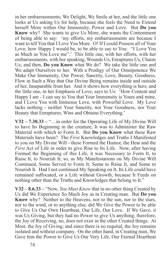in her embarrassments; We Delight, We Smile at her, and the little one looks at Us asking Us for help, because she feels the Need to Extend herself More within Our Immensity, Power and Love. But **Do you Know** why? She wants to give Us More, she wants the Contentment of being able to say: 'my efforts, my embarrassments are because I want to tell You that I Love You More. O! If I could Possess all of Your Love, how Happy I would be, to be able to say to You: "I Love You as Much as You Love me".' This little one, with her efforts, with her embarrassments, with her speaking, Wounds Us, Enraptures Us, Chains Us; and then, **Do you Know** what We do? We take the little one and We adapt Ourselves to her. With a Prodigy of Our Omnipotence We Make Our Immensity, Our Power, Sanctity, Love, Beauty, Goodness, Flow in Such a Way that Our Divine Being remains inside and outside of her, Inseparable from her. And it shows how everything is hers; and the little one, in her Emphasis of Love, says to Us: 'How Content and Happy I am - I can say to You that Your Immensity is Yours and mine, and I Love You with Immense Love, with Powerful Love. My Love lacks nothing - neither Your Sanctity, nor Your Goodness, nor Your Beauty that Enraptures, Wins and Obtains Everything.'

**V32 – 7.30.33 –** "…in order for the Operating Life of My Divine Will to have Its Beginning in the creature, It was to Administer the Raw Material with which to Form It. But **Do you Know** what these Raw Materials have been? The *First* Knowledges and Truths I Manifested to you on My Divine Will - these Formed the Humor, the Heat and the *First* Act of Life in order to give Rise to Its Life. Now, after having Formed the Beginning of this Life, it was Necessary to Form It, to Raise It, to Nourish It; so, as My Manifestations on My Divine Will Continued, Some Served to Form It, Some to Raise It, and Some to Nourish It. Had I not continued My Speaking on It, Its Life could have remained suffocated, or a Life without Growth, because It Feeds on nothing other than the Truths and Knowledges that belong to It."

**V32 – 8.6.33 –** "Now, *You Must Know* that in no other thing Created by Us did We Experience So Much Joy as in Creating man. But **Do you Know** why? Neither to the Heavens, nor to the sun, nor to the stars, nor to the wind, or to anything else, did We Give the Power to be able to Give Us Our Own Heartbeat, Our Life, Our Love. If We Gave, it was Us Giving, but they had no Power to give Us anything; therefore, the Joy of Receiving, no, does not exist in the other Created things. At Most, the Joy of Giving; and since there is no requital, the Joy remains isolated and without company. On the other hand, in Creating man, We Gave him the Power to Give Us Our Very Life, Our Eternal Heartbeat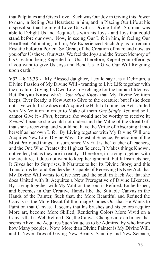that Palpitates and Gives Love. Such was Our Joy in Giving this Power to man, in feeling Our Heartbeat in him, and in Placing Our Life at his disposal so that he might Love Us with a Divine Life! So, man was able to Delight Us and Requite Us with his Joys - and Joys that could stand before our own. Now, in seeing Our Life in him, in feeling Our Heartbeat Palpitating in him, We Experienced Such Joy as to remain Ecstatic before a Portent So Great, of the Creation of man; and now, as you offer Us these, Our Acts, We feel the Joys and the Sweet Memory of his Creation being Repeated for Us. Therefore, Repeat your offerings if you want to give Us Joys and Bend Us to Give Our Will Reigning upon earth."

**V32 – 8.13.33 -** "My Blessed daughter, I could say it is a Delirium, a Divine Passion of My Divine Will - wanting to Live Life together with the creature, Giving Its Own Life in Exchange for the human littleness. But **Do you Know** why? *You Must Know* that My Divine Volition keeps, Ever Ready, a New Act to Give to the creature; but if she does not Live with It, she does not Acquire the Habit of doing her Acts United with My Volition in order to Make of them *One Single Act*; and so It cannot Give it - *First*, because she would not be worthy to receive it; *Second*, because she would not understand the Value of the Great Gift that she is receiving, and would not have the Virtue of Absorbing it into herself as her own Life. By Living together with My Divine Will one Acquires New Life, Divine Ways, Celestial Science, Penetration of the Most Profound things. In sum, since My Fiat is the Teacher of teachers, and the One Who Creates the Highest Science, It Makes things Known, not veiled, but as they are in reality. Therefore, in Living together with the creature, It does not want to keep her ignorant, but It Instructs her, It Gives her Its Surprises, It Narrates to her Its Divine Story; and this Transforms her and Renders her Capable of Receiving Its New Act, that My Divine Will wants to Give her; and the soul, in Each Act that she does United with It, Acquires a New Prerogative of Divine Likeness. By Living together with My Volition the soul is Refined, Embellished, and becomes in Our Creative Hands like the Suitable Canvas in the Hands of the Painter, Such that, the More Beautiful and Refined the Canvas is, the More Beautiful the Image Comes Out that He Wants to Paint on that Canvas. It seems that his brushes and his colors acquire More art, become More Skilled, Rendering Colors More Vivid on a Canvas that is Well Refined. So, the Canvas Changes into an Image that seems Alive and Acquires Such Value as to be Admired by who knows how Many peoples. Now, More than Divine Painter is My Divine Will, and It Never Tires of Giving New Beauty, Sanctity and New Science,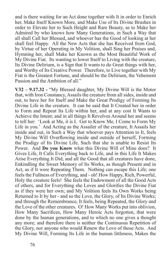and is there waiting for an Act done together with It in order to Enrich her, Make Itself Known More, and Make Use of Its Divine Brushes in order to Elevate her to Such Height and Rare Beauty, as to Make her Admired by who knows how Many Generations, in Such a Way that all shall Call her Blessed, and whoever has the Good of looking at her shall feel Happy. All the New Acts that she has Received from God, by Virtue of her Operating in My Volition, shall Sing her Praises and, Hymning her, shall Make her Known as the Most Beautiful Work of My Divine Fiat. Its wanting to lower Itself to Living with the creature, Its Divine Delirium, is a Sign that It wants to do Great things with her, and Worthy of Its Creative Power. Therefore, to Live together with My Fiat is the Greatest Fortune, and should be the Delirium, the Vehement Passion and the Ambition of all."

**V32 – 9.17.32 -** "My Blessed daughter, My Divine Will is the Motor that, with Iron Constancy, Assails the creature from all sides, inside and out, to have her for Itself and Make the Great Prodigy of Forming Its Divine Life in the creature. It can be said that It Created her in order to Form and Repeat Its Life within her, and at any cost It Wants to Achieve the Intent; and in all things It Revolves Around her and seems to tell her: 'Look at Me, it is I. Get to Know Me, I Come to Form My Life in you.' And Acting as the Assailer of the creature, It Assails her inside and out, in Such a Way that whoever pays Attention to It, feels My Divine Will Overflowing inside and outside of herself, Forming the Prodigy of Its Divine Life, Such that she is unable to Resist Its Power. And **Do you Know** what this Divine Will of Mine does? It Gives Life, It Calls Everything back to Life, and in this Life It Makes Arise Everything It Did, and all the Good that all creatures have done, Enkindling the Sweet Memory of Its Works, as though Present and in Act, as if It were Repeating Them. Nothing can escape this Life; one feels the Fullness of Everything, and - oh! How Happy, Rich, Powerful, Holy the creature feels! She feels the Endowment of all the Good Acts of others, and for Everything she Loves and Glorifies the Divine Fiat as if they were her own; and My Volition feels Its Own Works being Returned to It by her - and so the Love, the Glory, of Its Divine Works; and through the Remembrance, It feels, being Repeated, the Glory and the Love of the other creatures. O! How Many Works put into oblivion, How Many Sacrifices, How Many Heroic Acts forgotten, that were done by the human generations, and to which no one gives a thought any more; and therefore there is neither the Continuous Repetition of the Glory, nor anyone who would Renew the Love of those Acts. And My Divine Will, Forming Its Life in the human littleness, Makes the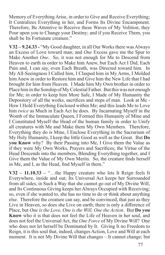Memory of Everything Arise, in order to Give and Receive Everything; It Centralizes Everything in her, and Forms Its Divine Encampment. Therefore, Be Attentive to Receive these Waves of My Volition; they Pour upon you to Change your Destiny; and if you Receive Them, you shall be Its Fortunate creature."

**V32 – 9.24.33 -** "My Good daughter, in all Our Works there was Always an Excess of Love toward man; and *One* Excess gave me the Spur to Make Another *One*. So, it was not enough for Me to Descend from Heaven to earth in order to Make him Anew, but Each Act I Did, Each Pain and, I can say, even Each Breath, was Directed toward him. In My All-Seeingness I Called him, I Clasped him in My Arms, I Molded him Anew in order to Restore him and Give him the New Life that I had brought for him from Heaven. I Made him My Own brother in order to Place him in the Sonship of My Celestial Father. But this was not enough for Me; in order to keep him More Safe, I Made of My Humanity the Depository of all the works, sacrifices and steps of man. Look at Me - How I Hold Everything Enclosed within Me; and this leads Me to Love him *twice* as Much in Each Act he does. By Incarnating Myself in the Womb of the Immaculate Queen, I Formed this Humanity of Mine and I Constituted Myself the Head of the human family in order to Unify all creatures with Me and Make them My Own Members. Therefore, Everything they do is Mine, I Enclose Everything in the Sacrarium of My Holy Humanity, I keep the little Good as well as the Great. But **Do you Know** why? By their Passing into Me, I Give them the Value as if they were My Own Works, Prayers and Sacrifices; the Virtue of the Head Descends into the members, Blending Everything together, and I Give them the Value of My Own Merits. So, the creature finds herself in Me, and I, as the Head, find Myself in them."

**V32 – 11.10.33 –** "…the Happy creature who lets It Reign feels It Everywhere, inside and out; Its Universal Act keeps her Surrounded from all sides, in Such a Way that she cannot go out of My Divine Will, and Its Continuous Giving keeps her Always Occupied with Receiving; so, even if she wanted to, she has no time to do or think about anything else. Therefore the creature can say, and be convinced, that just as they Live in Heaven, so does she Live on earth; there is only a difference of Place, but *One is the Love, One is the Will, One the Action.* But **Do you Know** who it is that does not feel the Life of Heaven in her soul, and does not feel the Universal Act, the *One Force* of My Divine Will? One who does not let herself be Dominated by It. Giving It no Freedom to Reign, it is this soul that, indeed, changes Action, Love and Will at each moment. It is not My Divine Will that changes – It cannot change; but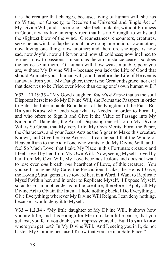it is the creature that changes, because, living of human will, she has no Virtue, nor Capacity, to Receive the Universal and Single Act of My Divine Will, and – poor one – she feels mutable, without Firmness in Good, always like an empty reed that has no Strength to withstand the slightest blow of the wind. Circumstances, encounters, creatures, serve her as wind, to flap her about, now doing one action, now another, now loving one thing, now another; and therefore she appears now sad, now Joyful, now all fervor, and now all coldness; now inclined to Virtues, now to passions. In sum, as the circumstance ceases, so does the act cease in them. O! human will, how weak, mutable, poor you are, without My Divine Will – because you lack the Life of Good that should Animate your human will, and therefore the Life of Heaven is far away from you. My Daughter, there is no Greater disgrace, nor evil that deserves to be Cried over More than doing one's own human will."

**V33 – 11.19.33 -** "My Good daughter, *You Must Know* that as the soul Disposes herself to do My Divine Will, she Forms the Passport in order to Enter the Interminable Boundaries of the Kingdom of the Fiat. But **Do you Know** who lends you what is Needed in order to Form It, and who offers to Sign It and Give It the Value of Passage into My Kingdom? Daughter, the Act of Disposing oneself to do My Divine Will is So Great, that My Very Life, My Own Merits, Form the Paper, the Characters, and your Jesus Acts as the Signer to Make this creature Known, and Give her Free Access. It can be said that the Whole of Heaven Runs to the Aid of one who wants to do My Divine Will, and I feel So Much Love, that I take My Place in this Fortunate creature and I feel Loved by her, from My Own Will. Now, seeing Myself Loved by her, from My Own Will, My Love becomes Jealous and does not want to lose even *one* breath, *one* heartbeat of Love, of this creature. You yourself, imagine My Care, the Precautions I take, the Helps I Give, the Loving Stratagems I use toward her; in a Word, I Want to Replicate Myself within her, and in order to Replicate Myself, I Expose Myself, so as to Form another Jesus in the creature; therefore I Apply all My Divine Art to Obtain the Intent. I hold nothing back, I Do Everything, I Give Everything; wherever My Divine Will Reigns, I can deny nothing, because I would deny it to Myself."

**V33 – 1.2.34 -** "My little daughter of My Divine Will, it shows how you are little, and it is enough for Me to make a little pause, that you get lost, you fear, you doubt, you oppress yourself. But **Do you Know** where you get lost? In My Divine Will. And I, seeing you in It, do not hasten My Coming because I Know that you are in a Safe Place."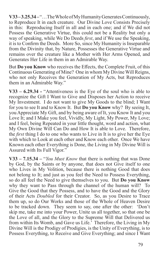**V33 – 3.25.34 –** "…The Whole of My Humanity Generates Continuously, to Reproduce It in each creature. Our Divine Love Consists Precisely in this: Reproducing Itself in all and in each one; and if We did not Possess the Generative Virtue, this could not be a Reality but only a way of speaking, while We Do Deeds *first*, and if We use the Speaking, it is to Confirm the Deeds. More So, since My Humanity is Inseparable from the Divinity that, by Nature, Possesses the Generative Virtue and remains over the creature like a Mother with Her Arms Opened, and Generates Her Life in them in an Admirable Way.

But **Do you Know** who receives the Effects, the Complete Fruit, of this Continuous Generating of Mine? One in whom My Divine Will Reigns, who not only Receives the Generation of My Acts, but Reproduces them in an Admirable Way."

**V33 – 6.29.34 -** "Attentiveness is the Eye of the soul who is able to recognize the Gift I Want to Give and Disposes her Action to receive My Investment. I do not want to give My Goods to the blind; I Want for you to see It and to Know It. But **Do you Know** why? By seeing It, you Appreciate My Gift, and by being aware of It, you Know It and you Love It; and I Make you feel, Vividly, My Light, My Power, My Love; and I feel, being Repeated in your little thought, word and action, what My Own Divine Will Can Do and How It is able to Love. Therefore, the *first* thing I do to one who wants to Live in It is to give her the Eye with which to Look at each other and Know each other. Once We have Known each other Everything is Done, the Living in My Divine Will is Assured with Its Full Vigor."

**V33 – 7.15.34 –** "*You Must Know* that there is nothing that was Done by God, by the Saints or by anyone, that does not Give itself to one who Lives in My Volition, because there is nothing Good that does not belong to It; and just as you feel the Need to Possess Everything, so do all feel the Need to give themselves to you. But **Do you Know** why they want to Pass through the channel of the human will? To Give the Good that they Possess, and to have the Good and the Glory of their Acts *Doubled* for their Creator. So, as you Desire to Trace them up, so do Our Works and those of the Whole of Heaven Desire to be tracked down. They seem to say, one after the other: 'Don't skip me, take me into your Power, Unite us all together, so that one be the Love of all, and the Glory to the Supreme Will that Delivered us from within Its Womb, and Gave us Life.' Therefore, the Living in My Divine Will is the Prodigy of Prodigies, is the Unity of Everything, is to Possess Everything, to Receive and Give Everything; and since I Want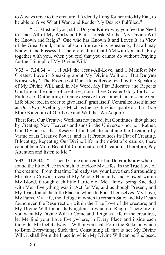to Always Give to the creature, I Ardently Long for her into My Fiat, to be able to Give What I Want and Render My Desires Fulfilled."

"…I Must tell you, still: **Do you Know** why you feel the Need to Trace All of My Works and Pains, to ask Me that My Divine Will be Known and Reign? One who has Known It and Loves It, in View of the Great Good, cannot abstain from asking, repeatedly, that all may Know It and Possess It. Therefore, think that I AM with you and I Pray together with you, when you feel that you cannot do without Praying for the Triumph of My Divine Will."

**V33 – 7.24.34 –** "…I AM the Jesus-All-Love, and I Manifest My Greatest Love in Speaking about My Divine Volition. But **Do you Know** why? The Essence of Our Life is Recognized by the Speaking of My Divine Will, and, in My Word, My Fiat Bilocates and Repeats Our Life in the midst of creatures; nor is there Greater Glory for Us, or Fullness of Outpouring of Our excessive Love, other than in seeing Our Life bilocated, in order to give Itself, graft Itself, Centralize Itself in her as Our Own Dwelling, as Much as the creature is capable of. It is *One* More Kingdom of Our Love and Will that We Acquire.

Therefore, Our Creative Work has not ended, but Continues, though not by Creating New Heavens and suns in the Universe - no, no. Rather, Our Divine Fiat has Reserved for Itself to continue the Creation by Virtue of Its Creative Power; and as It Pronounces Its Fiat of Creating, Bilocating, Repeating Our Divine Life in the midst of creatures, there cannot be a More Beautiful Continuation of Creation. Therefore, Pay Attention and listen to Me."

**V33 – 11.5.34 –** "…Then I Came upon earth; but **Do you Know** where I found the little Place in which to Enclose My Life? In the True Love of the creature. From that time I already saw your Love that, Surrounding Me like a Crown, Invested My Whole Humanity and Flowed within My Blood, through each little Particle of Me, almost being Kneaded with Me. Everything was in Act for Me, and as though Present, and My Tears found the little Place in which to Pour Themselves; My Love, My Pains, My Life, the Refuge in which to remain Safe; and My Death found even the Resurrection within the True Love of the creature; and My Divine Will found Its Kingdom in which to Reign. Therefore, if you want My Divine Will to Come and Reign as Life in the creatures, let Me find your Love Everywhere, in Every Place and inside each thing; let Me feel it always. With it you shall Form the Stake on which to Burn Everything; Such that, Consuming all that is not My Divine Will, it shall Form the Place in which My Divine Will can be Enclosed.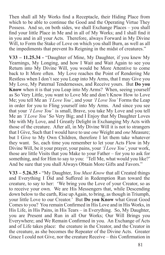Then shall all My Works find a Receptacle, their Hiding Place from which to be able to continue the Good and the Operating Virtue They Possess. And so, on both sides, we shall Exchange Places – you shall find your little Place in Me and in all of My Works; and I shall find it in you and in all your Acts. Therefore, always Forward in My Divine Will, to Form the Stake of Love on which you shall Burn, as well as all the impediments that prevent Its Reigning in the midst of creatures."

**V33 – 11.25.34 -** "Daughter of Mine, My Daughter, if you knew My Yearnings, My Longing, and how I Wait and Wait Again to see you Return into My Divine Will, you would be More Attentive to come back to It More often. My Love reaches the Point of Rendering Me Restless when I don't see you Leap into My Arms, that I may Give you My Love, My Paternal Tendernesses, and Receive yours. But **Do you Know** when it is that you Leap into My Arms? When, seeing yourself as So Very Little, you want to Love Me and don't Know How to Love Me; you tell Me an *'I Love You'*, and your *'I Love You'* Forms the Leap in order for you to Fling yourself into My Arms. And since you see that your *'I Love You'* is small, Brave, you take My Love and you tell Me an *'I Love You'* So Very Big; and I Enjoy that My Daughter Loves Me with My Love, and I Greatly Delight in Exchanging My Acts with those of the creature. After all, in My Divine Will it is not to strangers that I Give, Such that I would have to use *one* Weight and *one* Measure; but I Give to My Own Children, therefore I let them take whatever they want. So, each time you remember to let your Acts Flow in My Divine Will, be it your prayer, your pains, your *'I Love You'*, your work, those are little Visits that you Make to your Father – for you to ask for something, and for Him to say to you: 'Tell Me, what would you like?' And be sure that you shall Always Obtain More Gifts and Favors."

**V33 – 5.26.35 -** "My Daughter, *You Must Know* that all Created things and Everything I Did and Suffered in Redemption Run toward the creature, to say to her: 'We bring you the Love of your Creator, so as to receive your own. We are His Messengers that, while Descending down below to the earth, Rise up Again, to bring, as though in Triumph, your little Love to our Creator.' But **Do you Know** what Great Good Comes to you? You remain Confirmed in His Love and in His Works, in His Life, in His Pains, in His Tears – in Everything. So, My Daughter, you are Present and Run in all Our Works; Our Will Brings you Everywhere; and We Remain Confirmed in you. An Exchange of Acts and of Life takes place: the creature in the Creator, and the Creator in the creature, as she becomes the Repeater of the Divine Acts. Greater Grace I could not Give, nor the creature Receive – this Confirmation in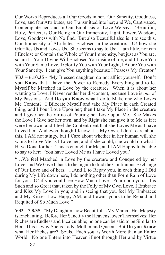Our Works Reproduces all Our Goods in her. Our Sanctity, Goodness, Love, and Our Attributes, are Transmitted into her; and We, Captivated, Contemplate her, and in Our Emphasis of Love We say: 'Beautiful, Holy, Perfect, is Our Being in Our Immensity, Light, Power, Wisdom, Love, Goodness with No End. But also Beautiful also is it to see this, Our Immensity of Attributes, Enclosed in the creature.' O! how she Glorifies Us and Loves Us. She seems to say to Us: 'I am little, nor can I Enclose or Contain the Whole of Your Immensity, but just as You are, so am I - Your Divine Will Enclosed You inside of me, and I Love You with Your Same Love, I Glorify You with Your Light, I Adore You with Your Sanctity. I can give You anything because I Possess My Creator.'

**V33 – 6.10.35 -** "My Blessed daughter, do not afflict yourself. **Don't you Know** that I have the Power to Remedy Everything and to let Myself be Matched in Love by the creature? When it is about her wanting to Love, I Never render her discontent, because Love is *one* of My Passions. And **Do you Know** what I do to Make one who Loves Me Content? I Bilocate Myself and take My Place in each Created thing, and I Pour Love Upon her; then I take My Place in the creature and I give her the Virtue of Pouring her Love upon Me. She Makes the Love I Give her her own, and by Right she can give it to Me as if it were her own; and I feel the Contentment that she Loves Me as I have Loved her. And even though I Know it is My Own, I don't care about this, I AM not stingy, but I Care about whether in her human will she wants to Love Me as I Love her, and if she could, she would do what I Have Done for her. This is enough for Me, and I AM Happy to be able to say to her: 'You have Loved Me as I have Loved you.'

"…We feel Matched in Love by the creature and Conquered by her Love; and We Give It back to her again to find the Continuous Exchange of Our Love and of hers. …And I, to Repay you, in each thing I Did during My Life down here, I do nothing other than Form Rain of Love for you. O! if you could see How Much Love I Pour upon you... It is Such and so Great that, taken by the Folly of My Own Love, I Embrace and Kiss My Love in you; and in seeing that you feel My Embraces and My Kisses, how Happy AM; and I await yours to be Repaid and Requited of So Much Love."

**V33 – 7.8.35 -** "My Daughter, how Beautiful is My Mama - Her Majesty is Enchanting. Before Her Sanctity the Heavens lower Themselves; Her Riches are Endless and Incalculable; no one can be said to be Similar to Her. This is why She is Lady, Mother and Queen. But **Do you Know** what Her Riches are? Souls. Each soul is Worth More than an Entire World. No one Enters into Heaven if not through Her and by Virtue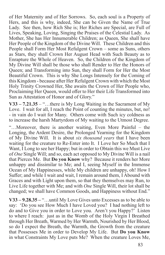of Her Maternity and of Her Sorrows. So, each soul is a Property of Hers, and this is why, indeed, She can be Given the Name of True Lady. See then, how Rich She is; Her Riches are Special, are Full of Lives, Speaking, Loving, Singing the Praises of the Celestial Lady. As Mother, She has Her Innumerable Children; as Queen, She shall have Her People of the Kingdom of the Divine Will. These Children and this People shall Form Her Most Refulgent Crown – some as Suns, others as Stars, they shall Crown Her August Head with Such Beauty as to Enrapture the Whole of Heaven. So, the Children of the Kingdom of My Divine Will shall be those who shall Render to Her the Honors of Queen; and Transforming into Sun, they shall Form for Her the Most Beautiful Crown. This is why She Longs Intensely for the Coming of this Kingdom - because after Her Refulgent Crown with which the Most Holy Trinity Crowned Her, She awaits the Crown of Her People who, Proclaiming Her Queen, would offer to Her their Life Transformed into Sun as Attestation of Honor and of Glory."

**V33 – 7.21.35** – "…there is My Long Waiting in the Sacrament of My Love. I wait for all, I reach the Point of counting the minutes, but, no! - in vain do I wait for Many. Others come with Such icy coldness as to increase the harsh Martyrdom of My waiting to the Utmost Degree.

"…Moreover, there is another waiting, Even More Painful – the Longing, the Ardent Desire, the Prolonged Yearning for the Kingdom of My Divine Will. It is about *six thousand years* that I have been waiting for the creature to Re-Enter into It. I Love her So Much that I Want, I Long to see her Happy; but in order to Obtain this we Must Live of *One* Single Will; and so, each act opposed to My Divine Will is a nail that Pierces Me. But **Do you Know** why? Because it renders her More unhappy and dissimilar to Me; and I, seeing Myself in the Immense Ocean of My Happinesses, while My children are unhappy, oh! How I Suffer; and while I wait and wait, I remain around them, I Abound with Graces and with Light upon them, so that they themselves may Run, to Live Life together with Me; and with *One* Single Will, their lot shall be changed; we shall have Common Goods, and Happiness without End."

**V33 – 9.28.35 –** "…until My Love Gives unto Excesses as to be able to say: 'Do you see How Much I have Loved you? I had nothing left to do and to Give you in order to Love you. Aren't you Happy?' Listen to where I reach: just as in the Womb of the Holy Virgin I Breathed through Her Breath, Warmed by Her Warmth, Nourished by Her Blood, so do I expect the Breath, the Warmth, the Growth from the creature that Possesses Me in order to Develop My Life. But **Do you Know** in what Constraints My Love puts Me? When the creature Loves Me,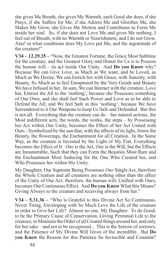she gives Me Breath, she gives Me Warmth; each Good she does, if she Prays, if she Suffers for Me, if she Adores Me and Glorifies Me, she Makes Me Grow, she Gives Me Motion and Contributes to Form Me inside her soul. So, if she does not Love Me and gives Me nothing, I feel out of Breath, with no Warmth or Nourishment, and I do not Grow. Alas! in what conditions does My Love put Me, and the ingratitude of the creature!"

**V34 – 12.29.35 –** "Now, the Greatest Fortune, the Grace Most Sublime for the creature, and the Greatest Glory and Honor for Us is to Possess the human will – its act inside Our Unity. And **Do you Know** why? Because We can Give Love, as Much as We want, and be Loved, as Much as We Desire; We can Enrich her with Grace, with Sanctity, with Beauty, So Much as to feel Enraptured by the Very Goods and Beauty We have Infused in her. In sum, We can Interact with the creature, Love her, Entrust the All to the 'nothing', because she Possesses something of Our Own, and she shall feel Such Power and Love as to be able to Defend the All; and We feel Safe in this 'nothing', because We have Surrendered to it Our Weapons to keep Us Safe and Defended. But this is not all. Everything that the creature can do – her natural actions, the Most indifferent acts, the words, the works, the steps – by Possessing her Act within Our Unity, becomes the Effect of her Act United with Ours - Symbolized by the sun that, with the effects of its light, forms the Beauty, the flowerings, the Enchantment for all Creation. In the Same Way, as the creature is Invested by the Light of My Fiat, Everything becomes the Effect of It: *One* is the Act, *One* is the Will, but the Effects are Innumerable, Such that they can Form the Beauties Most Rare and the Enchantment Most Seducing for the One Who Created her, and Who Possesses her within His Unity.

My Daughter, Our Supreme Being Possesses *One* Single Act, therefore the Whole Creation and all creatures are nothing other than the effect of the Unity of Our Act; therefore, the human will, Unified with Ours, becomes Our Continuous Effect. And **Do you Know** What this Means? Giving Always to the creature and receiving always from her."

**V34 – 5.31.36 –** "Who is Grateful to this Divine Act So Continuous, Never Tiring, Enveloping with So Much Love the Life of the creature in order to Give her Life? Almost no one, My Daughter. To do Good, to be the Primary Cause of Conservation, Giving Perennial Life to the creature; to Maintain the Order of all Created things around her, and only for her sake – and not to be recognized... This is the Sorrow of sorrows; and the Patience of My Divine Will Gives of the incredible. But **Do you Know** the Reason for this Patience So Invincible and Constant?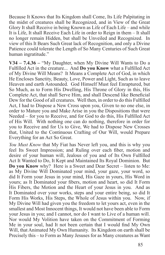Because It Knows that Its Kingdom shall Come, Its Life Palpitating in the midst of creatures shall be Recognized, and in View of the Great Glory It shall Receive in being Known as Life of Each Life – and while It is Life, It shall Receive Each Life in order to Reign in them – It shall no longer remain Hidden, but shall be Unveiled and Recognized. In view of this It Bears Such Great lack of Recognition, and only a Divine Patience could tolerate the Length of So Many Centuries of Such Great human ingratitude."

**V34 – 7.4.36 –** "My Daughter, when My Divine Will Wants to Do a Fulfilled Act in the creature... And **Do you Know** what a Fulfilled Act of My Divine Will Means? It Means a Complete Act of God, in which He Encloses Sanctity, Beauty, Love, Power and Light, Such as to leave Heaven and earth Astounded. God Himself Must feel Enraptured, but So Much, as to Form His Dwelling, His Throne of Glory in this, His Complete Act, that shall Serve Him, and shall Descend like Beneficial Dew for the Good of all creatures. Well then, in order to do this Fulfilled Act, I had to Dispose a New Cross upon you, Given to no one else, in order to Mature you and Make Arise in you the Dispositions that were Needed – for you to Receive, and for God to do this, His Fulfilled Act of His Will. With nothing one can do nothing, therefore in order for you to Receive and for Us to Give, We had to Dispose New Crosses that, United to the Continuous Crafting of Our Will, would Prepare Everything for an Act So Great.

*You Must Know* that My Fiat has Never left you, and this is why you feel Its Sweet Impression; and Ruling over each fiber, motion and desire of your human will, Jealous of you and of Its Own Fulfilled Act It Wanted to Do, It Kept and Maintained Its Royal Dominion. But **Do you Know** why? Here is a Sweet and Dear Secret – listen to Me: as My Divine Will Dominated your mind, your gaze, your word, so did It Form your Jesus in your mind, His Gaze in yours, His Word in yours; as It Dominated your fibers, motion and heart, so did It Form His Fibers, the Motion and the Heart of your Jesus in you. And as It Dominated over your works, steps and your entire being, so did It Form His Works, His Steps, the Whole of Jesus within you. Now, if My Divine Will had given you the freedom to let yours act, even in the smallest and Most Innocent things, It would not have been able to Form your Jesus in you; and I cannot, nor do I want to Live of a human will. Nor would My Volition have taken on the Commitment of Forming Me in your soul, had It not been certain that I would find My Own Will, that Animated My Own Humanity. Its Kingdom on earth shall be Precisely this – to Form as Many Jesuses for as Many creatures as Want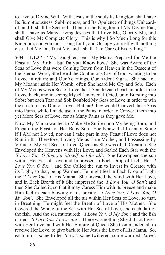to Live of Divine Will. With Jesus in the souls Its Kingdom shall have Its Sumptuousness, Sublimeness, and Its Opulence of things Unheardof; and It shall be Secured. Then, in the Kingdom of My Divine Fiat, shall I have as Many Living Jesuses that Love Me, Glorify Me, and shall Give Me Complete Glory. This is why I So Much Long for this Kingdom; and you too – Long for It, and Occupy yourself with nothing else. Let Me Do, Trust Me, and I shall Take Care of Everything."

**V34 – 1.1.37 -** "My Daughter, see - My Mama Prepared for Me the Feast at My Birth – but **Do you Know** how? She was Aware of the Seas of Love that were Coming Down from Heaven in the Descent of the Eternal Word; She heard the Continuous Cry of God, wanting to be Loved in return; and Our Yearnings, Our Ardent Sighs. She had felt My Moans inside Her Womb; often She heard Me Cry and Sob. Each of My Moans was a Sea of Love that I Sent to each heart, in order to be Loved back; and in seeing Myself unloved, I Cried, unto Bursting into Sobs; but each Tear and Sob Doubled My Seas of Love in order to win the creatures by Dint of Love. But, no! they would Convert these Seas into Pains, while I made use of the Pains in order to Convert them into yet More Seas of Love, for as Many Pains as they gave Me.

Now, My Mama wanted to Make Me Smile upon My being Born, and Prepare the Feast for Her Baby Son. She Knew that I cannot Smile if I AM not Loved, nor can I take part in any Feast if Love does not Run in It. Therefore, Loving Me as True Mother, and Possessing by Virtue of My Fiat Seas of Love, Queen as She was of all Creation, She Enveloped the Heavens with Her Love, and Sealed Each Star with the *'I Love You, O Son, for Myself and for all'.* She Enwrapped the sun within Her Sea of Love and Impressed in Each Drop of Light Her *'I Love You, O Son'*; and She Called the sun to Invest its Creator with its Light, so that, being Warmed, He might feel in Each Drop of Light the *'I Love You'* of His Mama. She Invested the wind with Her Love, and in Each Breath of it She impressed the *'I Love You, O Son'*; and then She Called it, so that it may Caress Him with its breeze and make Him feel in each blowing of its breath: *'I Love You, I Love You, O My Son'.* She Enveloped all the air within Her Seas of Love, so that, in Breathing, He might feel the Breath of Love of His Mother. She Covered the Whole of the Sea with Her Sea of Love, and each dart of the fish. And the sea murmured: *'I Love You, O My Son'*; and the fish darted: *'I Love You, I Love You'*. There was nothing She did not Invest with Her Love; and with Her Empire of Queen She Commanded all to receive Her Love, to give back to Her Jesus the Love of His Mama. So, each bird – some trilled *'Love'*, some twittered, some warbled *'Love'*.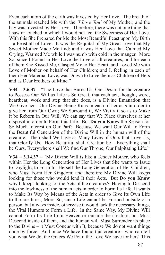Even each atom of the earth was Invested by Her Love. The breath of the animals reached Me with the *'I Love You'* of My Mother; and the hay was Invested by Her Love. Therefore, there was not one thing that I saw or touched in which I would not feel the Sweetness of Her Love. With this She Prepared for Me the Most Beautiful Feast upon My Birth – a Feast all of Love. It was the Requital of My Great Love that My Sweet Mother Made Me find; and it was Her Love that Calmed My Crying, Warmed Me while I was numb with cold in the manger. More So, since I Found in Her Love the Love of all creatures, and for each of them She Kissed Me, Clasped Me to Her Heart, and Loved Me with Love of Mother on behalf of Her Children; and I, feeling in each of them Her Maternal Love, was Drawn to Love them as Children of Hers and as Dear brothers of Mine."

**V34 – 3.6.37 –** "The Love that Burns Us, Our Desire for the creature to Possess Our Will as Life is So Great, that each act, thought, word, heartbeat, work and step that she does, is a Divine Emanation that We Give her - Our Divine Being Runs in each of her acts in order to give her from Our Own; We Surround it, We Vivify it so as to Make it be Reborn in Our Will; We can say that We Place Ourselves at her disposal in order to Form this Life. But **Do you Know** the Reason for So Much Interest on Our Part? Because We want Our Will to Form the Beautiful Generation of the Divine Will in the human will of the creature. Then shall We have as Many Lives of Ours that Love Us, that Glorify Us. How Beautiful shall Creation be – Everything shall be Ours, Everywhere shall We find Our Throne, Our Palpitating Life."

**V34 – 3.14.37 –** "My Divine Will is like a Tender Mother, who feels within Her the Long Generation of Her Lives that She wants to Issue to Daylight, to Form for Herself the Long Generation of Her Children, who Must Form Her Kingdom; and therefore My Divine Will keeps looking for those who would lend It their Acts. But **Do you Know** why It keeps looking for the Acts of the creatures? Having to Descend into the lowliness of the human acts in order to Form Its Life, It wants to Make Its Way by Means of the Acts in order to Give Its Own Life to the creatures; More So, since Life cannot be Formed outside of a person, but always inside, otherwise it would lack the necessary things, the Vital Humors to Form a Life. In the Same Way, My Divine Will cannot Form Its Life from Heaven or outside the creature, but Must Descend inside of them, and the human will Must Surrender its place to the Divine – it Must Concur with It, because We do not want things done by force. And once We have found this creature - who can tell you what We do, the Graces We Pour, the Love We have for her? This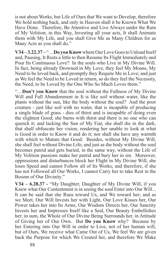is not about Works, but Life of Ours that We want to Develop, therefore We hold nothing back, and only in Heaven shall it be Known What We Have Done. Therefore, Be Attentive and Live Always under the Rain of My Volition; in this Way, Investing all your acts, It shall Animate them with My Life, and you shall Give Me as Many Children for as Many Acts as you shall do."

**V34 – 3.22.37 –** "…**Do you Know** where Our Love Goes to Unload Itself and, Pausing, It Rests a little to then Resume Its Flight Immediately and Pour Its Continuous Love? In the souls who Live in My Divine Will. In fact, being already Drowned in My Love, they feel My Moans, My Need to be loved back, and promptly they Requite Me in Love; and just as We feel the Need to be Loved in return, so do they feel the Necessity, the Need, to be Loved by the One Who So Much Loves them."

"…**Don't you Know** that the soul without the Fullness of My Divine Will and Full Abandonment in It is like soil without water, like the plants without the sun, like the body without the soul? And the poor creature - just like soil with no water, that is incapable of producing a single blade of grass - dies of thirst and is incapable of doing even the slightest Good; she burns with thirst and there is no one who can quench it; and lacking the Sun of My Fiat, she shall die in the dark, that shall obfuscate her vision, rendering her unable to look at what is Good in order to Know it and do it; nor shall she have any warmth with which to Mature that Good. Besides, without My Divine Will, she shall feel without Divine Life; and just as the body without the soul becomes putrid and gets buried, in the same way, without the Life of My Volition passions make her putrid and bury her in sin. Moreover, oppressions and disturbances block her Flight in My Divine Will, she loses Speed and cannot Follow all of Its Works; and therefore, if she has not Followed all Our Works, I cannot Carry her to take Rest in the Bosom of Our Divinity."

**V34 – 6.28.37 -** "My Daughter, Daughter of My Divine Will, if you Knew what Our Contentment is in seeing the soul Enter into Our Will... It can be said that she Runs toward Us, and We toward her; and as we Meet, Our Will Invests her with Light, Our Love Kisses her, Our Power takes her into Its Arms, Our Wisdom Directs her, Our Sanctity Invests her and Impresses Itself like a Seal, Our Beauty Embellishes her; in sum, the Whole of Our Divine Being Surrounds her, in Attitude of Giving her of Our Own. But **Do you Know** why? Because by her Entering into Our Will in order to Live, not of her human will, but of Ours, We receive what Came Out of Us, We feel We are given back the Purpose for which We Created her, and therefore We Make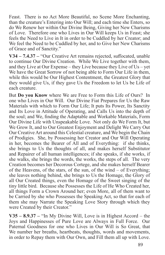Feast. There is no Act More Beautiful, no Scene More Enchanting, than the creature's Entering into Our Will; and each time she Enters, so do We Renew her within Our Divine Being, Giving her New Charisms of Love. Therefore one who Lives in Our Will keeps Us in Feast; she feels the Need to Live in It in order to be Cuddled by her Creator; and We feel the Need to be Cuddled by her, and to Give her New Charisms of Grace and of Sanctity."

**V34 – 7.4.37 –** "Our Creative Art remains rejected, suffocated, unable to continue Our Divine Creation. While We Live together with them, and they Live at Our Expense – they Live because they Live of Us – yet We have the Great Sorrow of not being able to Form Our Life in them, while this would be Our Highest Contentment, the Greatest Glory that they would give Us, if they gave Us the Freedom to let Us be Life of each creature.

But **Do you Know** where We are Free to Form this Life of Ours? In one who Lives in Our Will. Our Divine Fiat Prepares for Us the Raw Materials with which to Form Our Life; It puts Its Power, Its Sanctity and Its Love in Attitude of Operating, and Calls Us into the depth of the soul; and We, finding the Adaptable and Workable Materials, Form Our Divine Life with Unspeakable Love. Not only do We Form It, but We Grow It, and to Our Greatest Enjoyment and Delight We Carry Out Our Creative Art around this Celestial creature, and We begin the Chain of Prodigies. She, by Possessing her Creator and Our Will Operating in her, becomes the Bearer of All and of Everything: if she thinks, she brings to Us the thoughts of all, and makes herself Substitutor and Repairer of all human intelligences; if she speaks, if she works, if she walks, she brings the words, the works, the steps of all. The very Creation becomes her Decorous Cortege, and she makes herself Bearer of the Heavens, of the stars, of the sun, of the wind – of Everything; she leaves nothing behind, she brings to Us the Homage, the Glory of all Our Created things, even the Homage of the Sweet singing of the tiny little bird. Because she Possesses the Life of He Who Created her, all things Form a Crown Around her; even More, all of them want to be Carried by she who Possesses the Speaking Act, so that for each of them she may Narrate the Speaking Love Story through which they were Created by their Creator."

**V35 – 8.9.37 –** "In My Divine Will, Love is in Highest Accord – the Joys and Happinesses of Pure Love are Always in Full Force. Our Paternal Goodness for one who Lives in Our Will is So Great, that We number her breaths, heartbeats, thoughts, words and movements, in order to Repay them with Our Own, and Fill them all up with Love.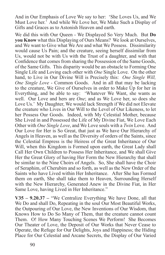And in Our Emphasis of Love We say to her: 'She Loves Us, and We Must Love her.' And while We Love her, We Make Such a Display of Gifts and Graces as to Astonish Heaven and earth.

We did this with Our Queen - We Displayed So Very Much. But **Do you Know** what this Displaying of Ours Means? We look at Ourselves, and We want to Give what We Are and what We Possess. Dissimilarity would cause Us Pain; and the creature, seeing herself dissimilar from Us, would not be with Us with the Trust of a daughter, and with that Confidence that comes from sharing the Possession of the Same Goods, of the Same Gifts. This disparity would be an obstacle to Forming One Single Life and Loving each other with *One* Single Love. On the other hand, to Live in Our Divine Will is Precisely this: *One Single Will, One Single Love* - Common Goods. And in all that may be lacking to the creature, We Give of Ourselves in order to Make Up for her in Everything, and be able to say: 'Whatever We Want, she wants as well. Our Love and hers are *One*; and as We Love her, so does she Love Us.' My Daughter, We would lack Strength if We did not Elevate the creature who Lives in Our Will to the Level of Our Likeness, to let her Possess Our Goods. Indeed, with My Celestial Mother, because She Lived in and Possessed the Life of My Divine Fiat, We Love Each Other with *One Single Love*, and We Love souls with a *Twin* Love. And Our Love for Her is So Great, that just as We have Our Hierarchy of Angels in Heaven, as well as the Diversity of orders of the Saints, since the Celestial Empress is the Heiress of the Great Inheritance of Our Will, when this Kingdom is Formed upon earth, the Great Lady shall Call Her Own Children to Possess Her Inheritance, and We shall Give Her the Great Glory of having Her Form the New Hierarchy that shall be similar to the Nine Choirs of Angels. So, She shall have the Choir of Seraphim, of Cherubim and so forth, as well as the New Order of the Saints who have Lived within Her Inheritance. After She has Formed them on earth, She shall take them to Heaven, Surrounding Herself with the New Hierarchy, Generated Anew in the Divine Fiat, in Her Same Love, having Lived in Her Inheritance."

**V35 – 9.20.37 –** "We Centralize Everything We have Done, all that We Do and shall Do, Repeating in the soul Our Most Beautiful Works, the Outpouring of Our Love, the New Inventions of Our Wisdom, that Knows How to Do So Many of Them, that the creature cannot count Them. O! How Many Touching Scenes We Perform! She Becomes Our Theater of Love, the Deposit of Our Works that Never Cease to Operate, the Refuge for Our Delights, Joys and Happiness; the Hiding Place for Our Celestial and Arcane Secrets, the Display of Our Varied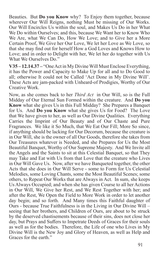Beauties. But **Do you Know** why? To Enjoy them together, because wherever Our Will Reigns, nothing Must be missing of Our Works. Our Will Encircles Us within the soul, and Makes Us Do in her What We Do within Ourselves; and this, because We Want her to Know Who We Are, what We Can Do, How We Love; and to Give her a More Certain Proof, We Give her Our Love, We let her Love as We Love, so that she may find out for herself How a God Loves and Knows How to Love; and in order to Delight with her, We let her do together with Us What We Ourselves Do."

**V35 – 12.14.37 –** "One Act in My Divine Will Must Enclose Everything, it has the Power and Capacity to Make Up for all and to Do Good to all; otherwise It could not be Called 'Act Done in My Divine Will'. These Acts are jam-packed with Unheard-of Prodigies, Worthy of Our Creative Work.

Now, as she comes back to her *Third Act* in Our Will, so is the Full Midday of Our Eternal Sun Formed within the creature. And **Do you Know** what she gives Us in this Full Midday? She Prepares a Banquet for Us. And **Do you Know** what she gives Us for Food? The Love that We have given to her, as well as Our Divine Qualities. Everything Carries the Imprint of Our Beauty and of Our Chaste and Pure Fragrances. We like it So Much, that We Eat Our Fill; More So since, if anything should be lacking for Our Decorum, because the creature is in Our Will, she is the owner of all Our Goods, therefore she takes from Our Treasures whatever is Needed, and she Prepares for Us the Most Beautiful Banquet, Worthy of Our Supreme Majesty. And We Invite all the Angels and the Saints to sit at this Celestial Banquet, so that They may Take and Eat with Us from that Love that the creature who Lives in Our Will Gave Us. Now, after we have Banqueted together, the other Acts that she does in Our Will Serve - some to Form for Us Celestial Melodies, some Loving Chants, some the Most Beautiful Scenes; some others, to Repeat Our Works that are Always in Act. In sum, she keeps Us Always Occupied; and when she has given Course to all her Actions in Our Will, We Give her Rest, and We Rest Together with her; and after the Rest, We Open the Field to More Work in order to let another day begin; and so forth. And Many times this Faithful daughter of Ours - because True Faithfulness is in the Living in Our Divine Will – seeing that her brothers, and Children of Ours, are about to be struck by the deserved chastisements because of their sins, does not close her day, but Prays and Suffers to Impetrate Deeds of Graces for their souls as well as for the bodies. Therefore, the Life of one who Lives in My Divine Will is the New Joy and Glory of Heaven, as well as Help and Graces for the earth."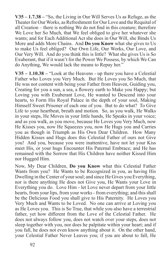**V35 – 1.7.38 –** "So, the Living in Our Will Serves Us as Refuge, as the Theater for Our Works, as Refreshment for Our Love and the Requital of all Creation – there is nothing We do not find in this creature; therefore We Love her So Much, that We feel obliged to give her whatever she wants; and for Each Additional Act she does in Our Will, she Binds Us More and adds More Chains. And **Do you Know** what she gives to Us to make Us feel obliged? Our Own Life, Our Works, Our Love, and Our Very Will. And do you think this is little? What she gives Us is So Exuberant, that if it wasn't for the Power We Possess, by which We Can do Anything, We would lack the means to Repay her."

**V35 – 1.10.38 –** "Look at the Heavens - up there you have a Celestial Father who Loves you Very Much. But He Loves you So Much, that He was not content with being your Father from Heaven, Guiding you, Creating for you a sun, a sea, a flowery earth to Make you Happy; but Loving you with Exuberant Love, He wanted to Descend into your hearts, to Form His Royal Palace in the depth of your soul, Making Himself Sweet Prisoner of each one of you. But to do what? To Give Life to your heartbeat, breath and motion. So, as you walk, He Walks in your steps, He Moves in your little hands, He Speaks in your voice; and as you walk, as you move, because He Loves you Very Much, now He Kisses you, now He Squeezes you, now He Hugs you and Carries you as though in Triumph as His Own Dear Children. How Many Hidden Kisses and Hugs does this Celestial Father of ours not Give you! And you, because you were inattentive, have not let your Kiss meet His, or your hugs Encounter His Paternal Embrace; and He has remained with the Sorrow that His Children have neither Kissed Him nor Hugged Him.

Now, My Dear Children, **Do you Know** what this Celestial Father Wants from you? He Wants to be Recognized in you, as having His Dwelling in the Center of your soul; and since He Gives you Everything, nor is there anything He does not Give you, He Wants your Love in Everything you do. Love Him - let Love never depart from your little hearts, from your lips, from your works - from everything; and this shall be the Delicious Food you shall give to His Paternity. He Loves you Very Much and Wants to be Loved. No one can arrive at Loving you as He Loves you. This is So True, that while you also have a terrestrial father, yet how different from the Love of the Celestial Father. He does not always follow you, does not watch over your steps, does not sleep together with you, nor does he palpitate within your heart; and if you fall, he does not even know anything about it. On the other hand, your Celestial Father Never Leaves you; if you are about to fall, He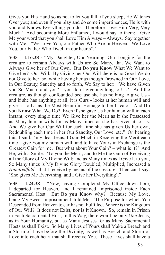Gives you His Hand so as not to let you fall; if you sleep, He Watches Over you; and even if you play and do some impertinences, He is with you and Knows Everything you do. Therefore Love Him Very, Very Much.' And becoming More Enflamed, I would say to them: 'Give Me your word that you shall Love Him Always – Always. Say together with Me: "We Love You, our Father Who Are in Heaven. We Love You, our Father Who Dwell in our hearts".'

**V35 – 1.16.38 -** "My Daughter, Our Yearning, Our Longing for the creature to remain Always with Us are So Many, that We Want to Always Give her of Our Own. But **Do you Know** What We Want to Give her? Our Will. By Giving her Our Will there is no Good We do not Give to her; so, while having her as though Drowned in Our Love, in Our Beauty, Sanctity and so forth, We Say to her: 'We have Given you So Much; and you? - you don't give anything to Us?' And the creature, as though confounded because she has nothing to give Us and if she has anything at all, it is Ours - looks at her human will and gives it to Us as the Most Beautiful Homage to her Creator. And **Do you Know** What We Do? Even if she gave Us her human will in each instant, every single time We Give her the Merit as if she Possessed as Many human wills for as Many times as she has given it to Us. And We give her Our Will for each time she has given Us her own, Redoubling each time in her Our Sanctity, Our Love, etc." On hearing this, I said: 'my dear Jesus, I Gain Much in Receiving the Merit each time I give You my human will; and to have Yours in Exchange is the Greatest Gain for me. But what about Your Gain? – what is it?' And He, with a Smile: 'To you the Merit, and to Me the Gain of Receiving all the Glory of My Divine Will; and as Many times as I Give It to you, So Many times is My Divine Glory Doubled, Multiplied, Increased a *Hundredfold* - that I receive by means of the creature. Then can I say: 'She gives Me Everything, and I Give her Everything'."

**V35 – 1.24.38 –** "Now, having Completed My Office down here, I departed for Heaven, and I remained Imprisoned inside Each Sacramental Host. But **Do you Know** why? Because My Love, being My Sweet Imprisonment, told Me: 'The Purpose for which You Descended from Heaven to earth is not Fulfilled. Where is the Kingdom of Our Will? It does not Exist, nor is It Known. So, remain in Prison in Each Sacramental Host; in this Way, there won't be only *One* Jesus, as in Your Humanity, but as Many Jesuses for as Many Sacramental Hosts as shall Exist. So Many Lives of Yours shall Make a Breach and a Storm of Love before the Divinity, as well as Breach and Storm of Love into each heart that shall receive You. These Lives shall have a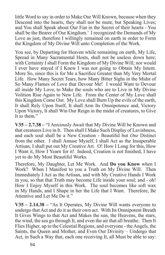little Word to say in order to Make Our Will Known, because when they Descend into the hearts, they shall not be mute, but Speaking Lives; and You shall Speak about Our Fiat in the Secret of their hearts - You shall be the Bearer of Our Kingdom.' I recognized the Demands of My Love as just, therefore I willingly remained on earth in order to Form the Kingdom of My Divine Will unto Completion of the Work.

You see, by Departing for Heaven while remaining on earth, My Life, Spread in Many Sacramental Hosts, shall not be useless down here; with Certainty I shall Form the Kingdom of My Divine Will; nor would I ever have stayed if I Knew I was not going to Obtain My Intent. More So, since this is for Me a Sacrifice Greater than My Very Mortal Life. How Many Secret Tears, how Many Bitter Sighs in the Midst of So Many Flames of Love that Devour Me! I would Want to Devour all inside My Love, to Make the souls who are to Live in My Divine Volition Rise Again to New Life. From the Center of My Love shall this Kingdom Come Out. My Love shall Burn Up the evils of the earth, It shall Rely Upon Itself, It shall Arm Its Omnipotence and, Victory Upon Victory, It shall Win Our Reign in the midst of creatures, to Give It to them."

**V35 – 2.7.38 –** "I Anxiously Await that My Divine Will be Known and that creatures Live in It. Then shall I Make Such Display of Lavishness, and each soul shall be a New Creation - Beautiful but *One* Distinct from the other. I shall Amuse Myself, I shall Act as the Insuperable Artisan, I shall put out My Creative Art. O! How I Long for this, How I Want it, How I Yearn for it! Indeed, Creation is not finished, I have yet to do My Most Beautiful Works.

Therefore, My Daughter, Let Me Work. And **Do you Know** when I Work? When I Manifest to you a Truth on My Divine Will. Then Immediately I Act as the Artisan, and with My Creative Hands I Work in you, so that that Truth may become Life inside your soul; and - oh! How I Enjoy Myself in this Work. The soul becomes like soft wax in My Hands, and I Shape in her the Life that I Want. Therefore, Be Attentive and Let Me Do it."

**V35 – 2.14.38 –** "As It Operates, My Divine Will wants everyone to undergo that Act and do it as their own act. With Its Omnipotent Breath It Gives Wings to that Act and Makes the sun, the Heavens, the stars, the wind, the sea go through It, and even the air that all breathe. Then It Flies Higher, up to the Celestial Regions, and everyone - the Angels, the Saints, the Queen and Mother, and Even Our Divinity – Undergo that Act, in Such a Way that, each one receiving It, all Must be able to say: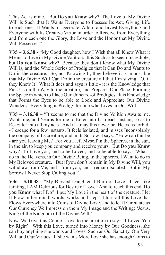'This Act is mine.' But **Do you Know** why? The Love of My Divine Will is Such that It Wants Everyone to Possess Its Act, Giving Life to each one. It Wants to Decorate, Adorn and Invest Everything and Everyone with Its Creative Virtue in order to Receive from Everything and from each one the Glory, the Love and the Honor that My Divine Will Possesses."

**V35 – 3.6.38 -** "My Good daughter, how I Wish that all Knew What it Means to Live in My Divine Volition. It is Such as to seem Incredible; but **Do you Know** why? Because they don't Know what My Divine Will is, and the Whole Series of Prodigies that It Can Do and Wants to Do in the creature. So, not Knowing It, they believe it is impossible that My Divine Will Can Do in the creature all that I'm saying. O, if they Knew It! What It does and says is little - it is the Knowledge that Puts Us on the Way to the creature, and Prepares Our Place, Forming the Space in which to Place Our Unheard-of Prodigies. It is Knowledge that Forms the Eyes to be able to Look and Appreciate Our Divine Wonders. Everything is Prodigy for one who Lives in Our Will."

**V35 – 3.16.38 –** "It seems to me that the Divine Volition Awaits me, Wants me, and Yearns for me to Enter into It in each instant, so as to Re-Enter into all my acts. And if – may this never be, Heavens forbid! - I escape for a few instants, It feels Isolated, and misses Inconsolably the company of Its creature; and in Its Sorrow It says: "How can this be - are you leaving Me? For you I left Myself in the Spheres, in the sun, in the air, to keep you company and receive yours. But **Do you Know** why? To Love you, and to be Loved; and to be able to say: 'What I do in the Heavens, in Our Divine Being, in the spheres, I Want to do in My Beloved creature.' But if you don't remain in My Divine Will, you withdraw from Me, and I from you, and I remain Isolated. But in My Sorrow I Never Stop Calling you."

**V36 – 5.10.38 -** "My Blessed Daughter, I Burn of Love. I feel like fainting, I AM Delirious for Desire of Love. And to reach this end, **Do you Know** what I Do? I put My Love in the heart of the creature, I let It Flow in her mind, words, works and steps; I turn all this Love that Flows Everywhere into Coins of Divine Love, and to let It Circulate as Our Currency We Impress on them My Image and the Writing: 'Jesus, King of the Kingdom of the Divine Will.'

Now, We Give this Coin of Love to the creature to say: 'I Loved You by Right'. With this Love, turned into Money by Our Goodness, she can buy anything she wants and Loves, Such as Our Sanctity, Our Very Will and Our Virtues. If she wants More Love she has enough Coins to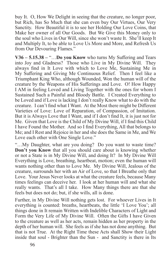buy It. O, How We Delight in seeing that the creature, no longer poor, but Rich, has So Much that she can even buy Our Virtues, Our Very Sanctity. How Beautiful it is to see her Holding Our Love Coins, that Make her owner of all Our Goods. But We Give this Money only to the soul who Lives in Our Will, since she won't waste It. She'll keep It and Multiply It, to be able to Love Us More and More, and Refresh Us from Our Devouring Flames."

**V36 – 5.15.38 –** "…**Do you Know** who turns My Suffering and Tears into Joy and Gladness? Those who Live in My Divine Will. They always find in It Love with which to Love Me, Sustaining Me in My Suffering and Giving Me Continuous Relief. Then I feel like a Triumphant King Who, although Wounded, Won the human will of the creature by the Weapons of His Sufferings and Love. O! How Happy I AM in feeling Loved and Living Together with the ones for whom I Sustained Such a Painful and Bloody Battle. I Created Everything to be Loved and if Love is lacking I don't really Know what to do with the creature. I can't find what I Want. At the Most there might be Different Varieties of Love: Love of Reparation, of Compassion, of Imitation. But it is Always Love that I Want, and if I don't find It, it is just not for Me. Given that Love is the Child of My Divine Will, if I find this Child I have Found the Mother. And so I find Everything, All that belongs to Me; and I Rest and Rejoice in her and she does the Same in Me, and We Love each other with One Single Love."

"…My Daughter, what are you doing? Do you want to waste time? **Don't you Know** that all you should care about is knowing whether or not a State is in My Divine Will, and doing It? In My Divine Will Everything is Love, breathing, heartbeat, motion; even the human will wants nothing other than to Love Me. My Divine Will, Jealous of the creature, surrounds her with an Air of Love, so that I Breathe only that Love. Your Jesus Never looks at what the creature feels, because Many times feelings can deceive her. I look at her human will and what she really wants. That's all I take. How Many things there are that she feels but does not do; but, if she wills, all is done.

Further, in My Divine Will nothing gets lost. For whoever Lives in It everything is counted: breaths, heartbeats, the little 'I Love You'; all things done in It remain Written with Indelible Characters of Light and Form the Very Life of My Divine Will. Often the Gifts I have Given to the creature as well as her acts, remain hidden as her property in the depth of her human will. She feels as if she has not done anything. But that is not True. At the Right Time these Acts shall Show their Light inside that soul - Brighter than the Sun - and Sanctity is there in Its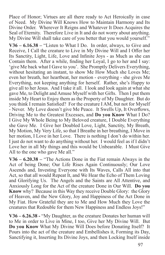Place of Honor; Virtues are all there ready to Act Heroically in case of Need. My Divine Will Knows How to Maintain Harmony and Its Divine Order. Wherever It Reigns and Whatever It Does Acquires the Seal of Eternity. Therefore Live in It and do not worry about anything. My Divine Will shall take care of you better that you would yourself."

**V36 – 6.16.38 –** "Listen to What I Do. In order, always, to Give and Receive, I Call the creature to Live in My Divine Will and I Offer her Its Sanctity, Light, Life, Love and Infinite Joys - as Much as she can Contain them. After a while, finding her Loyal, I go to her and I say: 'give Me back what I Gave to you'. She Promptly Delivers Everything, without hesitating an instant, to show Me How Much she Loves Me; even her breath, her heartbeat, her motion - everything - she gives Me Everything, not keeping anything for herself. Rather, she's Happy to give all to her Jesus. And I take it all. I look and look again at what she gave Me, to Delight and Amuse Myself with her Gifts. Then I put them inside My Heart to Enjoy them as the Property of My Daughter. But do you think I remain Satisfied? For the creature I AM, but not for Myself - Never. My Love doesn't give Me Peace. It Swells Up, It Overflows, Driving Me to the Greatest Excesses, and **Do you Know** What I Do? I Give My Whole Being to My Beloved creature, I Double Everything she Gave Me. I Give her Doubled Love, Light, Sanctity, My Breath, My Motion, My Very Life, so that I Breathe in her breathing, I Move in her motion, I Love in her Love. There is nothing I don't do within her. I just do not want to do anything without her. I would feel as if I didn't Love her in all My things and this would be Unbearable. I Must Give All to the one who gave Me all."

**V36 – 6.20.38 –** "The Actions Done in the Fiat remain Always in the Act of being Done; Our Life Rises Again Continuously; Our Love Ascends and, Investing Everyone with Its Waves, Calls All into that Act, so that all would Repeat It, and We Hear the Echo of Them Loving and Glorifying Us. The Angels and the Saints are All Attentive, and Anxiously Long for the Act of the creature Done in Our Will. **Do you Know** why? Because in this Way they receive Double Glory: the Glory of Heaven, and the New Glory, Joy and Happiness of the Act Done in My Fiat. How Grateful they are to Me and How Much they Love the creatures that Redouble for them New Happiness and Endless Joys!"

**V36 – 6.26.38 -** "My Daughter, as the creature Donates her human will to Me in order to Live in Mine, I too, Give her My Divine Will. But **Do you Know** What My Divine Will Does before Donating Itself? It Pours into the act of the creature and Embellishes it, Forming its Day, Sanctifying it, Inserting Its Divine Joys, and then Locking Itself inside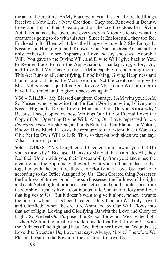the act of the creature. As My Fiat Operates in this act, all Created things Receive a New Life, a New Creation. They feel Renewed in Beauty, Love and Joy of their Creator, and as the creature does her Divine Act, It remains as her own, and everybody is Attentive to see what the creature is going to do with this Act. Since It Encloses all, they too feel Enclosed in It. Then, what does the Happy creature do? She Enjoys It, Kissing and Hugging It, and, Knowing that Such a Great Act cannot be only for herself. In her Emphasis of Love and Joy, she says: 'Adorable Will. You gave to me Divine Will, and Divine Will I give back to You, to Render Back to You the Appreciation, Thanksgiving, Glory, Joy and Love that You Gave to me; I AM incapable of containing them'. This Act Runs to all, Sanctifying, Embellishing, Giving Happiness and Honor to all. This is the Most Beautiful Act the creature can give to Me. Nobody can equal this Act: to give My Divine Will in order to have It Returned, and to give It back, yet again."

**V36 – 7.11.38 -** "My Blessed daughter, Courage, I AM with you; I AM So Pleased when you write that, for Each Word you write, I Give you a Kiss, a Hug and a Divine Life of Mine, as a Gift. **Do you Know** why? Because I see, Copied in these Writings Our Life of Eternal Love; the Copy of Our Operating Divine Will. Also, Our Love, repressed for *six thousand years*, Bursts Out, and finds Relief for Our Flames, in Making Known How Much It Loves the creature; to the Extent that It Wants to Give her Its Own Will as Life. This, so that on both sides we can say: What is mine is yours."

**V36 – 7.18.38 -** "My Daughter, all Created things await you, but **Do you Know** why? Because, Thanks to My Fiat that Animates All, they feel their Union with you, their Inseparability from you; and since the creature has the Supremacy, they all await you in their midst, so that together with the creature they can Glorify and Love Us, each one according to the Office Assigned by Us. Each Created thing Possesses the Fullness of its own good. The sun Possesses the Fullness of the light, and each Act of light it produces, each effect and good it unleashes from its womb of light, is like a Continuous little Sonata of Glory and Love that it gives to Us. But it doesn't want to give it alone, rather, it wants the one for whom it has been Created. Only then are We Truly Loved and Glorified: when the creature Animated by Our Will, Flows into that act of light, Loving and Glorifying Us with the Love and Glory of Light. So We feel Our Purpose - the Reason for which We Created light - when We find the creature Hidden inside that light, Loving Us with the Fullness of the light and heat. We find in her Love that Wounds Us, Love that Sweetens Us, Love that says, Always, 'Love.' Therefore We Placed the sun in the Power of the creature, to Love Us."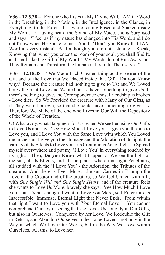**V36 – 12.5.38 –** "For one who Lives in My Divine Will, I AM the Word in the Breathing, in the Motion, in the Intelligence, in the Glance, in Everything; to the Extent that, while feeling Fused and Soaked inside My Word, not having heard the Sound of My Voice, she is Surprised and says: 'I feel as if my nature has changed into His Word, and I do not Know when He Spoke to me.' And I: '**Don't you Know** that I AM Word in every instant? And although you are not listening, I Speak, Knowing that, when you enter the room of your soul, you shall find It, and shall take the Gift of My Word.' My Words do not Run Away, but They Remain and Transform the human nature into Themselves."

**V36 – 12.18.38 –** "We Made Each Created thing as the Bearer of the Gift and of the Love that We Placed inside that Gift. **Do you Know** why? Because the creature had nothing to give to Us; and We Loved her with Great Love and Wanted her to have something to give Us. If there's nothing to give, the Correspondence ends, Friendship is broken - Love dies. So We Provided the creature with Many of Our Gifts, as if They were her own, so that she could have something to give Us. Therefore We Make of the one who Lives in Our Will the Depository of the Whole of Creation.

O! What a Joy, what Happiness for Us, when We see her using Our Gifts to Love Us and say: 'see How Much I Love you. I give you the sun to Love you, and I Love You with the Same Love with which You Loved me in the sun; I give you the Homage and the Adoration of its light, the Variety of its Effects to Love you - its Continuous Act of light, to Spread myself everywhere and put my 'I Love You' in everything touched by its light.' Then, **Do you Know** what happens? We see the light of the sun, all its Effects, and all the places where that light Penetrates, all studded with the 'I Love You' - the Adoration, the Tributes of the creature. And there is Even More: the sun Carries in Triumph the Love of the Creator and of the creature, so We feel United within It, with *One Single Will and One Single Heart*; and if the creature feels she wants to Love Us More, bravely she says: 'see How Much I Love You - but it's not enough, I want to Love You More; so I Enter into its Inaccessible, Immense, Eternal Light that Never Ends. From within that light I want to Love you with Your Eternal Love.' You cannot comprehend Our Joy in seeing that she Loves Us not only in Our Gifts, but also in Ourselves. Conquered by her Love, We Redouble the Gift in Return, and Abandon Ourselves to her to be Loved - not only in the Way in which We Love Our Works, but in the Way We Love within Ourselves. All this, to Love her.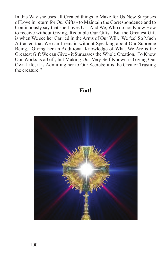In this Way she uses all Created things to Make for Us New Surprises of Love in return for Our Gifts - to Maintain the Correspondence and to Continuously say that she Loves Us. And We, Who do not Know How to receive without Giving, Redouble Our Gifts. But the Greatest Gift is when We see her Carried in the Arms of Our Will. We feel So Much Attracted that We can't remain without Speaking about Our Supreme Being. Giving her an Additional Knowledge of What We Are is the Greatest Gift We can Give - it Surpasses the Whole Creation. To Know Our Works is a Gift, but Making Our Very Self Known is Giving Our Own Life; it is Admitting her to Our Secrets; it is the Creator Trusting the creature."

## **Fiat!**

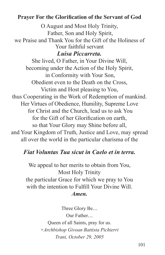## **Prayer For the Glorification of the Servant of God**

O August and Most Holy Trinity, Father, Son and Holy Spirit, we Praise and Thank You for the Gift of the Holiness of Your faithful servant *Luisa Piccarreta.* She lived, O Father, in Your Divine Will, becoming under the Action of the Holy Spirit, in Conformity with Your Son, Obedient even to the Death on the Cross, Victim and Host pleasing to You, thus Cooperating in the Work of Redemption of mankind. Her Virtues of Obedience, Humility, Supreme Love for Christ and the Church, lead us to ask You for the Gift of her Glorification on earth, so that Your Glory may Shine before all, and Your Kingdom of Truth, Justice and Love, may spread all over the world in the particular charisma of the

## *Fiat Voluntas Tua sicut in Caelo et in terra.*

We appeal to her merits to obtain from You, Most Holy Trinity the particular Grace for which we pray to You with the intention to Fulfill Your Divine Will. *Amen.*

> Three Glory Be... Our Father... Queen of all Saints, pray for us. *+Archbishop Givoan Battista Pichierri Trani, October 29, 2005*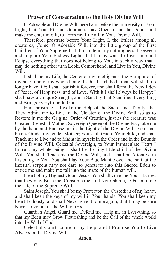## **Prayer of Consecration to the Holy Divine Will**

O Adorable and Divine Will, here I am, before the Immensity of Your Light, that Your Eternal Goodness may Open to me the Doors, and make me enter into It, to Form my Life all in You, Divine Will.

Therefore, prostrate before Your Light, I, the littlest among all creatures, Come, O Adorable Will, into the little group of the First Children of Your Supreme Fiat. Prostrate in my nothingness, I Beseech and Implore Your Endless Light, that It may want to Invest me and Eclipse everything that does not belong to You, in such a way that I may do nothing other than Look, Comprehend, and Live in You, Divine Will.

It shall be my Life, the Center of my intelligence, the Enrapturer of my heart and of my whole being. In this heart the human will shall no longer have life; I shall banish it forever, and shall form the New Eden of Peace, of Happiness, and of Love. With It I shall always be Happy; I shall have a Unique Strength, and a Sanctity that Sanctifies Everything and Brings Everything to God.

Here prostrate, I Invoke the Help of the Sacrosanct Trinity, that They Admit me to Live in the Cloister of the Divine Will, so as to Restore in me the Original Order of Creation, just as the creature was Created. Celestial Mother, Sovereign Queen of the Divine Fiat, take me by the hand and Enclose me in the Light of the Divine Will. You shall be my Guide, my tender Mother; You shall Guard Your child, and shall Teach me to Live and to Maintain myself in the Order and in the Bounds of the Divine Will. Celestial Sovereign, to Your Immaculate Heart I Entrust my whole being; I shall be the tiny little child of the Divine Will. You shall Teach me the Divine Will, and I shall be Attentive in Listening to You. You shall lay Your Blue Mantle over me, so that the infernal serpent may not dare to penetrate into this Sacred Eden to entice me and make me fall into the maze of the human will.

Heart of my Highest Good, Jesus, You shall Give me Your Flames, that they may Burn me, Consume me, and Nourish me, to Form in me the Life of the Supreme Will.

Saint Joseph, You shall be my Protector, the Custodian of my heart, and shall keep the keys of my will in Your hands. You shall keep my heart Jealously, and shall Never give it to me again, that I may be sure Never to go out of the Will of God.

Guardian Angel, Guard me, Defend me, Help me in Everything, so that my Eden may Grow Flourishing and be the Call of the whole world into the Will of God.

Celestial Court, come to my Help, and I Promise You to Live Always in the Divine Will.